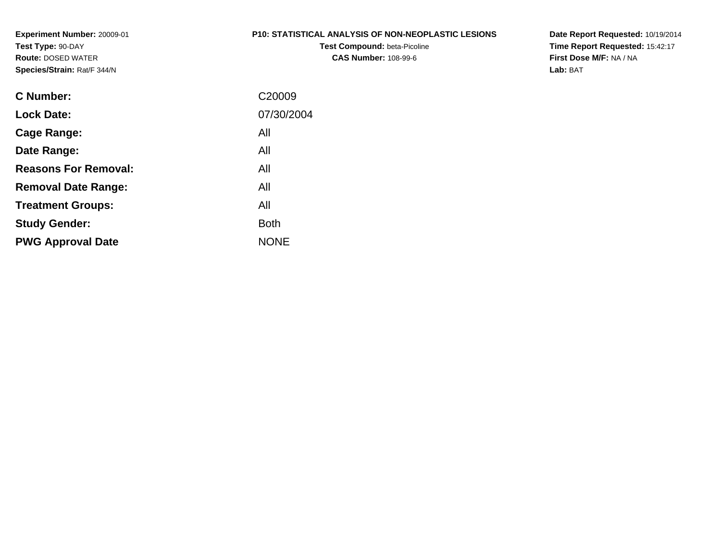**Experiment Number:** 20009-01**Test Type:** 90-DAY **Route:** DOSED WATER**Species/Strain:** Rat/F 344/N

#### **P10: STATISTICAL ANALYSIS OF NON-NEOPLASTIC LESIONS**

**Test Compound:** beta-Picoline**CAS Number:** 108-99-6

**Date Report Requested:** 10/19/2014 **Time Report Requested:** 15:42:17**First Dose M/F:** NA / NA**Lab:** BAT

| <b>C</b> Number:            | C <sub>20009</sub> |
|-----------------------------|--------------------|
| <b>Lock Date:</b>           | 07/30/2004         |
| Cage Range:                 | All                |
| Date Range:                 | All                |
| <b>Reasons For Removal:</b> | All                |
| <b>Removal Date Range:</b>  | All                |
| <b>Treatment Groups:</b>    | All                |
| <b>Study Gender:</b>        | <b>Both</b>        |
| <b>PWG Approval Date</b>    | <b>NONE</b>        |
|                             |                    |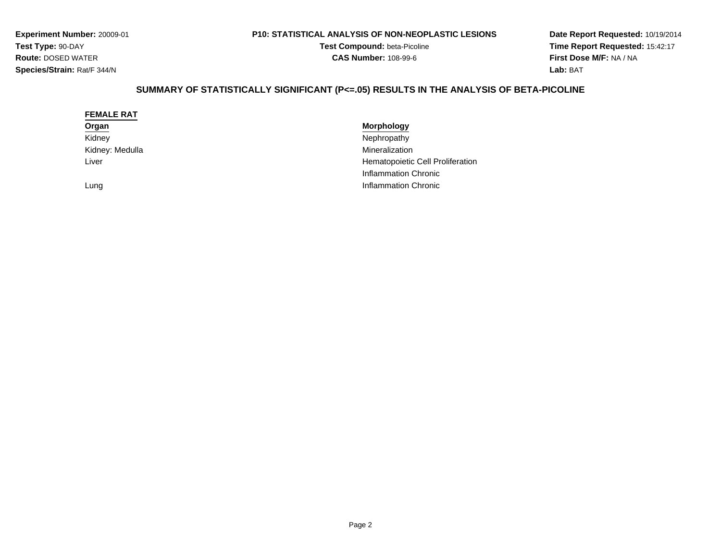**Experiment Number:** 20009-01**Test Type:** 90-DAY **Route:** DOSED WATER**Species/Strain:** Rat/F 344/N

#### **P10: STATISTICAL ANALYSIS OF NON-NEOPLASTIC LESIONS**

**Test Compound:** beta-Picoline**CAS Number:** 108-99-6

**Date Report Requested:** 10/19/2014 **Time Report Requested:** 15:42:17**First Dose M/F:** NA / NA**Lab:** BAT

# **SUMMARY OF STATISTICALLY SIGNIFICANT (P<=.05) RESULTS IN THE ANALYSIS OF BETA-PICOLINE**

| <b>FEMALE RAT</b> |                                  |
|-------------------|----------------------------------|
| Organ             | <b>Morphology</b>                |
| Kidney            | Nephropathy                      |
| Kidney: Medulla   | Mineralization                   |
| Liver             | Hematopoietic Cell Proliferation |
|                   | Inflammation Chronic             |
| Lung              | Inflammation Chronic             |
|                   |                                  |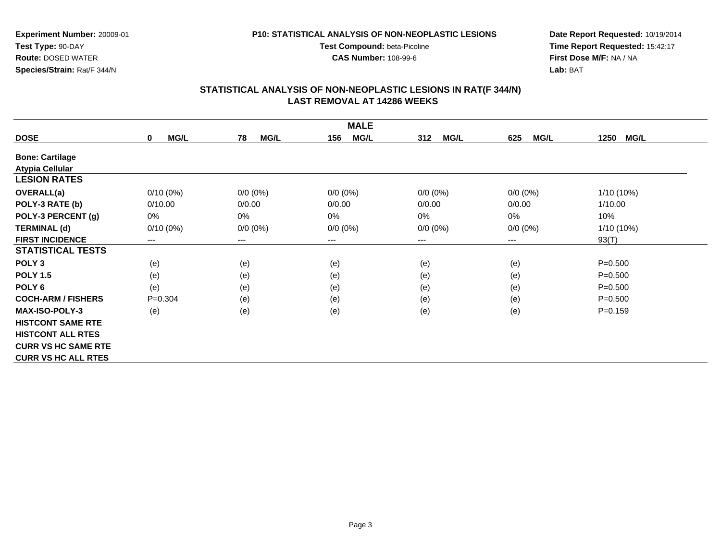**CAS Number:** 108-99-6

**Experiment Number:** 20009-01**Test Type:** 90-DAY **Route:** DOSED WATER**Species/Strain:** Rat/F 344/N

**Date Report Requested:** 10/19/2014 **Time Report Requested:** 15:42:17**First Dose M/F:** NA / NA**Lab:** BAT

| <b>MALE</b>                |                            |                        |                     |                    |                        |                     |  |  |
|----------------------------|----------------------------|------------------------|---------------------|--------------------|------------------------|---------------------|--|--|
| <b>DOSE</b>                | <b>MG/L</b><br>$\mathbf 0$ | <b>MG/L</b><br>78      | <b>MG/L</b><br>156  | <b>MG/L</b><br>312 | <b>MG/L</b><br>625     | <b>MG/L</b><br>1250 |  |  |
| <b>Bone: Cartilage</b>     |                            |                        |                     |                    |                        |                     |  |  |
| <b>Atypia Cellular</b>     |                            |                        |                     |                    |                        |                     |  |  |
| <b>LESION RATES</b>        |                            |                        |                     |                    |                        |                     |  |  |
| <b>OVERALL(a)</b>          | $0/10(0\%)$                | $0/0 (0\%)$            | $0/0 (0\%)$         | $0/0 (0\%)$        | $0/0 (0\%)$            | $1/10(10\%)$        |  |  |
| POLY-3 RATE (b)            | 0/10.00                    | 0/0.00                 | 0/0.00              | 0/0.00             | 0/0.00                 | 1/10.00             |  |  |
| POLY-3 PERCENT (g)         | 0%                         | 0%                     | $0\%$               | 0%                 | 0%                     | 10%                 |  |  |
| <b>TERMINAL (d)</b>        | $0/10(0\%)$                | $0/0 (0\%)$            | $0/0 (0\%)$         | $0/0 (0\%)$        | $0/0 (0\%)$            | $1/10(10\%)$        |  |  |
| <b>FIRST INCIDENCE</b>     | ---                        | $\qquad \qquad \cdots$ | $\qquad \qquad - -$ | ---                | $\qquad \qquad \cdots$ | 93(T)               |  |  |
| <b>STATISTICAL TESTS</b>   |                            |                        |                     |                    |                        |                     |  |  |
| POLY <sub>3</sub>          | (e)                        | (e)                    | (e)                 | (e)                | (e)                    | $P = 0.500$         |  |  |
| <b>POLY 1.5</b>            | (e)                        | (e)                    | (e)                 | (e)                | (e)                    | $P = 0.500$         |  |  |
| POLY <sub>6</sub>          | (e)                        | (e)                    | (e)                 | (e)                | (e)                    | $P = 0.500$         |  |  |
| <b>COCH-ARM / FISHERS</b>  | $P=0.304$                  | (e)                    | (e)                 | (e)                | (e)                    | $P = 0.500$         |  |  |
| <b>MAX-ISO-POLY-3</b>      | (e)                        | (e)                    | (e)                 | (e)                | (e)                    | $P = 0.159$         |  |  |
| <b>HISTCONT SAME RTE</b>   |                            |                        |                     |                    |                        |                     |  |  |
| <b>HISTCONT ALL RTES</b>   |                            |                        |                     |                    |                        |                     |  |  |
| <b>CURR VS HC SAME RTE</b> |                            |                        |                     |                    |                        |                     |  |  |
| <b>CURR VS HC ALL RTES</b> |                            |                        |                     |                    |                        |                     |  |  |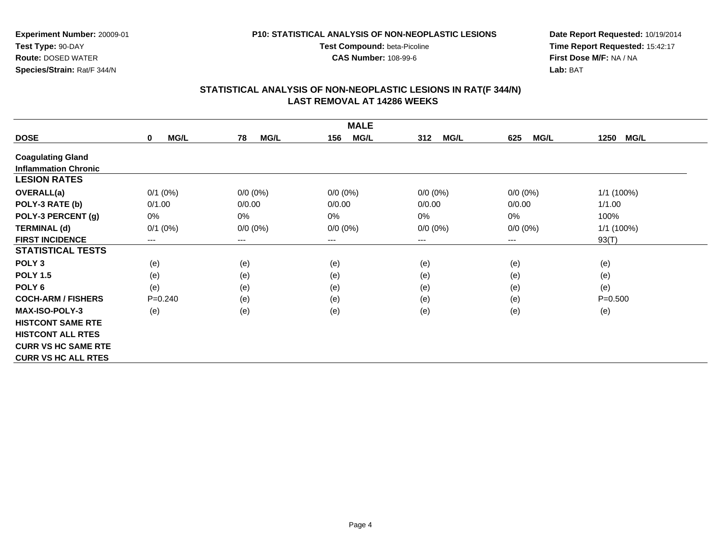**CAS Number:** 108-99-6

**Experiment Number:** 20009-01**Test Type:** 90-DAY **Route:** DOSED WATER**Species/Strain:** Rat/F 344/N

**Date Report Requested:** 10/19/2014 **Time Report Requested:** 15:42:17**First Dose M/F:** NA / NA**Lab:** BAT

| <b>MALE</b>                 |                            |                        |                    |                    |                    |                     |  |  |
|-----------------------------|----------------------------|------------------------|--------------------|--------------------|--------------------|---------------------|--|--|
| <b>DOSE</b>                 | <b>MG/L</b><br>$\mathbf 0$ | 78<br><b>MG/L</b>      | <b>MG/L</b><br>156 | 312<br><b>MG/L</b> | <b>MG/L</b><br>625 | 1250<br><b>MG/L</b> |  |  |
| <b>Coagulating Gland</b>    |                            |                        |                    |                    |                    |                     |  |  |
| <b>Inflammation Chronic</b> |                            |                        |                    |                    |                    |                     |  |  |
| <b>LESION RATES</b>         |                            |                        |                    |                    |                    |                     |  |  |
| <b>OVERALL(a)</b>           | $0/1$ $(0%)$               | $0/0 (0\%)$            | $0/0 (0\%)$        | $0/0 (0\%)$        | $0/0 (0\%)$        | 1/1 (100%)          |  |  |
| POLY-3 RATE (b)             | 0/1.00                     | 0/0.00                 | 0/0.00             | 0/0.00             | 0/0.00             | 1/1.00              |  |  |
| POLY-3 PERCENT (g)          | $0\%$                      | 0%                     | 0%                 | 0%                 | 0%                 | 100%                |  |  |
| <b>TERMINAL (d)</b>         | $0/1$ (0%)                 | $0/0 (0\%)$            | $0/0 (0\%)$        | $0/0 (0\%)$        | $0/0 (0\%)$        | 1/1 (100%)          |  |  |
| <b>FIRST INCIDENCE</b>      | ---                        | $\qquad \qquad \cdots$ | $--$               | ---                | ---                | 93(T)               |  |  |
| <b>STATISTICAL TESTS</b>    |                            |                        |                    |                    |                    |                     |  |  |
| POLY <sub>3</sub>           | (e)                        | (e)                    | (e)                | (e)                | (e)                | (e)                 |  |  |
| <b>POLY 1.5</b>             | (e)                        | (e)                    | (e)                | (e)                | (e)                | (e)                 |  |  |
| POLY <sub>6</sub>           | (e)                        | (e)                    | (e)                | (e)                | (e)                | (e)                 |  |  |
| <b>COCH-ARM / FISHERS</b>   | $P = 0.240$                | (e)                    | (e)                | (e)                | (e)                | $P = 0.500$         |  |  |
| MAX-ISO-POLY-3              | (e)                        | (e)                    | (e)                | (e)                | (e)                | (e)                 |  |  |
| <b>HISTCONT SAME RTE</b>    |                            |                        |                    |                    |                    |                     |  |  |
| <b>HISTCONT ALL RTES</b>    |                            |                        |                    |                    |                    |                     |  |  |
| <b>CURR VS HC SAME RTE</b>  |                            |                        |                    |                    |                    |                     |  |  |
| <b>CURR VS HC ALL RTES</b>  |                            |                        |                    |                    |                    |                     |  |  |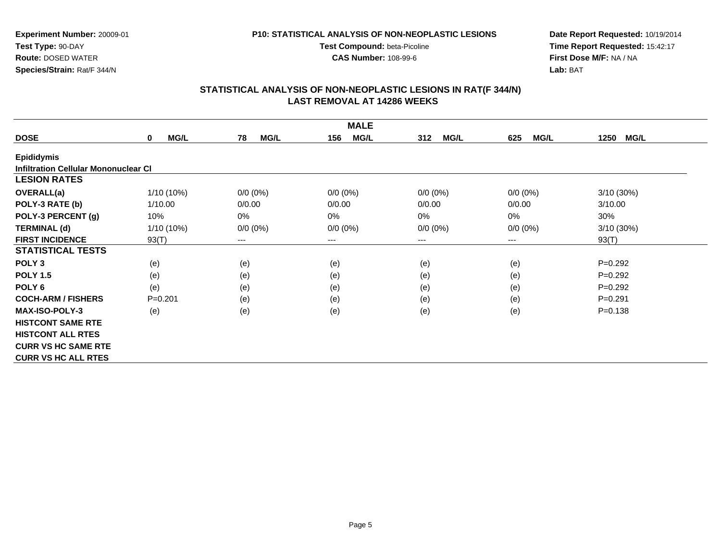**CAS Number:** 108-99-6

**Experiment Number:** 20009-01**Test Type:** 90-DAY **Route:** DOSED WATER**Species/Strain:** Rat/F 344/N

**Date Report Requested:** 10/19/2014 **Time Report Requested:** 15:42:17**First Dose M/F:** NA / NA**Lab:** BAT

| <b>MALE</b>                                 |                            |                   |                    |                    |                    |                     |  |  |
|---------------------------------------------|----------------------------|-------------------|--------------------|--------------------|--------------------|---------------------|--|--|
| <b>DOSE</b>                                 | <b>MG/L</b><br>$\mathbf 0$ | 78<br><b>MG/L</b> | <b>MG/L</b><br>156 | <b>MG/L</b><br>312 | <b>MG/L</b><br>625 | 1250<br><b>MG/L</b> |  |  |
| <b>Epididymis</b>                           |                            |                   |                    |                    |                    |                     |  |  |
| <b>Infiltration Cellular Mononuclear CI</b> |                            |                   |                    |                    |                    |                     |  |  |
| <b>LESION RATES</b>                         |                            |                   |                    |                    |                    |                     |  |  |
| <b>OVERALL(a)</b>                           | $1/10(10\%)$               | $0/0 (0\%)$       | $0/0 (0\%)$        | $0/0 (0\%)$        | $0/0(0\%)$         | $3/10(30\%)$        |  |  |
| POLY-3 RATE (b)                             | 1/10.00                    | 0/0.00            | 0/0.00             | 0/0.00             | 0/0.00             | 3/10.00             |  |  |
| POLY-3 PERCENT (g)                          | 10%                        | 0%                | 0%                 | 0%                 | 0%                 | 30%                 |  |  |
| <b>TERMINAL (d)</b>                         | $1/10(10\%)$               | $0/0 (0\%)$       | $0/0$ $(0%)$       | $0/0 (0\%)$        | $0/0 (0\%)$        | 3/10 (30%)          |  |  |
| <b>FIRST INCIDENCE</b>                      | 93(T)                      | $---$             | ---                | ---                | $---$              | 93(T)               |  |  |
| <b>STATISTICAL TESTS</b>                    |                            |                   |                    |                    |                    |                     |  |  |
| POLY <sub>3</sub>                           | (e)                        | (e)               | (e)                | (e)                | (e)                | $P=0.292$           |  |  |
| <b>POLY 1.5</b>                             | (e)                        | (e)               | (e)                | (e)                | (e)                | $P=0.292$           |  |  |
| POLY <sub>6</sub>                           | (e)                        | (e)               | (e)                | (e)                | (e)                | $P=0.292$           |  |  |
| <b>COCH-ARM / FISHERS</b>                   | $P = 0.201$                | (e)               | (e)                | (e)                | (e)                | $P = 0.291$         |  |  |
| <b>MAX-ISO-POLY-3</b>                       | (e)                        | (e)               | (e)                | (e)                | (e)                | $P = 0.138$         |  |  |
| <b>HISTCONT SAME RTE</b>                    |                            |                   |                    |                    |                    |                     |  |  |
| <b>HISTCONT ALL RTES</b>                    |                            |                   |                    |                    |                    |                     |  |  |
| <b>CURR VS HC SAME RTE</b>                  |                            |                   |                    |                    |                    |                     |  |  |
| <b>CURR VS HC ALL RTES</b>                  |                            |                   |                    |                    |                    |                     |  |  |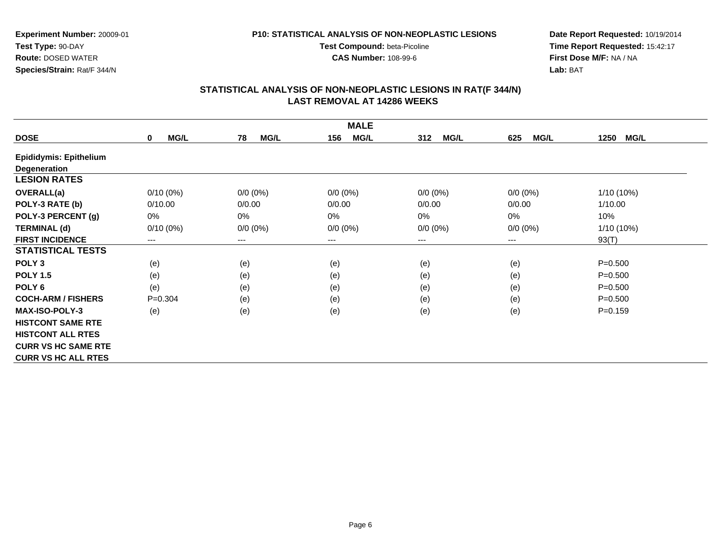**CAS Number:** 108-99-6

**Experiment Number:** 20009-01**Test Type:** 90-DAY **Route:** DOSED WATER**Species/Strain:** Rat/F 344/N

**Date Report Requested:** 10/19/2014 **Time Report Requested:** 15:42:17**First Dose M/F:** NA / NA**Lab:** BAT

| <b>MALE</b>                   |                     |                        |                    |                    |                    |                     |  |  |
|-------------------------------|---------------------|------------------------|--------------------|--------------------|--------------------|---------------------|--|--|
| <b>DOSE</b>                   | MG/L<br>$\mathbf 0$ | 78<br><b>MG/L</b>      | <b>MG/L</b><br>156 | 312<br><b>MG/L</b> | <b>MG/L</b><br>625 | 1250<br><b>MG/L</b> |  |  |
| <b>Epididymis: Epithelium</b> |                     |                        |                    |                    |                    |                     |  |  |
| <b>Degeneration</b>           |                     |                        |                    |                    |                    |                     |  |  |
| <b>LESION RATES</b>           |                     |                        |                    |                    |                    |                     |  |  |
| <b>OVERALL(a)</b>             | 0/10(0%)            | $0/0 (0\%)$            | $0/0 (0\%)$        | $0/0 (0\%)$        | $0/0 (0\%)$        | $1/10(10\%)$        |  |  |
| POLY-3 RATE (b)               | 0/10.00             | 0/0.00                 | 0/0.00             | 0/0.00             | 0/0.00             | 1/10.00             |  |  |
| POLY-3 PERCENT (g)            | 0%                  | 0%                     | 0%                 | 0%                 | 0%                 | 10%                 |  |  |
| <b>TERMINAL (d)</b>           | $0/10(0\%)$         | $0/0 (0\%)$            | $0/0 (0\%)$        | $0/0 (0\%)$        | $0/0 (0\%)$        | $1/10(10\%)$        |  |  |
| <b>FIRST INCIDENCE</b>        | ---                 | $\qquad \qquad \cdots$ | ---                | ---                | $---$              | 93(T)               |  |  |
| <b>STATISTICAL TESTS</b>      |                     |                        |                    |                    |                    |                     |  |  |
| POLY <sub>3</sub>             | (e)                 | (e)                    | (e)                | (e)                | (e)                | $P = 0.500$         |  |  |
| <b>POLY 1.5</b>               | (e)                 | (e)                    | (e)                | (e)                | (e)                | $P = 0.500$         |  |  |
| POLY <sub>6</sub>             | (e)                 | (e)                    | (e)                | (e)                | (e)                | $P = 0.500$         |  |  |
| <b>COCH-ARM / FISHERS</b>     | $P = 0.304$         | (e)                    | (e)                | (e)                | (e)                | $P = 0.500$         |  |  |
| <b>MAX-ISO-POLY-3</b>         | (e)                 | (e)                    | (e)                | (e)                | (e)                | $P=0.159$           |  |  |
| <b>HISTCONT SAME RTE</b>      |                     |                        |                    |                    |                    |                     |  |  |
| <b>HISTCONT ALL RTES</b>      |                     |                        |                    |                    |                    |                     |  |  |
| <b>CURR VS HC SAME RTE</b>    |                     |                        |                    |                    |                    |                     |  |  |
| <b>CURR VS HC ALL RTES</b>    |                     |                        |                    |                    |                    |                     |  |  |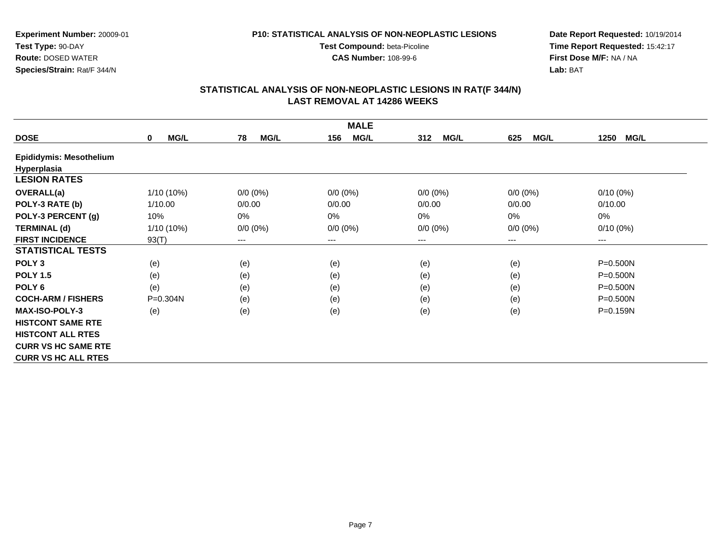**CAS Number:** 108-99-6

**Experiment Number:** 20009-01**Test Type:** 90-DAY **Route:** DOSED WATER**Species/Strain:** Rat/F 344/N

**Date Report Requested:** 10/19/2014 **Time Report Requested:** 15:42:17**First Dose M/F:** NA / NA**Lab:** BAT

| <b>MALE</b>                    |                            |                   |                    |                    |                            |                     |  |  |
|--------------------------------|----------------------------|-------------------|--------------------|--------------------|----------------------------|---------------------|--|--|
| <b>DOSE</b>                    | <b>MG/L</b><br>$\mathbf 0$ | 78<br><b>MG/L</b> | <b>MG/L</b><br>156 | 312<br><b>MG/L</b> | <b>MG/L</b><br>625         | 1250<br><b>MG/L</b> |  |  |
| <b>Epididymis: Mesothelium</b> |                            |                   |                    |                    |                            |                     |  |  |
| Hyperplasia                    |                            |                   |                    |                    |                            |                     |  |  |
| <b>LESION RATES</b>            |                            |                   |                    |                    |                            |                     |  |  |
| <b>OVERALL(a)</b>              | $1/10(10\%)$               | $0/0 (0\%)$       | $0/0 (0\%)$        | $0/0 (0\%)$        | $0/0 (0\%)$                | $0/10(0\%)$         |  |  |
| POLY-3 RATE (b)                | 1/10.00                    | 0/0.00            | 0/0.00             | 0/0.00             | 0/0.00                     | 0/10.00             |  |  |
| POLY-3 PERCENT (g)             | 10%                        | 0%                | 0%                 | 0%                 | $0\%$                      | 0%                  |  |  |
| <b>TERMINAL (d)</b>            | $1/10(10\%)$               | $0/0 (0\%)$       | $0/0 (0\%)$        | $0/0 (0\%)$        | $0/0 (0\%)$                | $0/10(0\%)$         |  |  |
| <b>FIRST INCIDENCE</b>         | 93(T)                      | $---$             | $---$              | $---$              | $\qquad \qquad - \qquad -$ | $\cdots$            |  |  |
| <b>STATISTICAL TESTS</b>       |                            |                   |                    |                    |                            |                     |  |  |
| POLY <sub>3</sub>              | (e)                        | (e)               | (e)                | (e)                | (e)                        | $P = 0.500N$        |  |  |
| <b>POLY 1.5</b>                | (e)                        | (e)               | (e)                | (e)                | (e)                        | $P = 0.500N$        |  |  |
| POLY <sub>6</sub>              | (e)                        | (e)               | (e)                | (e)                | (e)                        | $P = 0.500N$        |  |  |
| <b>COCH-ARM / FISHERS</b>      | P=0.304N                   | (e)               | (e)                | (e)                | (e)                        | $P = 0.500N$        |  |  |
| <b>MAX-ISO-POLY-3</b>          | (e)                        | (e)               | (e)                | (e)                | (e)                        | P=0.159N            |  |  |
| <b>HISTCONT SAME RTE</b>       |                            |                   |                    |                    |                            |                     |  |  |
| <b>HISTCONT ALL RTES</b>       |                            |                   |                    |                    |                            |                     |  |  |
| <b>CURR VS HC SAME RTE</b>     |                            |                   |                    |                    |                            |                     |  |  |
| <b>CURR VS HC ALL RTES</b>     |                            |                   |                    |                    |                            |                     |  |  |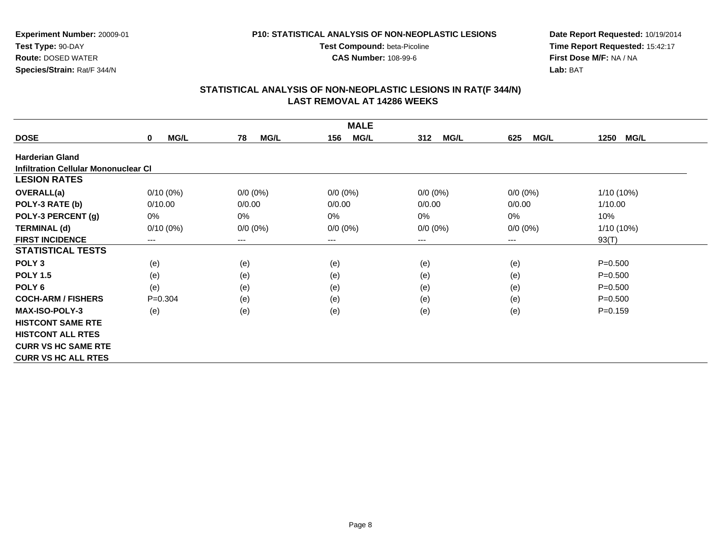**CAS Number:** 108-99-6

**Experiment Number:** 20009-01**Test Type:** 90-DAY **Route:** DOSED WATER**Species/Strain:** Rat/F 344/N

**Date Report Requested:** 10/19/2014 **Time Report Requested:** 15:42:17**First Dose M/F:** NA / NA**Lab:** BAT

|                                      |                         |                   | <b>MALE</b>        |                    |                    |                     |
|--------------------------------------|-------------------------|-------------------|--------------------|--------------------|--------------------|---------------------|
| <b>DOSE</b>                          | <b>MG/L</b><br>$\bf{0}$ | 78<br><b>MG/L</b> | <b>MG/L</b><br>156 | <b>MG/L</b><br>312 | <b>MG/L</b><br>625 | 1250<br><b>MG/L</b> |
| <b>Harderian Gland</b>               |                         |                   |                    |                    |                    |                     |
| Infiltration Cellular Mononuclear CI |                         |                   |                    |                    |                    |                     |
| <b>LESION RATES</b>                  |                         |                   |                    |                    |                    |                     |
| <b>OVERALL(a)</b>                    | $0/10(0\%)$             | $0/0 (0\%)$       | $0/0 (0\%)$        | $0/0 (0\%)$        | $0/0 (0\%)$        | 1/10 (10%)          |
| POLY-3 RATE (b)                      | 0/10.00                 | 0/0.00            | 0/0.00             | 0/0.00             | 0/0.00             | 1/10.00             |
| POLY-3 PERCENT (g)                   | 0%                      | 0%                | 0%                 | 0%                 | 0%                 | 10%                 |
| <b>TERMINAL (d)</b>                  | $0/10(0\%)$             | $0/0 (0\%)$       | $0/0 (0\%)$        | $0/0 (0\%)$        | $0/0 (0\%)$        | 1/10 (10%)          |
| <b>FIRST INCIDENCE</b>               | $---$                   | $---$             | ---                | $---$              | ---                | 93(T)               |
| <b>STATISTICAL TESTS</b>             |                         |                   |                    |                    |                    |                     |
| POLY <sub>3</sub>                    | (e)                     | (e)               | (e)                | (e)                | (e)                | $P = 0.500$         |
| <b>POLY 1.5</b>                      | (e)                     | (e)               | (e)                | (e)                | (e)                | $P = 0.500$         |
| POLY <sub>6</sub>                    | (e)                     | (e)               | (e)                | (e)                | (e)                | $P = 0.500$         |
| <b>COCH-ARM / FISHERS</b>            | $P = 0.304$             | (e)               | (e)                | (e)                | (e)                | $P = 0.500$         |
| <b>MAX-ISO-POLY-3</b>                | (e)                     | (e)               | (e)                | (e)                | (e)                | $P = 0.159$         |
| <b>HISTCONT SAME RTE</b>             |                         |                   |                    |                    |                    |                     |
| <b>HISTCONT ALL RTES</b>             |                         |                   |                    |                    |                    |                     |
| <b>CURR VS HC SAME RTE</b>           |                         |                   |                    |                    |                    |                     |
| <b>CURR VS HC ALL RTES</b>           |                         |                   |                    |                    |                    |                     |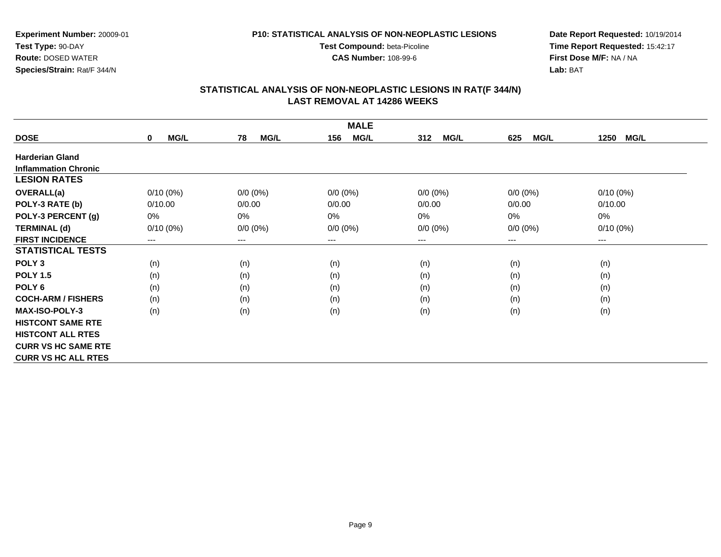**CAS Number:** 108-99-6

**Experiment Number:** 20009-01**Test Type:** 90-DAY **Route:** DOSED WATER**Species/Strain:** Rat/F 344/N

**Date Report Requested:** 10/19/2014 **Time Report Requested:** 15:42:17**First Dose M/F:** NA / NA**Lab:** BAT

| <b>MALE</b>                 |                            |                   |                    |                    |                    |                     |  |  |
|-----------------------------|----------------------------|-------------------|--------------------|--------------------|--------------------|---------------------|--|--|
| <b>DOSE</b>                 | <b>MG/L</b><br>$\mathbf 0$ | 78<br><b>MG/L</b> | <b>MG/L</b><br>156 | 312<br><b>MG/L</b> | <b>MG/L</b><br>625 | 1250<br><b>MG/L</b> |  |  |
| <b>Harderian Gland</b>      |                            |                   |                    |                    |                    |                     |  |  |
| <b>Inflammation Chronic</b> |                            |                   |                    |                    |                    |                     |  |  |
| <b>LESION RATES</b>         |                            |                   |                    |                    |                    |                     |  |  |
| <b>OVERALL(a)</b>           | $0/10(0\%)$                | $0/0 (0\%)$       | $0/0 (0\%)$        | $0/0 (0\%)$        | $0/0(0\%)$         | $0/10(0\%)$         |  |  |
| POLY-3 RATE (b)             | 0/10.00                    | 0/0.00            | 0/0.00             | 0/0.00             | 0/0.00             | 0/10.00             |  |  |
| POLY-3 PERCENT (g)          | 0%                         | 0%                | 0%                 | 0%                 | 0%                 | $0\%$               |  |  |
| <b>TERMINAL (d)</b>         | $0/10(0\%)$                | $0/0 (0\%)$       | $0/0 (0\%)$        | $0/0 (0\%)$        | $0/0 (0\%)$        | $0/10(0\%)$         |  |  |
| <b>FIRST INCIDENCE</b>      | ---                        | ---               | $--$               | ---                | $---$              | $--$                |  |  |
| <b>STATISTICAL TESTS</b>    |                            |                   |                    |                    |                    |                     |  |  |
| POLY <sub>3</sub>           | (n)                        | (n)               | (n)                | (n)                | (n)                | (n)                 |  |  |
| <b>POLY 1.5</b>             | (n)                        | (n)               | (n)                | (n)                | (n)                | (n)                 |  |  |
| POLY <sub>6</sub>           | (n)                        | (n)               | (n)                | (n)                | (n)                | (n)                 |  |  |
| <b>COCH-ARM / FISHERS</b>   | (n)                        | (n)               | (n)                | (n)                | (n)                | (n)                 |  |  |
| <b>MAX-ISO-POLY-3</b>       | (n)                        | (n)               | (n)                | (n)                | (n)                | (n)                 |  |  |
| <b>HISTCONT SAME RTE</b>    |                            |                   |                    |                    |                    |                     |  |  |
| <b>HISTCONT ALL RTES</b>    |                            |                   |                    |                    |                    |                     |  |  |
| <b>CURR VS HC SAME RTE</b>  |                            |                   |                    |                    |                    |                     |  |  |
| <b>CURR VS HC ALL RTES</b>  |                            |                   |                    |                    |                    |                     |  |  |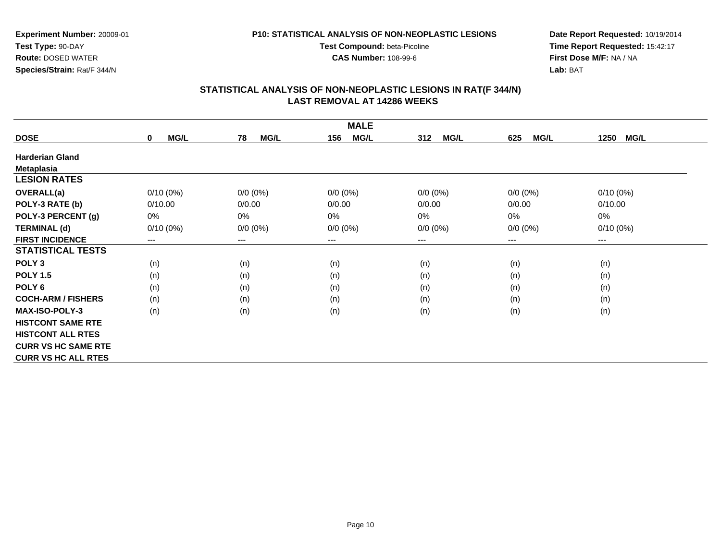**CAS Number:** 108-99-6

**Experiment Number:** 20009-01**Test Type:** 90-DAY **Route:** DOSED WATER**Species/Strain:** Rat/F 344/N

**Date Report Requested:** 10/19/2014 **Time Report Requested:** 15:42:17**First Dose M/F:** NA / NA**Lab:** BAT

| <b>MALE</b>                |                            |                        |                    |                    |                    |                     |  |  |
|----------------------------|----------------------------|------------------------|--------------------|--------------------|--------------------|---------------------|--|--|
| <b>DOSE</b>                | <b>MG/L</b><br>$\mathbf 0$ | <b>MG/L</b><br>78      | 156<br><b>MG/L</b> | <b>MG/L</b><br>312 | <b>MG/L</b><br>625 | <b>MG/L</b><br>1250 |  |  |
| <b>Harderian Gland</b>     |                            |                        |                    |                    |                    |                     |  |  |
| <b>Metaplasia</b>          |                            |                        |                    |                    |                    |                     |  |  |
| <b>LESION RATES</b>        |                            |                        |                    |                    |                    |                     |  |  |
| OVERALL(a)                 | $0/10(0\%)$                | $0/0 (0\%)$            | $0/0 (0\%)$        | $0/0 (0\%)$        | $0/0 (0\%)$        | $0/10(0\%)$         |  |  |
| POLY-3 RATE (b)            | 0/10.00                    | 0/0.00                 | 0/0.00             | 0/0.00             | 0/0.00             | 0/10.00             |  |  |
| POLY-3 PERCENT (g)         | 0%                         | 0%                     | 0%                 | 0%                 | 0%                 | 0%                  |  |  |
| <b>TERMINAL (d)</b>        | $0/10(0\%)$                | $0/0 (0\%)$            | $0/0 (0\%)$        | $0/0 (0\%)$        | $0/0 (0\%)$        | $0/10(0\%)$         |  |  |
| <b>FIRST INCIDENCE</b>     | ---                        | $\qquad \qquad \cdots$ | ---                | ---                | ---                | $--$                |  |  |
| <b>STATISTICAL TESTS</b>   |                            |                        |                    |                    |                    |                     |  |  |
| POLY <sub>3</sub>          | (n)                        | (n)                    | (n)                | (n)                | (n)                | (n)                 |  |  |
| <b>POLY 1.5</b>            | (n)                        | (n)                    | (n)                | (n)                | (n)                | (n)                 |  |  |
| POLY 6                     | (n)                        | (n)                    | (n)                | (n)                | (n)                | (n)                 |  |  |
| <b>COCH-ARM / FISHERS</b>  | (n)                        | (n)                    | (n)                | (n)                | (n)                | (n)                 |  |  |
| MAX-ISO-POLY-3             | (n)                        | (n)                    | (n)                | (n)                | (n)                | (n)                 |  |  |
| <b>HISTCONT SAME RTE</b>   |                            |                        |                    |                    |                    |                     |  |  |
| <b>HISTCONT ALL RTES</b>   |                            |                        |                    |                    |                    |                     |  |  |
| <b>CURR VS HC SAME RTE</b> |                            |                        |                    |                    |                    |                     |  |  |
| <b>CURR VS HC ALL RTES</b> |                            |                        |                    |                    |                    |                     |  |  |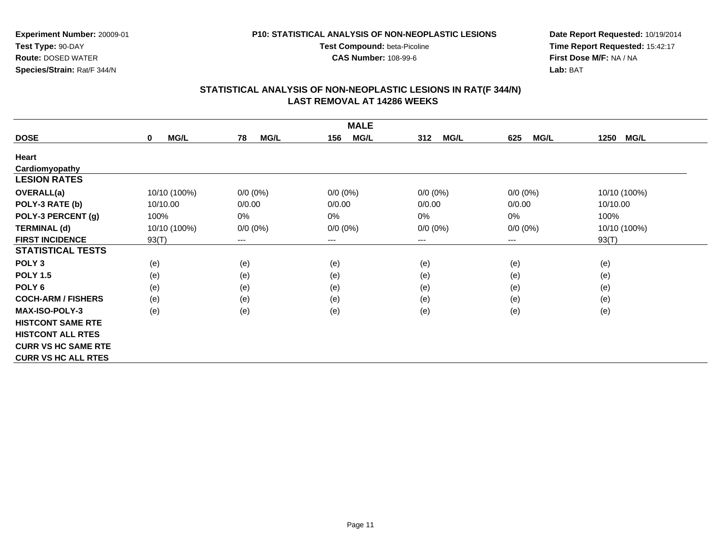**CAS Number:** 108-99-6

**Experiment Number:** 20009-01**Test Type:** 90-DAY **Route:** DOSED WATER**Species/Strain:** Rat/F 344/N

**Date Report Requested:** 10/19/2014 **Time Report Requested:** 15:42:17**First Dose M/F:** NA / NA**Lab:** BAT

| <b>MALE</b>                |                            |                        |                    |                    |                        |                     |  |  |
|----------------------------|----------------------------|------------------------|--------------------|--------------------|------------------------|---------------------|--|--|
| <b>DOSE</b>                | <b>MG/L</b><br>$\mathbf 0$ | <b>MG/L</b><br>78      | <b>MG/L</b><br>156 | <b>MG/L</b><br>312 | <b>MG/L</b><br>625     | <b>MG/L</b><br>1250 |  |  |
| Heart                      |                            |                        |                    |                    |                        |                     |  |  |
| Cardiomyopathy             |                            |                        |                    |                    |                        |                     |  |  |
| <b>LESION RATES</b>        |                            |                        |                    |                    |                        |                     |  |  |
| <b>OVERALL(a)</b>          | 10/10 (100%)               | $0/0 (0\%)$            | $0/0 (0\%)$        | $0/0 (0\%)$        | $0/0 (0\%)$            | 10/10 (100%)        |  |  |
| POLY-3 RATE (b)            | 10/10.00                   | 0/0.00                 | 0/0.00             | 0/0.00             | 0/0.00                 | 10/10.00            |  |  |
| POLY-3 PERCENT (g)         | 100%                       | 0%                     | 0%                 | 0%                 | 0%                     | 100%                |  |  |
| <b>TERMINAL (d)</b>        | 10/10 (100%)               | $0/0 (0\%)$            | $0/0 (0\%)$        | $0/0 (0\%)$        | $0/0 (0\%)$            | 10/10 (100%)        |  |  |
| <b>FIRST INCIDENCE</b>     | 93(T)                      | $\qquad \qquad \cdots$ | $---$              | ---                | $\qquad \qquad \cdots$ | 93(T)               |  |  |
| <b>STATISTICAL TESTS</b>   |                            |                        |                    |                    |                        |                     |  |  |
| POLY <sub>3</sub>          | (e)                        | (e)                    | (e)                | (e)                | (e)                    | (e)                 |  |  |
| <b>POLY 1.5</b>            | (e)                        | (e)                    | (e)                | (e)                | (e)                    | (e)                 |  |  |
| POLY <sub>6</sub>          | (e)                        | (e)                    | (e)                | (e)                | (e)                    | (e)                 |  |  |
| <b>COCH-ARM / FISHERS</b>  | (e)                        | (e)                    | (e)                | (e)                | (e)                    | (e)                 |  |  |
| <b>MAX-ISO-POLY-3</b>      | (e)                        | (e)                    | (e)                | (e)                | (e)                    | (e)                 |  |  |
| <b>HISTCONT SAME RTE</b>   |                            |                        |                    |                    |                        |                     |  |  |
| <b>HISTCONT ALL RTES</b>   |                            |                        |                    |                    |                        |                     |  |  |
| <b>CURR VS HC SAME RTE</b> |                            |                        |                    |                    |                        |                     |  |  |
| <b>CURR VS HC ALL RTES</b> |                            |                        |                    |                    |                        |                     |  |  |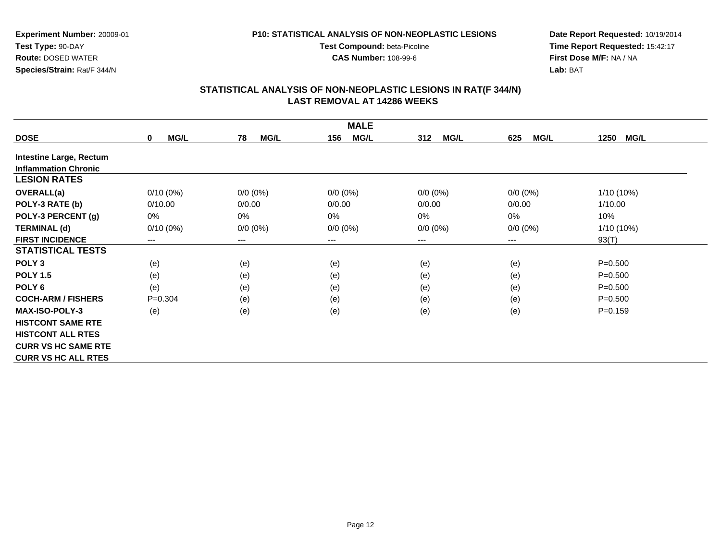**CAS Number:** 108-99-6

**Experiment Number:** 20009-01**Test Type:** 90-DAY **Route:** DOSED WATER**Species/Strain:** Rat/F 344/N

**Date Report Requested:** 10/19/2014 **Time Report Requested:** 15:42:17**First Dose M/F:** NA / NA**Lab:** BAT

| <b>MALE</b>                    |                            |                        |                    |                    |                    |                     |  |  |
|--------------------------------|----------------------------|------------------------|--------------------|--------------------|--------------------|---------------------|--|--|
| <b>DOSE</b>                    | <b>MG/L</b><br>$\mathbf 0$ | 78<br><b>MG/L</b>      | <b>MG/L</b><br>156 | 312<br><b>MG/L</b> | 625<br><b>MG/L</b> | 1250<br><b>MG/L</b> |  |  |
| <b>Intestine Large, Rectum</b> |                            |                        |                    |                    |                    |                     |  |  |
| <b>Inflammation Chronic</b>    |                            |                        |                    |                    |                    |                     |  |  |
| <b>LESION RATES</b>            |                            |                        |                    |                    |                    |                     |  |  |
| OVERALL(a)                     | $0/10(0\%)$                | $0/0 (0\%)$            | $0/0 (0\%)$        | $0/0 (0\%)$        | $0/0 (0\%)$        | 1/10 (10%)          |  |  |
| POLY-3 RATE (b)                | 0/10.00                    | 0/0.00                 | 0/0.00             | 0/0.00             | 0/0.00             | 1/10.00             |  |  |
| POLY-3 PERCENT (g)             | $0\%$                      | 0%                     | $0\%$              | 0%                 | 0%                 | 10%                 |  |  |
| <b>TERMINAL (d)</b>            | $0/10(0\%)$                | $0/0 (0\%)$            | $0/0 (0\%)$        | $0/0 (0\%)$        | $0/0 (0\%)$        | 1/10 (10%)          |  |  |
| <b>FIRST INCIDENCE</b>         | ---                        | $\qquad \qquad \cdots$ | ---                | ---                | ---                | 93(T)               |  |  |
| <b>STATISTICAL TESTS</b>       |                            |                        |                    |                    |                    |                     |  |  |
| POLY <sub>3</sub>              | (e)                        | (e)                    | (e)                | (e)                | (e)                | $P = 0.500$         |  |  |
| <b>POLY 1.5</b>                | (e)                        | (e)                    | (e)                | (e)                | (e)                | $P = 0.500$         |  |  |
| POLY <sub>6</sub>              | (e)                        | (e)                    | (e)                | (e)                | (e)                | $P = 0.500$         |  |  |
| <b>COCH-ARM / FISHERS</b>      | $P = 0.304$                | (e)                    | (e)                | (e)                | (e)                | $P = 0.500$         |  |  |
| <b>MAX-ISO-POLY-3</b>          | (e)                        | (e)                    | (e)                | (e)                | (e)                | $P = 0.159$         |  |  |
| <b>HISTCONT SAME RTE</b>       |                            |                        |                    |                    |                    |                     |  |  |
| <b>HISTCONT ALL RTES</b>       |                            |                        |                    |                    |                    |                     |  |  |
| <b>CURR VS HC SAME RTE</b>     |                            |                        |                    |                    |                    |                     |  |  |
| <b>CURR VS HC ALL RTES</b>     |                            |                        |                    |                    |                    |                     |  |  |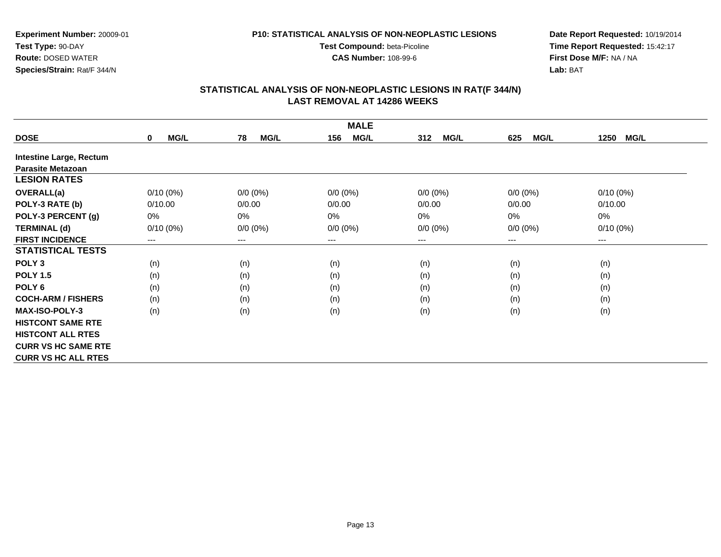**CAS Number:** 108-99-6

**Experiment Number:** 20009-01**Test Type:** 90-DAY **Route:** DOSED WATER**Species/Strain:** Rat/F 344/N

**Date Report Requested:** 10/19/2014 **Time Report Requested:** 15:42:17**First Dose M/F:** NA / NA**Lab:** BAT

|                                | <b>MALE</b>                |                        |                    |                    |                    |                     |  |  |
|--------------------------------|----------------------------|------------------------|--------------------|--------------------|--------------------|---------------------|--|--|
| <b>DOSE</b>                    | <b>MG/L</b><br>$\mathbf 0$ | <b>MG/L</b><br>78      | 156<br><b>MG/L</b> | <b>MG/L</b><br>312 | <b>MG/L</b><br>625 | <b>MG/L</b><br>1250 |  |  |
| <b>Intestine Large, Rectum</b> |                            |                        |                    |                    |                    |                     |  |  |
| <b>Parasite Metazoan</b>       |                            |                        |                    |                    |                    |                     |  |  |
| <b>LESION RATES</b>            |                            |                        |                    |                    |                    |                     |  |  |
| <b>OVERALL(a)</b>              | $0/10(0\%)$                | $0/0 (0\%)$            | $0/0 (0\%)$        | $0/0 (0\%)$        | $0/0 (0\%)$        | $0/10(0\%)$         |  |  |
| POLY-3 RATE (b)                | 0/10.00                    | 0/0.00                 | 0/0.00             | 0/0.00             | 0/0.00             | 0/10.00             |  |  |
| POLY-3 PERCENT (g)             | 0%                         | 0%                     | 0%                 | 0%                 | 0%                 | 0%                  |  |  |
| <b>TERMINAL (d)</b>            | $0/10(0\%)$                | $0/0 (0\%)$            | $0/0 (0\%)$        | $0/0 (0\%)$        | $0/0 (0\%)$        | $0/10(0\%)$         |  |  |
| <b>FIRST INCIDENCE</b>         | ---                        | $\qquad \qquad \cdots$ | ---                | ---                | ---                | $--$                |  |  |
| <b>STATISTICAL TESTS</b>       |                            |                        |                    |                    |                    |                     |  |  |
| POLY <sub>3</sub>              | (n)                        | (n)                    | (n)                | (n)                | (n)                | (n)                 |  |  |
| <b>POLY 1.5</b>                | (n)                        | (n)                    | (n)                | (n)                | (n)                | (n)                 |  |  |
| POLY 6                         | (n)                        | (n)                    | (n)                | (n)                | (n)                | (n)                 |  |  |
| <b>COCH-ARM / FISHERS</b>      | (n)                        | (n)                    | (n)                | (n)                | (n)                | (n)                 |  |  |
| <b>MAX-ISO-POLY-3</b>          | (n)                        | (n)                    | (n)                | (n)                | (n)                | (n)                 |  |  |
| <b>HISTCONT SAME RTE</b>       |                            |                        |                    |                    |                    |                     |  |  |
| <b>HISTCONT ALL RTES</b>       |                            |                        |                    |                    |                    |                     |  |  |
| <b>CURR VS HC SAME RTE</b>     |                            |                        |                    |                    |                    |                     |  |  |
| <b>CURR VS HC ALL RTES</b>     |                            |                        |                    |                    |                    |                     |  |  |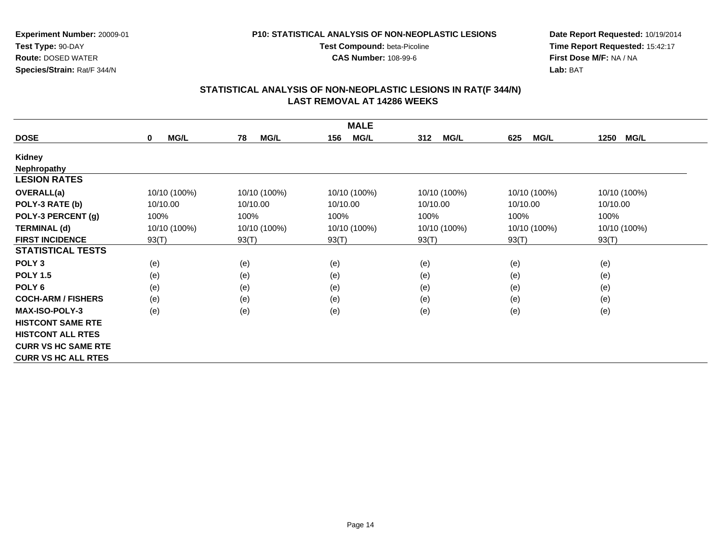**CAS Number:** 108-99-6

**Experiment Number:** 20009-01**Test Type:** 90-DAY **Route:** DOSED WATER**Species/Strain:** Rat/F 344/N

**Date Report Requested:** 10/19/2014 **Time Report Requested:** 15:42:17**First Dose M/F:** NA / NA**Lab:** BAT

| <b>MALE</b>                |                            |                   |                    |                    |                    |                     |  |
|----------------------------|----------------------------|-------------------|--------------------|--------------------|--------------------|---------------------|--|
| <b>DOSE</b>                | <b>MG/L</b><br>$\mathbf 0$ | <b>MG/L</b><br>78 | <b>MG/L</b><br>156 | <b>MG/L</b><br>312 | <b>MG/L</b><br>625 | <b>MG/L</b><br>1250 |  |
| Kidney                     |                            |                   |                    |                    |                    |                     |  |
| <b>Nephropathy</b>         |                            |                   |                    |                    |                    |                     |  |
| <b>LESION RATES</b>        |                            |                   |                    |                    |                    |                     |  |
| <b>OVERALL(a)</b>          | 10/10 (100%)               | 10/10 (100%)      | 10/10 (100%)       | 10/10 (100%)       | 10/10 (100%)       | 10/10 (100%)        |  |
| POLY-3 RATE (b)            | 10/10.00                   | 10/10.00          | 10/10.00           | 10/10.00           | 10/10.00           | 10/10.00            |  |
| POLY-3 PERCENT (g)         | 100%                       | 100%              | 100%               | 100%               | 100%               | 100%                |  |
| <b>TERMINAL (d)</b>        | 10/10 (100%)               | 10/10 (100%)      | 10/10 (100%)       | 10/10 (100%)       | 10/10 (100%)       | 10/10 (100%)        |  |
| <b>FIRST INCIDENCE</b>     | 93(T)                      | 93(T)             | 93(T)              | 93(T)              | 93(T)              | 93(T)               |  |
| <b>STATISTICAL TESTS</b>   |                            |                   |                    |                    |                    |                     |  |
| POLY <sub>3</sub>          | (e)                        | (e)               | (e)                | (e)                | (e)                | (e)                 |  |
| <b>POLY 1.5</b>            | (e)                        | (e)               | (e)                | (e)                | (e)                | (e)                 |  |
| POLY <sub>6</sub>          | (e)                        | (e)               | (e)                | (e)                | (e)                | (e)                 |  |
| <b>COCH-ARM / FISHERS</b>  | (e)                        | (e)               | (e)                | (e)                | (e)                | (e)                 |  |
| <b>MAX-ISO-POLY-3</b>      | (e)                        | (e)               | (e)                | (e)                | (e)                | (e)                 |  |
| <b>HISTCONT SAME RTE</b>   |                            |                   |                    |                    |                    |                     |  |
| <b>HISTCONT ALL RTES</b>   |                            |                   |                    |                    |                    |                     |  |
| <b>CURR VS HC SAME RTE</b> |                            |                   |                    |                    |                    |                     |  |
| <b>CURR VS HC ALL RTES</b> |                            |                   |                    |                    |                    |                     |  |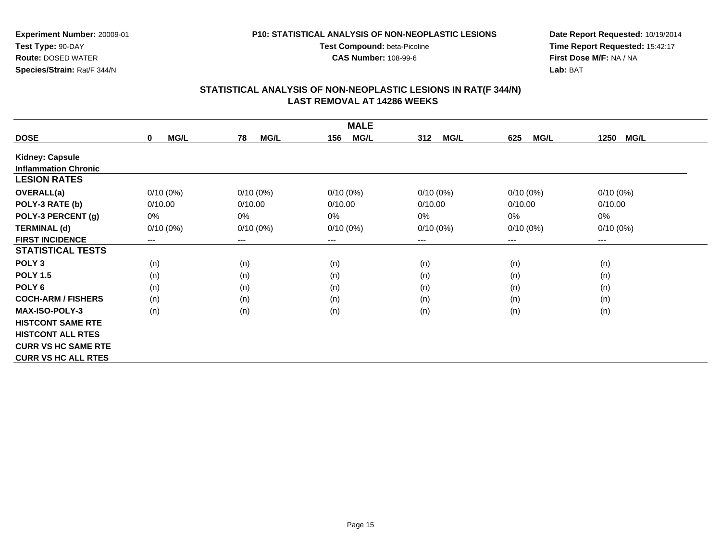**CAS Number:** 108-99-6

**Experiment Number:** 20009-01**Test Type:** 90-DAY **Route:** DOSED WATER**Species/Strain:** Rat/F 344/N

**Date Report Requested:** 10/19/2014 **Time Report Requested:** 15:42:17**First Dose M/F:** NA / NA**Lab:** BAT

|                             | <b>MALE</b>                |                        |                    |                    |                    |                     |  |  |
|-----------------------------|----------------------------|------------------------|--------------------|--------------------|--------------------|---------------------|--|--|
| <b>DOSE</b>                 | <b>MG/L</b><br>$\mathbf 0$ | 78<br><b>MG/L</b>      | <b>MG/L</b><br>156 | 312<br><b>MG/L</b> | <b>MG/L</b><br>625 | 1250<br><b>MG/L</b> |  |  |
| Kidney: Capsule             |                            |                        |                    |                    |                    |                     |  |  |
| <b>Inflammation Chronic</b> |                            |                        |                    |                    |                    |                     |  |  |
| <b>LESION RATES</b>         |                            |                        |                    |                    |                    |                     |  |  |
| OVERALL(a)                  | $0/10(0\%)$                | $0/10(0\%)$            | $0/10(0\%)$        | $0/10(0\%)$        | $0/10(0\%)$        | $0/10(0\%)$         |  |  |
| POLY-3 RATE (b)             | 0/10.00                    | 0/10.00                | 0/10.00            | 0/10.00            | 0/10.00            | 0/10.00             |  |  |
| POLY-3 PERCENT (g)          | 0%                         | 0%                     | $0\%$              | 0%                 | 0%                 | 0%                  |  |  |
| <b>TERMINAL (d)</b>         | $0/10(0\%)$                | $0/10(0\%)$            | $0/10(0\%)$        | $0/10(0\%)$        | $0/10(0\%)$        | $0/10(0\%)$         |  |  |
| <b>FIRST INCIDENCE</b>      | ---                        | $\qquad \qquad \cdots$ | ---                | ---                | ---                | $--$                |  |  |
| <b>STATISTICAL TESTS</b>    |                            |                        |                    |                    |                    |                     |  |  |
| POLY <sub>3</sub>           | (n)                        | (n)                    | (n)                | (n)                | (n)                | (n)                 |  |  |
| <b>POLY 1.5</b>             | (n)                        | (n)                    | (n)                | (n)                | (n)                | (n)                 |  |  |
| POLY <sub>6</sub>           | (n)                        | (n)                    | (n)                | (n)                | (n)                | (n)                 |  |  |
| <b>COCH-ARM / FISHERS</b>   | (n)                        | (n)                    | (n)                | (n)                | (n)                | (n)                 |  |  |
| MAX-ISO-POLY-3              | (n)                        | (n)                    | (n)                | (n)                | (n)                | (n)                 |  |  |
| <b>HISTCONT SAME RTE</b>    |                            |                        |                    |                    |                    |                     |  |  |
| <b>HISTCONT ALL RTES</b>    |                            |                        |                    |                    |                    |                     |  |  |
| <b>CURR VS HC SAME RTE</b>  |                            |                        |                    |                    |                    |                     |  |  |
| <b>CURR VS HC ALL RTES</b>  |                            |                        |                    |                    |                    |                     |  |  |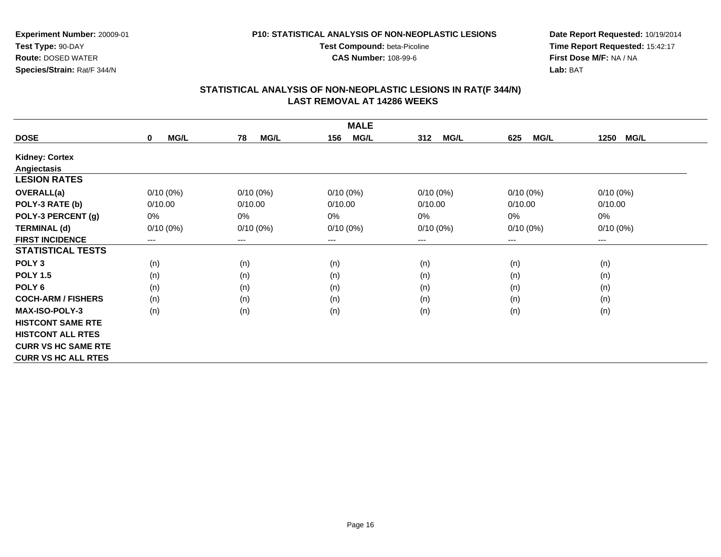**CAS Number:** 108-99-6

**Experiment Number:** 20009-01**Test Type:** 90-DAY **Route:** DOSED WATER**Species/Strain:** Rat/F 344/N

**Date Report Requested:** 10/19/2014 **Time Report Requested:** 15:42:17**First Dose M/F:** NA / NA**Lab:** BAT

| <b>MALE</b>                |                            |                        |                    |                    |                    |                     |  |
|----------------------------|----------------------------|------------------------|--------------------|--------------------|--------------------|---------------------|--|
| <b>DOSE</b>                | <b>MG/L</b><br>$\mathbf 0$ | <b>MG/L</b><br>78      | <b>MG/L</b><br>156 | <b>MG/L</b><br>312 | <b>MG/L</b><br>625 | <b>MG/L</b><br>1250 |  |
| <b>Kidney: Cortex</b>      |                            |                        |                    |                    |                    |                     |  |
| Angiectasis                |                            |                        |                    |                    |                    |                     |  |
| <b>LESION RATES</b>        |                            |                        |                    |                    |                    |                     |  |
| <b>OVERALL(a)</b>          | $0/10(0\%)$                | $0/10(0\%)$            | $0/10(0\%)$        | $0/10(0\%)$        | $0/10(0\%)$        | $0/10(0\%)$         |  |
| POLY-3 RATE (b)            | 0/10.00                    | 0/10.00                | 0/10.00            | 0/10.00            | 0/10.00            | 0/10.00             |  |
| POLY-3 PERCENT (g)         | 0%                         | 0%                     | $0\%$              | 0%                 | 0%                 | 0%                  |  |
| <b>TERMINAL (d)</b>        | $0/10(0\%)$                | $0/10(0\%)$            | $0/10(0\%)$        | $0/10(0\%)$        | $0/10(0\%)$        | $0/10(0\%)$         |  |
| <b>FIRST INCIDENCE</b>     | ---                        | $\qquad \qquad \cdots$ | $--$               | ---                | ---                | $---$               |  |
| <b>STATISTICAL TESTS</b>   |                            |                        |                    |                    |                    |                     |  |
| POLY <sub>3</sub>          | (n)                        | (n)                    | (n)                | (n)                | (n)                | (n)                 |  |
| <b>POLY 1.5</b>            | (n)                        | (n)                    | (n)                | (n)                | (n)                | (n)                 |  |
| POLY <sub>6</sub>          | (n)                        | (n)                    | (n)                | (n)                | (n)                | (n)                 |  |
| <b>COCH-ARM / FISHERS</b>  | (n)                        | (n)                    | (n)                | (n)                | (n)                | (n)                 |  |
| <b>MAX-ISO-POLY-3</b>      | (n)                        | (n)                    | (n)                | (n)                | (n)                | (n)                 |  |
| <b>HISTCONT SAME RTE</b>   |                            |                        |                    |                    |                    |                     |  |
| <b>HISTCONT ALL RTES</b>   |                            |                        |                    |                    |                    |                     |  |
| <b>CURR VS HC SAME RTE</b> |                            |                        |                    |                    |                    |                     |  |
| <b>CURR VS HC ALL RTES</b> |                            |                        |                    |                    |                    |                     |  |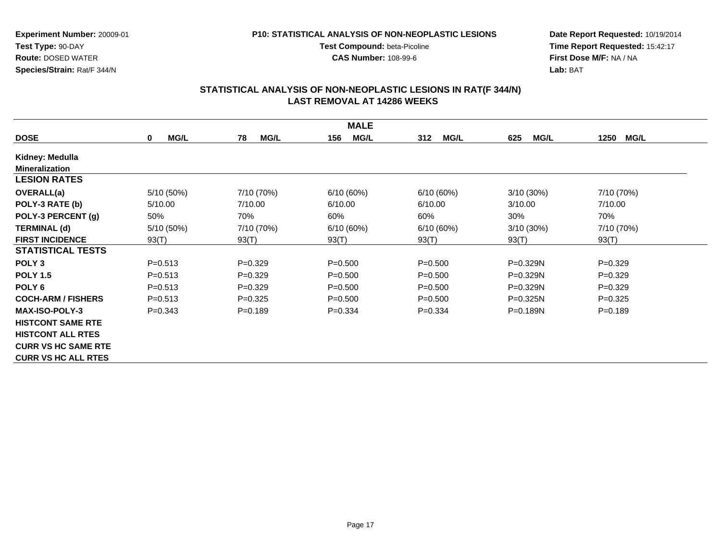**CAS Number:** 108-99-6

**Experiment Number:** 20009-01**Test Type:** 90-DAY **Route:** DOSED WATER**Species/Strain:** Rat/F 344/N

**Date Report Requested:** 10/19/2014 **Time Report Requested:** 15:42:17**First Dose M/F:** NA / NA**Lab:** BAT

|                            |                            |                   | <b>MALE</b>        |                    |                    |                     |
|----------------------------|----------------------------|-------------------|--------------------|--------------------|--------------------|---------------------|
| <b>DOSE</b>                | <b>MG/L</b><br>$\mathbf 0$ | <b>MG/L</b><br>78 | <b>MG/L</b><br>156 | <b>MG/L</b><br>312 | <b>MG/L</b><br>625 | <b>MG/L</b><br>1250 |
| Kidney: Medulla            |                            |                   |                    |                    |                    |                     |
| <b>Mineralization</b>      |                            |                   |                    |                    |                    |                     |
| <b>LESION RATES</b>        |                            |                   |                    |                    |                    |                     |
| <b>OVERALL(a)</b>          | 5/10 (50%)                 | 7/10 (70%)        | 6/10(60%)          | 6/10(60%)          | $3/10(30\%)$       | 7/10 (70%)          |
| POLY-3 RATE (b)            | 5/10.00                    | 7/10.00           | 6/10.00            | 6/10.00            | 3/10.00            | 7/10.00             |
| POLY-3 PERCENT (g)         | 50%                        | 70%               | 60%                | 60%                | 30%                | 70%                 |
| <b>TERMINAL (d)</b>        | 5/10 (50%)                 | 7/10 (70%)        | 6/10(60%)          | 6/10(60%)          | 3/10(30%)          | 7/10 (70%)          |
| <b>FIRST INCIDENCE</b>     | 93(T)                      | 93(T)             | 93(T)              | 93(T)              | 93(T)              | 93(T)               |
| <b>STATISTICAL TESTS</b>   |                            |                   |                    |                    |                    |                     |
| POLY <sub>3</sub>          | $P = 0.513$                | $P=0.329$         | $P = 0.500$        | $P = 0.500$        | P=0.329N           | $P = 0.329$         |
| <b>POLY 1.5</b>            | $P = 0.513$                | $P=0.329$         | $P = 0.500$        | $P = 0.500$        | $P = 0.329N$       | $P = 0.329$         |
| POLY <sub>6</sub>          | $P = 0.513$                | $P=0.329$         | $P = 0.500$        | $P = 0.500$        | P=0.329N           | $P = 0.329$         |
| <b>COCH-ARM / FISHERS</b>  | $P = 0.513$                | $P=0.325$         | $P = 0.500$        | $P = 0.500$        | $P = 0.325N$       | $P = 0.325$         |
| <b>MAX-ISO-POLY-3</b>      | $P = 0.343$                | $P = 0.189$       | $P=0.334$          | $P = 0.334$        | $P = 0.189N$       | $P = 0.189$         |
| <b>HISTCONT SAME RTE</b>   |                            |                   |                    |                    |                    |                     |
| <b>HISTCONT ALL RTES</b>   |                            |                   |                    |                    |                    |                     |
| <b>CURR VS HC SAME RTE</b> |                            |                   |                    |                    |                    |                     |
| <b>CURR VS HC ALL RTES</b> |                            |                   |                    |                    |                    |                     |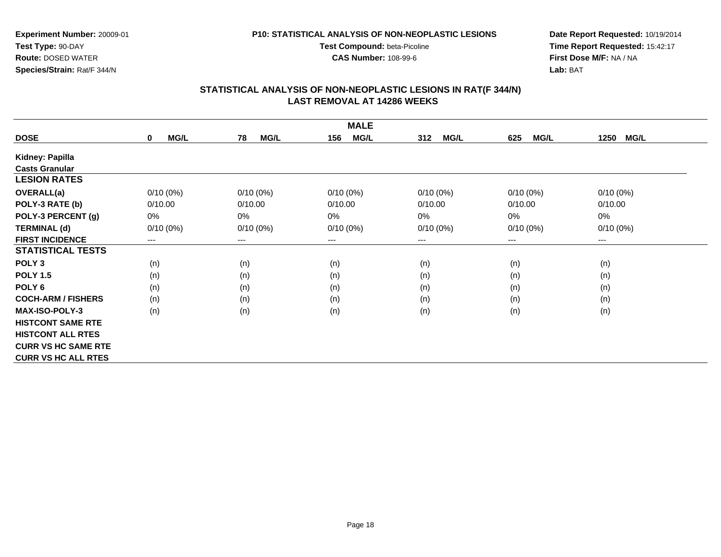**CAS Number:** 108-99-6

**Experiment Number:** 20009-01**Test Type:** 90-DAY **Route:** DOSED WATER**Species/Strain:** Rat/F 344/N

**Date Report Requested:** 10/19/2014 **Time Report Requested:** 15:42:17**First Dose M/F:** NA / NA**Lab:** BAT

|                            |                     |                            | <b>MALE</b>        |                    |                    |                     |
|----------------------------|---------------------|----------------------------|--------------------|--------------------|--------------------|---------------------|
| <b>DOSE</b>                | MG/L<br>$\mathbf 0$ | <b>MG/L</b><br>78          | <b>MG/L</b><br>156 | <b>MG/L</b><br>312 | <b>MG/L</b><br>625 | <b>MG/L</b><br>1250 |
| Kidney: Papilla            |                     |                            |                    |                    |                    |                     |
| <b>Casts Granular</b>      |                     |                            |                    |                    |                    |                     |
| <b>LESION RATES</b>        |                     |                            |                    |                    |                    |                     |
| OVERALL(a)                 | $0/10(0\%)$         | $0/10(0\%)$                | $0/10(0\%)$        | $0/10(0\%)$        | $0/10(0\%)$        | $0/10(0\%)$         |
| POLY-3 RATE (b)            | 0/10.00             | 0/10.00                    | 0/10.00            | 0/10.00            | 0/10.00            | 0/10.00             |
| POLY-3 PERCENT (g)         | 0%                  | 0%                         | 0%                 | 0%                 | 0%                 | 0%                  |
| <b>TERMINAL (d)</b>        | $0/10(0\%)$         | $0/10(0\%)$                | $0/10(0\%)$        | $0/10(0\%)$        | $0/10(0\%)$        | $0/10(0\%)$         |
| <b>FIRST INCIDENCE</b>     | ---                 | $\qquad \qquad - \qquad -$ | ---                | ---                | ---                | $--$                |
| <b>STATISTICAL TESTS</b>   |                     |                            |                    |                    |                    |                     |
| POLY <sub>3</sub>          | (n)                 | (n)                        | (n)                | (n)                | (n)                | (n)                 |
| <b>POLY 1.5</b>            | (n)                 | (n)                        | (n)                | (n)                | (n)                | (n)                 |
| POLY <sub>6</sub>          | (n)                 | (n)                        | (n)                | (n)                | (n)                | (n)                 |
| <b>COCH-ARM / FISHERS</b>  | (n)                 | (n)                        | (n)                | (n)                | (n)                | (n)                 |
| MAX-ISO-POLY-3             | (n)                 | (n)                        | (n)                | (n)                | (n)                | (n)                 |
| <b>HISTCONT SAME RTE</b>   |                     |                            |                    |                    |                    |                     |
| <b>HISTCONT ALL RTES</b>   |                     |                            |                    |                    |                    |                     |
| <b>CURR VS HC SAME RTE</b> |                     |                            |                    |                    |                    |                     |
| <b>CURR VS HC ALL RTES</b> |                     |                            |                    |                    |                    |                     |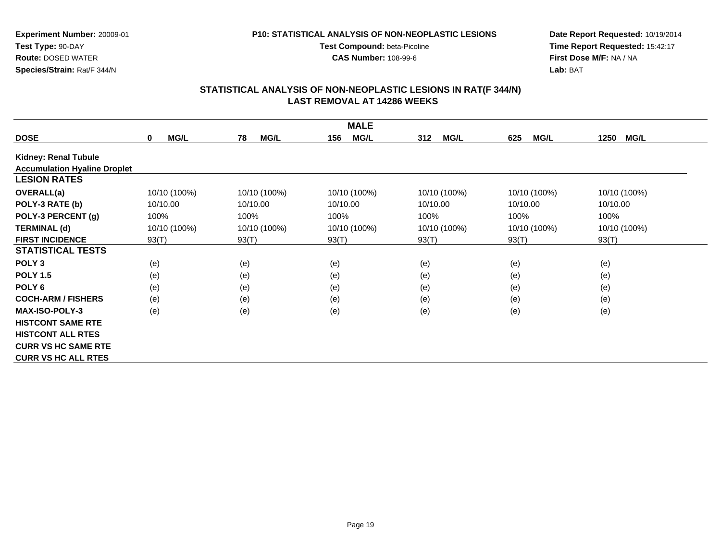**P10: STATISTICAL ANALYSIS OF NON-NEOPLASTIC LESIONS**

**Test Compound:** beta-Picoline**CAS Number:** 108-99-6

**Experiment Number:** 20009-01**Test Type:** 90-DAY **Route:** DOSED WATER**Species/Strain:** Rat/F 344/N

**Date Report Requested:** 10/19/2014 **Time Report Requested:** 15:42:17**First Dose M/F:** NA / NA**Lab:** BAT

|                                     | <b>MALE</b>                |                   |                    |                    |                    |                     |  |  |
|-------------------------------------|----------------------------|-------------------|--------------------|--------------------|--------------------|---------------------|--|--|
| <b>DOSE</b>                         | <b>MG/L</b><br>$\mathbf 0$ | <b>MG/L</b><br>78 | <b>MG/L</b><br>156 | <b>MG/L</b><br>312 | <b>MG/L</b><br>625 | <b>MG/L</b><br>1250 |  |  |
| <b>Kidney: Renal Tubule</b>         |                            |                   |                    |                    |                    |                     |  |  |
| <b>Accumulation Hyaline Droplet</b> |                            |                   |                    |                    |                    |                     |  |  |
| <b>LESION RATES</b>                 |                            |                   |                    |                    |                    |                     |  |  |
| <b>OVERALL(a)</b>                   | 10/10 (100%)               | 10/10 (100%)      | 10/10 (100%)       | 10/10 (100%)       | 10/10 (100%)       | 10/10 (100%)        |  |  |
| POLY-3 RATE (b)                     | 10/10.00                   | 10/10.00          | 10/10.00           | 10/10.00           | 10/10.00           | 10/10.00            |  |  |
| POLY-3 PERCENT (g)                  | 100%                       | 100%              | 100%               | 100%               | 100%               | 100%                |  |  |
| <b>TERMINAL (d)</b>                 | 10/10 (100%)               | 10/10 (100%)      | 10/10 (100%)       | 10/10 (100%)       | 10/10 (100%)       | 10/10 (100%)        |  |  |
| <b>FIRST INCIDENCE</b>              | 93(T)                      | 93(T)             | 93(T)              | 93(T)              | 93(T)              | 93(T)               |  |  |
| <b>STATISTICAL TESTS</b>            |                            |                   |                    |                    |                    |                     |  |  |
| POLY <sub>3</sub>                   | (e)                        | (e)               | (e)                | (e)                | (e)                | (e)                 |  |  |
| <b>POLY 1.5</b>                     | (e)                        | (e)               | (e)                | (e)                | (e)                | (e)                 |  |  |
| POLY <sub>6</sub>                   | (e)                        | (e)               | (e)                | (e)                | (e)                | (e)                 |  |  |
| <b>COCH-ARM / FISHERS</b>           | (e)                        | (e)               | (e)                | (e)                | (e)                | (e)                 |  |  |
| <b>MAX-ISO-POLY-3</b>               | (e)                        | (e)               | (e)                | (e)                | (e)                | (e)                 |  |  |
| <b>HISTCONT SAME RTE</b>            |                            |                   |                    |                    |                    |                     |  |  |
| <b>HISTCONT ALL RTES</b>            |                            |                   |                    |                    |                    |                     |  |  |
| <b>CURR VS HC SAME RTE</b>          |                            |                   |                    |                    |                    |                     |  |  |
| <b>CURR VS HC ALL RTES</b>          |                            |                   |                    |                    |                    |                     |  |  |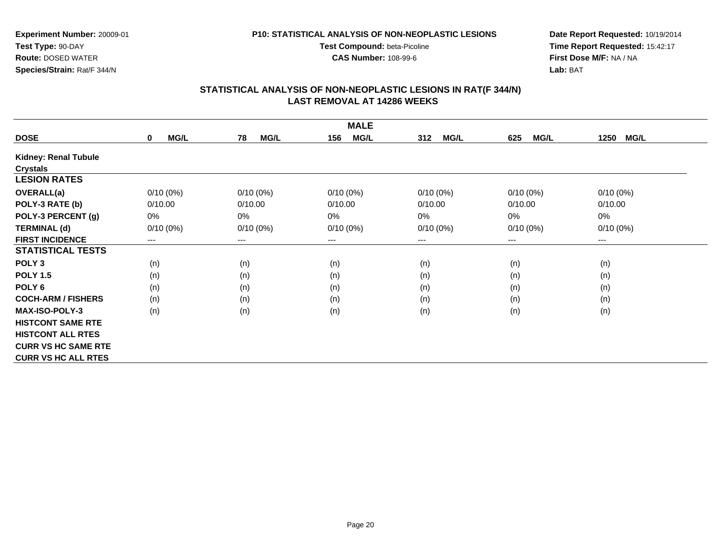**CAS Number:** 108-99-6

**Experiment Number:** 20009-01**Test Type:** 90-DAY **Route:** DOSED WATER**Species/Strain:** Rat/F 344/N

**Date Report Requested:** 10/19/2014 **Time Report Requested:** 15:42:17**First Dose M/F:** NA / NA**Lab:** BAT

| <b>MALE</b>                 |                     |                        |                    |                    |                    |                     |  |
|-----------------------------|---------------------|------------------------|--------------------|--------------------|--------------------|---------------------|--|
| <b>DOSE</b>                 | MG/L<br>$\mathbf 0$ | <b>MG/L</b><br>78      | <b>MG/L</b><br>156 | 312<br><b>MG/L</b> | <b>MG/L</b><br>625 | 1250<br><b>MG/L</b> |  |
| <b>Kidney: Renal Tubule</b> |                     |                        |                    |                    |                    |                     |  |
| <b>Crystals</b>             |                     |                        |                    |                    |                    |                     |  |
| <b>LESION RATES</b>         |                     |                        |                    |                    |                    |                     |  |
| <b>OVERALL(a)</b>           | $0/10(0\%)$         | $0/10(0\%)$            | $0/10(0\%)$        | $0/10(0\%)$        | $0/10(0\%)$        | $0/10(0\%)$         |  |
| POLY-3 RATE (b)             | 0/10.00             | 0/10.00                | 0/10.00            | 0/10.00            | 0/10.00            | 0/10.00             |  |
| POLY-3 PERCENT (g)          | 0%                  | 0%                     | 0%                 | 0%                 | 0%                 | 0%                  |  |
| <b>TERMINAL (d)</b>         | $0/10(0\%)$         | $0/10(0\%)$            | $0/10(0\%)$        | $0/10(0\%)$        | $0/10(0\%)$        | $0/10(0\%)$         |  |
| <b>FIRST INCIDENCE</b>      | ---                 | $\qquad \qquad \cdots$ | ---                | ---                | ---                | $--$                |  |
| <b>STATISTICAL TESTS</b>    |                     |                        |                    |                    |                    |                     |  |
| POLY <sub>3</sub>           | (n)                 | (n)                    | (n)                | (n)                | (n)                | (n)                 |  |
| <b>POLY 1.5</b>             | (n)                 | (n)                    | (n)                | (n)                | (n)                | (n)                 |  |
| POLY <sub>6</sub>           | (n)                 | (n)                    | (n)                | (n)                | (n)                | (n)                 |  |
| <b>COCH-ARM / FISHERS</b>   | (n)                 | (n)                    | (n)                | (n)                | (n)                | (n)                 |  |
| <b>MAX-ISO-POLY-3</b>       | (n)                 | (n)                    | (n)                | (n)                | (n)                | (n)                 |  |
| <b>HISTCONT SAME RTE</b>    |                     |                        |                    |                    |                    |                     |  |
| <b>HISTCONT ALL RTES</b>    |                     |                        |                    |                    |                    |                     |  |
| <b>CURR VS HC SAME RTE</b>  |                     |                        |                    |                    |                    |                     |  |
| <b>CURR VS HC ALL RTES</b>  |                     |                        |                    |                    |                    |                     |  |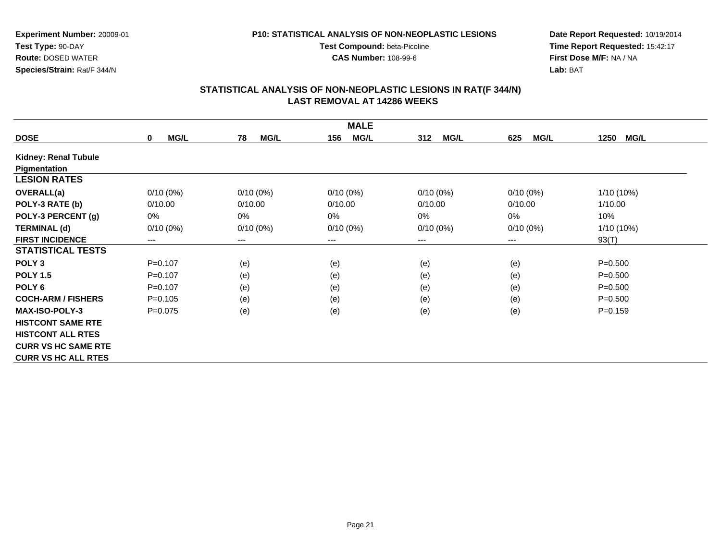**CAS Number:** 108-99-6

**Experiment Number:** 20009-01**Test Type:** 90-DAY **Route:** DOSED WATER**Species/Strain:** Rat/F 344/N

**Date Report Requested:** 10/19/2014 **Time Report Requested:** 15:42:17**First Dose M/F:** NA / NA**Lab:** BAT

| <b>MALE</b>                 |                     |                        |                    |                    |                            |                     |  |
|-----------------------------|---------------------|------------------------|--------------------|--------------------|----------------------------|---------------------|--|
| <b>DOSE</b>                 | MG/L<br>$\mathbf 0$ | 78<br><b>MG/L</b>      | <b>MG/L</b><br>156 | 312<br><b>MG/L</b> | <b>MG/L</b><br>625         | 1250<br><b>MG/L</b> |  |
| <b>Kidney: Renal Tubule</b> |                     |                        |                    |                    |                            |                     |  |
| Pigmentation                |                     |                        |                    |                    |                            |                     |  |
| <b>LESION RATES</b>         |                     |                        |                    |                    |                            |                     |  |
| <b>OVERALL(a)</b>           | $0/10(0\%)$         | $0/10(0\%)$            | $0/10(0\%)$        | $0/10(0\%)$        | $0/10(0\%)$                | 1/10 (10%)          |  |
| POLY-3 RATE (b)             | 0/10.00             | 0/10.00                | 0/10.00            | 0/10.00            | 0/10.00                    | 1/10.00             |  |
| POLY-3 PERCENT (g)          | 0%                  | 0%                     | $0\%$              | $0\%$              | 0%                         | 10%                 |  |
| <b>TERMINAL (d)</b>         | $0/10(0\%)$         | $0/10(0\%)$            | $0/10(0\%)$        | $0/10(0\%)$        | $0/10(0\%)$                | 1/10 (10%)          |  |
| <b>FIRST INCIDENCE</b>      | ---                 | $\qquad \qquad \cdots$ | ---                | ---                | $\qquad \qquad - \qquad -$ | 93(T)               |  |
| <b>STATISTICAL TESTS</b>    |                     |                        |                    |                    |                            |                     |  |
| POLY <sub>3</sub>           | $P = 0.107$         | (e)                    | (e)                | (e)                | (e)                        | $P = 0.500$         |  |
| <b>POLY 1.5</b>             | $P=0.107$           | (e)                    | (e)                | (e)                | (e)                        | $P = 0.500$         |  |
| POLY <sub>6</sub>           | $P = 0.107$         | (e)                    | (e)                | (e)                | (e)                        | $P = 0.500$         |  |
| <b>COCH-ARM / FISHERS</b>   | $P=0.105$           | (e)                    | (e)                | (e)                | (e)                        | $P = 0.500$         |  |
| <b>MAX-ISO-POLY-3</b>       | $P=0.075$           | (e)                    | (e)                | (e)                | (e)                        | $P = 0.159$         |  |
| <b>HISTCONT SAME RTE</b>    |                     |                        |                    |                    |                            |                     |  |
| <b>HISTCONT ALL RTES</b>    |                     |                        |                    |                    |                            |                     |  |
| <b>CURR VS HC SAME RTE</b>  |                     |                        |                    |                    |                            |                     |  |
| <b>CURR VS HC ALL RTES</b>  |                     |                        |                    |                    |                            |                     |  |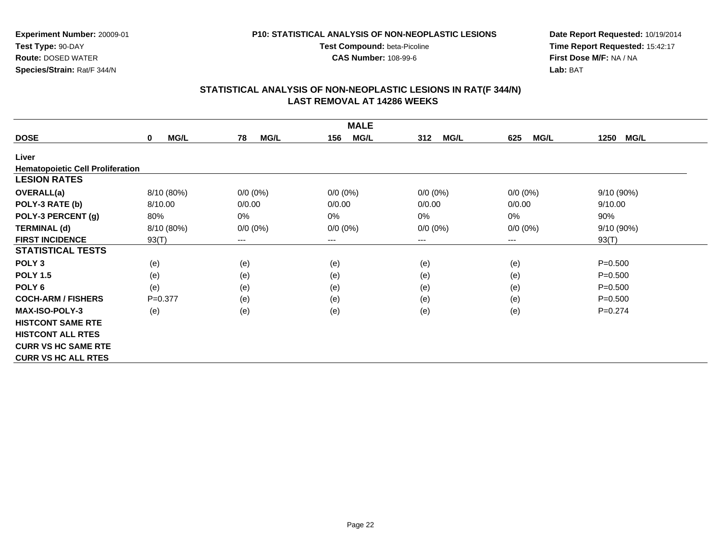**CAS Number:** 108-99-6

**Experiment Number:** 20009-01**Test Type:** 90-DAY **Route:** DOSED WATER**Species/Strain:** Rat/F 344/N

**Date Report Requested:** 10/19/2014 **Time Report Requested:** 15:42:17**First Dose M/F:** NA / NA**Lab:** BAT

| <b>MALE</b>                             |             |                   |                    |                    |                            |                     |  |  |
|-----------------------------------------|-------------|-------------------|--------------------|--------------------|----------------------------|---------------------|--|--|
| <b>DOSE</b>                             | MG/L<br>0   | 78<br><b>MG/L</b> | <b>MG/L</b><br>156 | <b>MG/L</b><br>312 | <b>MG/L</b><br>625         | 1250<br><b>MG/L</b> |  |  |
| Liver                                   |             |                   |                    |                    |                            |                     |  |  |
| <b>Hematopoietic Cell Proliferation</b> |             |                   |                    |                    |                            |                     |  |  |
| <b>LESION RATES</b>                     |             |                   |                    |                    |                            |                     |  |  |
| <b>OVERALL(a)</b>                       | 8/10 (80%)  | $0/0 (0\%)$       | $0/0 (0\%)$        | $0/0 (0\%)$        | $0/0 (0\%)$                | 9/10(90%)           |  |  |
| POLY-3 RATE (b)                         | 8/10.00     | 0/0.00            | 0/0.00             | 0/0.00             | 0/0.00                     | 9/10.00             |  |  |
| POLY-3 PERCENT (g)                      | 80%         | 0%                | 0%                 | 0%                 | 0%                         | 90%                 |  |  |
| <b>TERMINAL (d)</b>                     | 8/10 (80%)  | $0/0 (0\%)$       | $0/0 (0\%)$        | $0/0 (0\%)$        | $0/0 (0\%)$                | 9/10 (90%)          |  |  |
| <b>FIRST INCIDENCE</b>                  | 93(T)       | ---               | $---$              | ---                | $\qquad \qquad - \qquad -$ | 93(T)               |  |  |
| <b>STATISTICAL TESTS</b>                |             |                   |                    |                    |                            |                     |  |  |
| POLY <sub>3</sub>                       | (e)         | (e)               | (e)                | (e)                | (e)                        | $P = 0.500$         |  |  |
| <b>POLY 1.5</b>                         | (e)         | (e)               | (e)                | (e)                | (e)                        | $P = 0.500$         |  |  |
| POLY <sub>6</sub>                       | (e)         | (e)               | (e)                | (e)                | (e)                        | $P = 0.500$         |  |  |
| <b>COCH-ARM / FISHERS</b>               | $P = 0.377$ | (e)               | (e)                | (e)                | (e)                        | $P = 0.500$         |  |  |
| <b>MAX-ISO-POLY-3</b>                   | (e)         | (e)               | (e)                | (e)                | (e)                        | $P=0.274$           |  |  |
| <b>HISTCONT SAME RTE</b>                |             |                   |                    |                    |                            |                     |  |  |
| <b>HISTCONT ALL RTES</b>                |             |                   |                    |                    |                            |                     |  |  |
| <b>CURR VS HC SAME RTE</b>              |             |                   |                    |                    |                            |                     |  |  |
| <b>CURR VS HC ALL RTES</b>              |             |                   |                    |                    |                            |                     |  |  |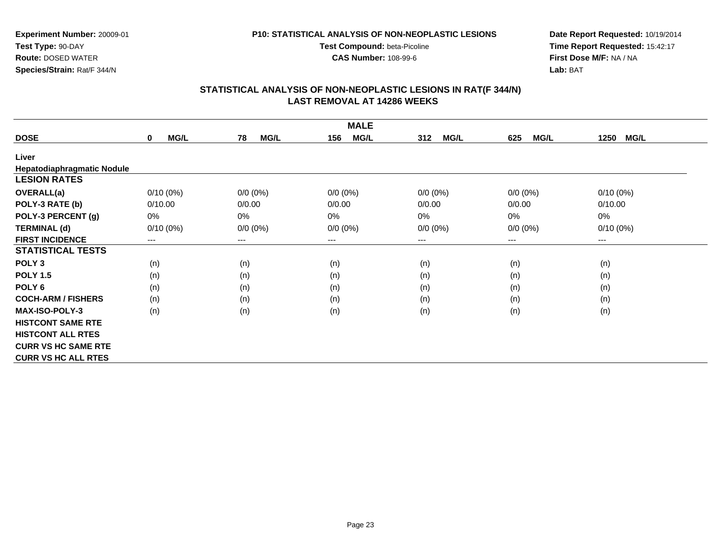**CAS Number:** 108-99-6

**Experiment Number:** 20009-01**Test Type:** 90-DAY **Route:** DOSED WATER**Species/Strain:** Rat/F 344/N

**Date Report Requested:** 10/19/2014 **Time Report Requested:** 15:42:17**First Dose M/F:** NA / NA**Lab:** BAT

|                            | <b>MALE</b>                |                   |                    |                    |                    |                     |  |  |  |
|----------------------------|----------------------------|-------------------|--------------------|--------------------|--------------------|---------------------|--|--|--|
| <b>DOSE</b>                | <b>MG/L</b><br>$\mathbf 0$ | <b>MG/L</b><br>78 | <b>MG/L</b><br>156 | <b>MG/L</b><br>312 | <b>MG/L</b><br>625 | <b>MG/L</b><br>1250 |  |  |  |
| Liver                      |                            |                   |                    |                    |                    |                     |  |  |  |
| Hepatodiaphragmatic Nodule |                            |                   |                    |                    |                    |                     |  |  |  |
| <b>LESION RATES</b>        |                            |                   |                    |                    |                    |                     |  |  |  |
| <b>OVERALL(a)</b>          | $0/10(0\%)$                | $0/0 (0\%)$       | $0/0 (0\%)$        | $0/0 (0\%)$        | $0/0 (0\%)$        | $0/10(0\%)$         |  |  |  |
| POLY-3 RATE (b)            | 0/10.00                    | 0/0.00            | 0/0.00             | 0/0.00             | 0/0.00             | 0/10.00             |  |  |  |
| POLY-3 PERCENT (g)         | 0%                         | 0%                | 0%                 | 0%                 | 0%                 | 0%                  |  |  |  |
| <b>TERMINAL (d)</b>        | $0/10(0\%)$                | $0/0 (0\%)$       | $0/0 (0\%)$        | $0/0 (0\%)$        | $0/0 (0\%)$        | $0/10(0\%)$         |  |  |  |
| <b>FIRST INCIDENCE</b>     | $\cdots$                   | $--$              | ---                | ---                | $---$              | $--$                |  |  |  |
| <b>STATISTICAL TESTS</b>   |                            |                   |                    |                    |                    |                     |  |  |  |
| POLY <sub>3</sub>          | (n)                        | (n)               | (n)                | (n)                | (n)                | (n)                 |  |  |  |
| <b>POLY 1.5</b>            | (n)                        | (n)               | (n)                | (n)                | (n)                | (n)                 |  |  |  |
| POLY <sub>6</sub>          | (n)                        | (n)               | (n)                | (n)                | (n)                | (n)                 |  |  |  |
| <b>COCH-ARM / FISHERS</b>  | (n)                        | (n)               | (n)                | (n)                | (n)                | (n)                 |  |  |  |
| <b>MAX-ISO-POLY-3</b>      | (n)                        | (n)               | (n)                | (n)                | (n)                | (n)                 |  |  |  |
| <b>HISTCONT SAME RTE</b>   |                            |                   |                    |                    |                    |                     |  |  |  |
| <b>HISTCONT ALL RTES</b>   |                            |                   |                    |                    |                    |                     |  |  |  |
| <b>CURR VS HC SAME RTE</b> |                            |                   |                    |                    |                    |                     |  |  |  |
| <b>CURR VS HC ALL RTES</b> |                            |                   |                    |                    |                    |                     |  |  |  |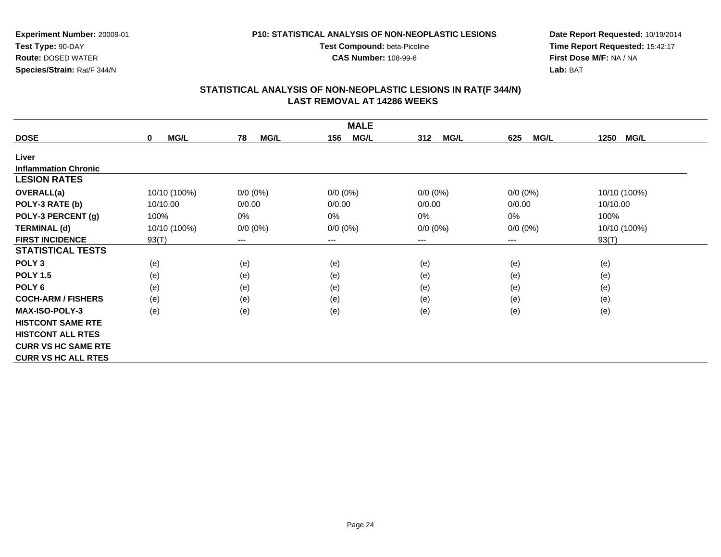**CAS Number:** 108-99-6

**Experiment Number:** 20009-01**Test Type:** 90-DAY **Route:** DOSED WATER**Species/Strain:** Rat/F 344/N

**Date Report Requested:** 10/19/2014 **Time Report Requested:** 15:42:17**First Dose M/F:** NA / NA**Lab:** BAT

| <b>MALE</b>                 |                     |                   |                    |                    |                    |                     |  |  |
|-----------------------------|---------------------|-------------------|--------------------|--------------------|--------------------|---------------------|--|--|
| <b>DOSE</b>                 | MG/L<br>$\mathbf 0$ | 78<br><b>MG/L</b> | <b>MG/L</b><br>156 | 312<br><b>MG/L</b> | <b>MG/L</b><br>625 | 1250<br><b>MG/L</b> |  |  |
| Liver                       |                     |                   |                    |                    |                    |                     |  |  |
| <b>Inflammation Chronic</b> |                     |                   |                    |                    |                    |                     |  |  |
| <b>LESION RATES</b>         |                     |                   |                    |                    |                    |                     |  |  |
| <b>OVERALL(a)</b>           | 10/10 (100%)        | $0/0 (0\%)$       | $0/0 (0\%)$        | $0/0 (0\%)$        | $0/0 (0\%)$        | 10/10 (100%)        |  |  |
| POLY-3 RATE (b)             | 10/10.00            | 0/0.00            | 0/0.00             | 0/0.00             | 0/0.00             | 10/10.00            |  |  |
| POLY-3 PERCENT (g)          | 100%                | 0%                | 0%                 | $0\%$              | 0%                 | 100%                |  |  |
| <b>TERMINAL (d)</b>         | 10/10 (100%)        | $0/0 (0\%)$       | $0/0 (0\%)$        | $0/0 (0\%)$        | $0/0 (0\%)$        | 10/10 (100%)        |  |  |
| <b>FIRST INCIDENCE</b>      | 93(T)               | $--$              | ---                | ---                | $--$               | 93(T)               |  |  |
| <b>STATISTICAL TESTS</b>    |                     |                   |                    |                    |                    |                     |  |  |
| POLY <sub>3</sub>           | (e)                 | (e)               | (e)                | (e)                | (e)                | (e)                 |  |  |
| <b>POLY 1.5</b>             | (e)                 | (e)               | (e)                | (e)                | (e)                | (e)                 |  |  |
| POLY <sub>6</sub>           | (e)                 | (e)               | (e)                | (e)                | (e)                | (e)                 |  |  |
| <b>COCH-ARM / FISHERS</b>   | (e)                 | (e)               | (e)                | (e)                | (e)                | (e)                 |  |  |
| <b>MAX-ISO-POLY-3</b>       | (e)                 | (e)               | (e)                | (e)                | (e)                | (e)                 |  |  |
| <b>HISTCONT SAME RTE</b>    |                     |                   |                    |                    |                    |                     |  |  |
| <b>HISTCONT ALL RTES</b>    |                     |                   |                    |                    |                    |                     |  |  |
| <b>CURR VS HC SAME RTE</b>  |                     |                   |                    |                    |                    |                     |  |  |
| <b>CURR VS HC ALL RTES</b>  |                     |                   |                    |                    |                    |                     |  |  |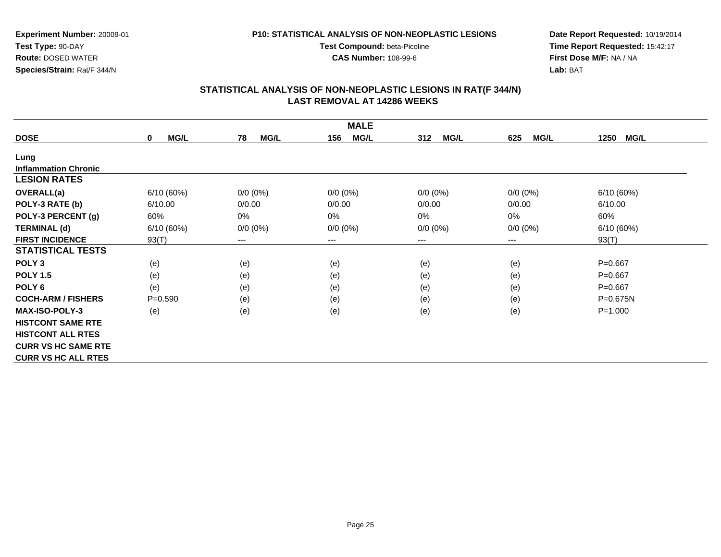**CAS Number:** 108-99-6

**Experiment Number:** 20009-01**Test Type:** 90-DAY **Route:** DOSED WATER**Species/Strain:** Rat/F 344/N

**Date Report Requested:** 10/19/2014 **Time Report Requested:** 15:42:17**First Dose M/F:** NA / NA**Lab:** BAT

|                             | <b>MALE</b>                |                        |                    |                    |                            |                     |  |  |
|-----------------------------|----------------------------|------------------------|--------------------|--------------------|----------------------------|---------------------|--|--|
| <b>DOSE</b>                 | <b>MG/L</b><br>$\mathbf 0$ | 78<br><b>MG/L</b>      | <b>MG/L</b><br>156 | 312<br><b>MG/L</b> | <b>MG/L</b><br>625         | 1250<br><b>MG/L</b> |  |  |
| Lung                        |                            |                        |                    |                    |                            |                     |  |  |
| <b>Inflammation Chronic</b> |                            |                        |                    |                    |                            |                     |  |  |
| <b>LESION RATES</b>         |                            |                        |                    |                    |                            |                     |  |  |
| <b>OVERALL(a)</b>           | 6/10(60%)                  | $0/0 (0\%)$            | $0/0 (0\%)$        | $0/0 (0\%)$        | $0/0 (0\%)$                | 6/10(60%)           |  |  |
| POLY-3 RATE (b)             | 6/10.00                    | 0/0.00                 | 0/0.00             | 0/0.00             | 0/0.00                     | 6/10.00             |  |  |
| POLY-3 PERCENT (g)          | 60%                        | 0%                     | 0%                 | 0%                 | 0%                         | 60%                 |  |  |
| <b>TERMINAL (d)</b>         | 6/10(60%)                  | $0/0 (0\%)$            | $0/0 (0\%)$        | $0/0 (0\%)$        | $0/0 (0\%)$                | 6/10 (60%)          |  |  |
| <b>FIRST INCIDENCE</b>      | 93(T)                      | $\qquad \qquad \cdots$ | $---$              | ---                | $\qquad \qquad - \qquad -$ | 93(T)               |  |  |
| <b>STATISTICAL TESTS</b>    |                            |                        |                    |                    |                            |                     |  |  |
| POLY <sub>3</sub>           | (e)                        | (e)                    | (e)                | (e)                | (e)                        | $P = 0.667$         |  |  |
| <b>POLY 1.5</b>             | (e)                        | (e)                    | (e)                | (e)                | (e)                        | $P = 0.667$         |  |  |
| POLY <sub>6</sub>           | (e)                        | (e)                    | (e)                | (e)                | (e)                        | $P = 0.667$         |  |  |
| <b>COCH-ARM / FISHERS</b>   | $P = 0.590$                | (e)                    | (e)                | (e)                | (e)                        | $P = 0.675N$        |  |  |
| <b>MAX-ISO-POLY-3</b>       | (e)                        | (e)                    | (e)                | (e)                | (e)                        | $P = 1.000$         |  |  |
| <b>HISTCONT SAME RTE</b>    |                            |                        |                    |                    |                            |                     |  |  |
| <b>HISTCONT ALL RTES</b>    |                            |                        |                    |                    |                            |                     |  |  |
| <b>CURR VS HC SAME RTE</b>  |                            |                        |                    |                    |                            |                     |  |  |
| <b>CURR VS HC ALL RTES</b>  |                            |                        |                    |                    |                            |                     |  |  |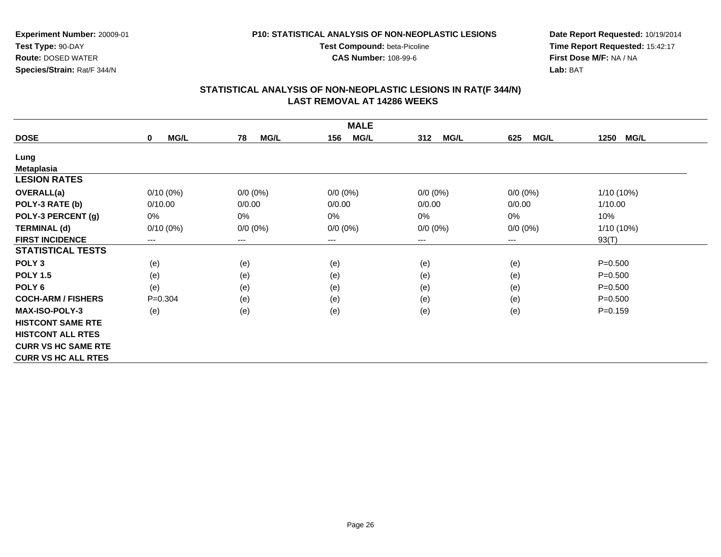**CAS Number:** 108-99-6

**Experiment Number:** 20009-01**Test Type:** 90-DAY **Route:** DOSED WATER**Species/Strain:** Rat/F 344/N

**Date Report Requested:** 10/19/2014 **Time Report Requested:** 15:42:17**First Dose M/F:** NA / NA**Lab:** BAT

| <b>MALE</b>                |                            |                   |                    |                    |                    |                     |  |  |
|----------------------------|----------------------------|-------------------|--------------------|--------------------|--------------------|---------------------|--|--|
| <b>DOSE</b>                | <b>MG/L</b><br>$\mathbf 0$ | <b>MG/L</b><br>78 | <b>MG/L</b><br>156 | <b>MG/L</b><br>312 | <b>MG/L</b><br>625 | <b>MG/L</b><br>1250 |  |  |
| Lung                       |                            |                   |                    |                    |                    |                     |  |  |
| <b>Metaplasia</b>          |                            |                   |                    |                    |                    |                     |  |  |
| <b>LESION RATES</b>        |                            |                   |                    |                    |                    |                     |  |  |
| <b>OVERALL(a)</b>          | $0/10(0\%)$                | $0/0 (0\%)$       | $0/0 (0\%)$        | $0/0 (0\%)$        | $0/0 (0\%)$        | $1/10(10\%)$        |  |  |
| POLY-3 RATE (b)            | 0/10.00                    | 0/0.00            | 0/0.00             | 0/0.00             | 0/0.00             | 1/10.00             |  |  |
| POLY-3 PERCENT (g)         | 0%                         | 0%                | 0%                 | 0%                 | 0%                 | 10%                 |  |  |
| <b>TERMINAL (d)</b>        | $0/10(0\%)$                | $0/0 (0\%)$       | $0/0 (0\%)$        | $0/0 (0\%)$        | $0/0 (0\%)$        | $1/10(10\%)$        |  |  |
| <b>FIRST INCIDENCE</b>     | ---                        | ---               | $\cdots$           | ---                | ---                | 93(T)               |  |  |
| <b>STATISTICAL TESTS</b>   |                            |                   |                    |                    |                    |                     |  |  |
| POLY <sub>3</sub>          | (e)                        | (e)               | (e)                | (e)                | (e)                | $P = 0.500$         |  |  |
| <b>POLY 1.5</b>            | (e)                        | (e)               | (e)                | (e)                | (e)                | $P = 0.500$         |  |  |
| POLY 6                     | (e)                        | (e)               | (e)                | (e)                | (e)                | $P = 0.500$         |  |  |
| <b>COCH-ARM / FISHERS</b>  | $P=0.304$                  | (e)               | (e)                | (e)                | (e)                | $P = 0.500$         |  |  |
| <b>MAX-ISO-POLY-3</b>      | (e)                        | (e)               | (e)                | (e)                | (e)                | $P = 0.159$         |  |  |
| <b>HISTCONT SAME RTE</b>   |                            |                   |                    |                    |                    |                     |  |  |
| <b>HISTCONT ALL RTES</b>   |                            |                   |                    |                    |                    |                     |  |  |
| <b>CURR VS HC SAME RTE</b> |                            |                   |                    |                    |                    |                     |  |  |
| <b>CURR VS HC ALL RTES</b> |                            |                   |                    |                    |                    |                     |  |  |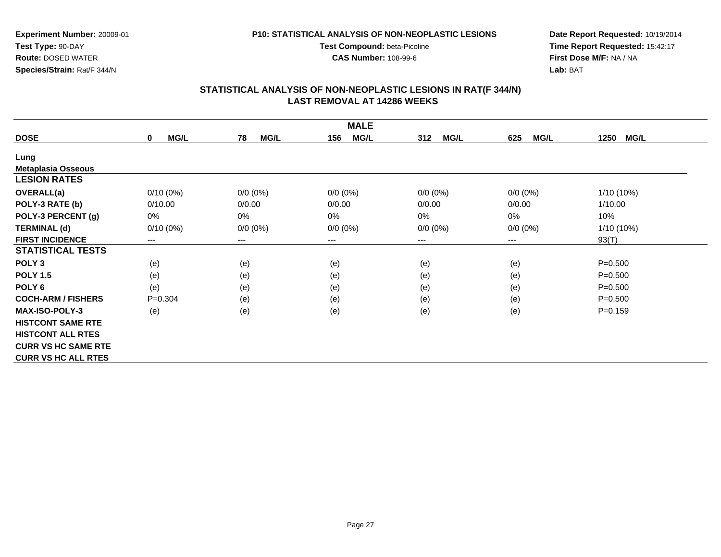**CAS Number:** 108-99-6

**Experiment Number:** 20009-01**Test Type:** 90-DAY **Route:** DOSED WATER**Species/Strain:** Rat/F 344/N

**Date Report Requested:** 10/19/2014 **Time Report Requested:** 15:42:17**First Dose M/F:** NA / NA**Lab:** BAT

|                            | <b>MALE</b>         |                        |                    |                    |                            |                     |  |  |
|----------------------------|---------------------|------------------------|--------------------|--------------------|----------------------------|---------------------|--|--|
| <b>DOSE</b>                | MG/L<br>$\mathbf 0$ | 78<br><b>MG/L</b>      | <b>MG/L</b><br>156 | 312<br><b>MG/L</b> | <b>MG/L</b><br>625         | 1250<br><b>MG/L</b> |  |  |
| Lung                       |                     |                        |                    |                    |                            |                     |  |  |
| <b>Metaplasia Osseous</b>  |                     |                        |                    |                    |                            |                     |  |  |
| <b>LESION RATES</b>        |                     |                        |                    |                    |                            |                     |  |  |
| <b>OVERALL(a)</b>          | $0/10(0\%)$         | $0/0 (0\%)$            | $0/0 (0\%)$        | $0/0 (0\%)$        | $0/0(0\%)$                 | 1/10 (10%)          |  |  |
| POLY-3 RATE (b)            | 0/10.00             | 0/0.00                 | 0/0.00             | 0/0.00             | 0/0.00                     | 1/10.00             |  |  |
| POLY-3 PERCENT (g)         | 0%                  | 0%                     | $0\%$              | 0%                 | 0%                         | 10%                 |  |  |
| <b>TERMINAL (d)</b>        | $0/10(0\%)$         | $0/0 (0\%)$            | $0/0 (0\%)$        | $0/0 (0\%)$        | $0/0 (0\%)$                | 1/10 (10%)          |  |  |
| <b>FIRST INCIDENCE</b>     | ---                 | $\qquad \qquad \cdots$ | ---                | ---                | $\qquad \qquad - \qquad -$ | 93(T)               |  |  |
| <b>STATISTICAL TESTS</b>   |                     |                        |                    |                    |                            |                     |  |  |
| POLY <sub>3</sub>          | (e)                 | (e)                    | (e)                | (e)                | (e)                        | $P = 0.500$         |  |  |
| <b>POLY 1.5</b>            | (e)                 | (e)                    | (e)                | (e)                | (e)                        | $P = 0.500$         |  |  |
| POLY <sub>6</sub>          | (e)                 | (e)                    | (e)                | (e)                | (e)                        | $P = 0.500$         |  |  |
| <b>COCH-ARM / FISHERS</b>  | $P=0.304$           | (e)                    | (e)                | (e)                | (e)                        | $P = 0.500$         |  |  |
| <b>MAX-ISO-POLY-3</b>      | (e)                 | (e)                    | (e)                | (e)                | (e)                        | $P = 0.159$         |  |  |
| <b>HISTCONT SAME RTE</b>   |                     |                        |                    |                    |                            |                     |  |  |
| <b>HISTCONT ALL RTES</b>   |                     |                        |                    |                    |                            |                     |  |  |
| <b>CURR VS HC SAME RTE</b> |                     |                        |                    |                    |                            |                     |  |  |
| <b>CURR VS HC ALL RTES</b> |                     |                        |                    |                    |                            |                     |  |  |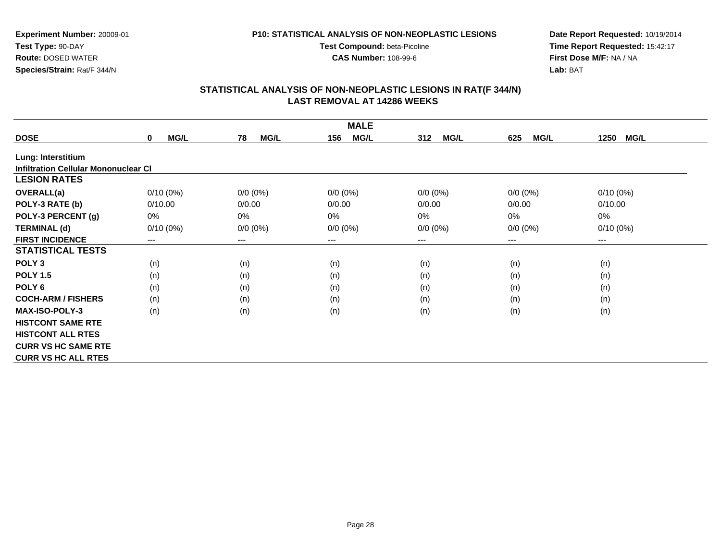**CAS Number:** 108-99-6

**Experiment Number:** 20009-01**Test Type:** 90-DAY **Route:** DOSED WATER**Species/Strain:** Rat/F 344/N

**Date Report Requested:** 10/19/2014 **Time Report Requested:** 15:42:17**First Dose M/F:** NA / NA**Lab:** BAT

|                                             | <b>MALE</b>                |                   |                    |                    |                    |                     |  |  |  |
|---------------------------------------------|----------------------------|-------------------|--------------------|--------------------|--------------------|---------------------|--|--|--|
| <b>DOSE</b>                                 | <b>MG/L</b><br>$\mathbf 0$ | 78<br><b>MG/L</b> | <b>MG/L</b><br>156 | <b>MG/L</b><br>312 | <b>MG/L</b><br>625 | 1250<br><b>MG/L</b> |  |  |  |
| Lung: Interstitium                          |                            |                   |                    |                    |                    |                     |  |  |  |
| <b>Infiltration Cellular Mononuclear CI</b> |                            |                   |                    |                    |                    |                     |  |  |  |
| <b>LESION RATES</b>                         |                            |                   |                    |                    |                    |                     |  |  |  |
| <b>OVERALL(a)</b>                           | $0/10(0\%)$                | $0/0 (0\%)$       | $0/0 (0\%)$        | $0/0 (0\%)$        | $0/0(0\%)$         | $0/10(0\%)$         |  |  |  |
| POLY-3 RATE (b)                             | 0/10.00                    | 0/0.00            | 0/0.00             | 0/0.00             | 0/0.00             | 0/10.00             |  |  |  |
| POLY-3 PERCENT (g)                          | 0%                         | 0%                | 0%                 | 0%                 | $0\%$              | $0\%$               |  |  |  |
| <b>TERMINAL (d)</b>                         | $0/10(0\%)$                | $0/0 (0\%)$       | $0/0 (0\%)$        | $0/0 (0\%)$        | $0/0 (0\%)$        | $0/10(0\%)$         |  |  |  |
| <b>FIRST INCIDENCE</b>                      | $---$                      | $--$              | ---                | ---                | ---                | $--$                |  |  |  |
| <b>STATISTICAL TESTS</b>                    |                            |                   |                    |                    |                    |                     |  |  |  |
| POLY <sub>3</sub>                           | (n)                        | (n)               | (n)                | (n)                | (n)                | (n)                 |  |  |  |
| <b>POLY 1.5</b>                             | (n)                        | (n)               | (n)                | (n)                | (n)                | (n)                 |  |  |  |
| POLY <sub>6</sub>                           | (n)                        | (n)               | (n)                | (n)                | (n)                | (n)                 |  |  |  |
| <b>COCH-ARM / FISHERS</b>                   | (n)                        | (n)               | (n)                | (n)                | (n)                | (n)                 |  |  |  |
| <b>MAX-ISO-POLY-3</b>                       | (n)                        | (n)               | (n)                | (n)                | (n)                | (n)                 |  |  |  |
| <b>HISTCONT SAME RTE</b>                    |                            |                   |                    |                    |                    |                     |  |  |  |
| <b>HISTCONT ALL RTES</b>                    |                            |                   |                    |                    |                    |                     |  |  |  |
| <b>CURR VS HC SAME RTE</b>                  |                            |                   |                    |                    |                    |                     |  |  |  |
| <b>CURR VS HC ALL RTES</b>                  |                            |                   |                    |                    |                    |                     |  |  |  |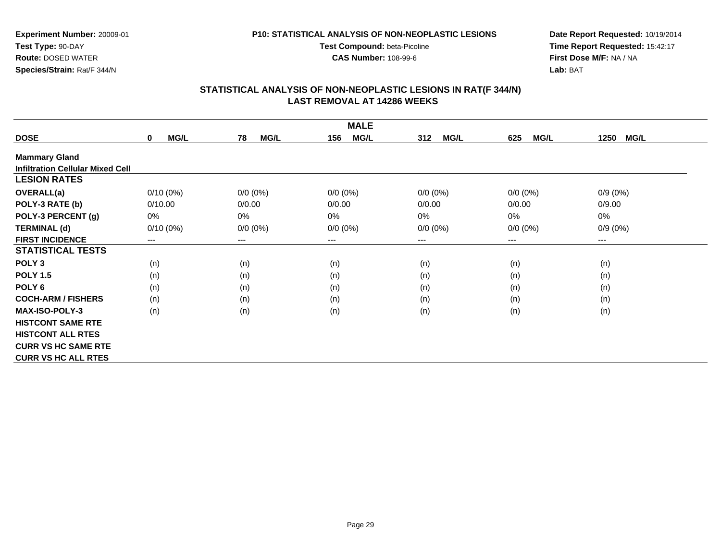**CAS Number:** 108-99-6

**Experiment Number:** 20009-01**Test Type:** 90-DAY **Route:** DOSED WATER**Species/Strain:** Rat/F 344/N

**Date Report Requested:** 10/19/2014 **Time Report Requested:** 15:42:17**First Dose M/F:** NA / NA**Lab:** BAT

|                                         | <b>MALE</b>                |                        |                    |                    |                    |                     |  |  |
|-----------------------------------------|----------------------------|------------------------|--------------------|--------------------|--------------------|---------------------|--|--|
| <b>DOSE</b>                             | <b>MG/L</b><br>$\mathbf 0$ | <b>MG/L</b><br>78      | <b>MG/L</b><br>156 | <b>MG/L</b><br>312 | <b>MG/L</b><br>625 | <b>MG/L</b><br>1250 |  |  |
| <b>Mammary Gland</b>                    |                            |                        |                    |                    |                    |                     |  |  |
| <b>Infiltration Cellular Mixed Cell</b> |                            |                        |                    |                    |                    |                     |  |  |
| <b>LESION RATES</b>                     |                            |                        |                    |                    |                    |                     |  |  |
| <b>OVERALL(a)</b>                       | $0/10(0\%)$                | $0/0 (0\%)$            | $0/0 (0\%)$        | $0/0 (0\%)$        | $0/0 (0\%)$        | $0/9(0\%)$          |  |  |
| POLY-3 RATE (b)                         | 0/10.00                    | 0/0.00                 | 0/0.00             | 0/0.00             | 0/0.00             | 0/9.00              |  |  |
| POLY-3 PERCENT (g)                      | 0%                         | 0%                     | 0%                 | 0%                 | 0%                 | 0%                  |  |  |
| <b>TERMINAL (d)</b>                     | $0/10(0\%)$                | $0/0 (0\%)$            | $0/0 (0\%)$        | $0/0 (0\%)$        | $0/0 (0\%)$        | $0/9(0\%)$          |  |  |
| <b>FIRST INCIDENCE</b>                  | ---                        | $\qquad \qquad \cdots$ | ---                | ---                | ---                | $--$                |  |  |
| <b>STATISTICAL TESTS</b>                |                            |                        |                    |                    |                    |                     |  |  |
| POLY <sub>3</sub>                       | (n)                        | (n)                    | (n)                | (n)                | (n)                | (n)                 |  |  |
| <b>POLY 1.5</b>                         | (n)                        | (n)                    | (n)                | (n)                | (n)                | (n)                 |  |  |
| POLY 6                                  | (n)                        | (n)                    | (n)                | (n)                | (n)                | (n)                 |  |  |
| <b>COCH-ARM / FISHERS</b>               | (n)                        | (n)                    | (n)                | (n)                | (n)                | (n)                 |  |  |
| MAX-ISO-POLY-3                          | (n)                        | (n)                    | (n)                | (n)                | (n)                | (n)                 |  |  |
| <b>HISTCONT SAME RTE</b>                |                            |                        |                    |                    |                    |                     |  |  |
| <b>HISTCONT ALL RTES</b>                |                            |                        |                    |                    |                    |                     |  |  |
| <b>CURR VS HC SAME RTE</b>              |                            |                        |                    |                    |                    |                     |  |  |
| <b>CURR VS HC ALL RTES</b>              |                            |                        |                    |                    |                    |                     |  |  |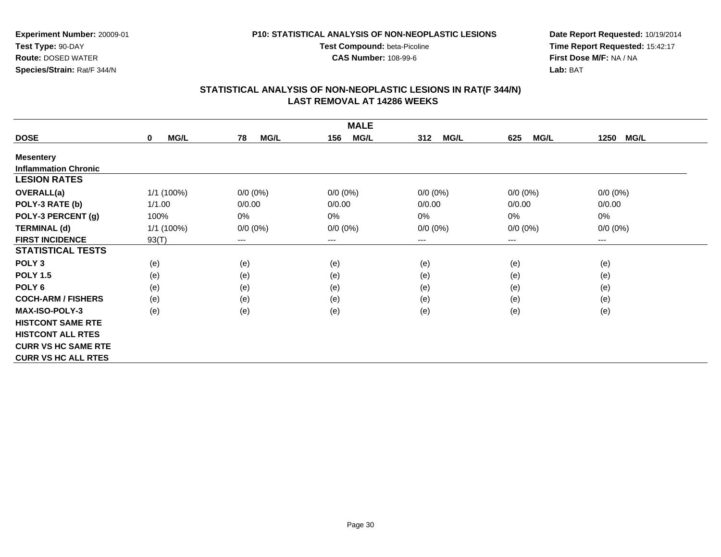**CAS Number:** 108-99-6

**Experiment Number:** 20009-01**Test Type:** 90-DAY **Route:** DOSED WATER**Species/Strain:** Rat/F 344/N

**Date Report Requested:** 10/19/2014 **Time Report Requested:** 15:42:17**First Dose M/F:** NA / NA**Lab:** BAT

| <b>MALE</b>                 |                     |                        |                    |                    |                    |                     |  |
|-----------------------------|---------------------|------------------------|--------------------|--------------------|--------------------|---------------------|--|
| <b>DOSE</b>                 | MG/L<br>$\mathbf 0$ | <b>MG/L</b><br>78      | <b>MG/L</b><br>156 | 312<br><b>MG/L</b> | <b>MG/L</b><br>625 | <b>MG/L</b><br>1250 |  |
| <b>Mesentery</b>            |                     |                        |                    |                    |                    |                     |  |
| <b>Inflammation Chronic</b> |                     |                        |                    |                    |                    |                     |  |
| <b>LESION RATES</b>         |                     |                        |                    |                    |                    |                     |  |
| <b>OVERALL(a)</b>           | 1/1 (100%)          | $0/0 (0\%)$            | $0/0 (0\%)$        | $0/0 (0\%)$        | $0/0 (0\%)$        | $0/0 (0\%)$         |  |
| POLY-3 RATE (b)             | 1/1.00              | 0/0.00                 | 0/0.00             | 0/0.00             | 0/0.00             | 0/0.00              |  |
| POLY-3 PERCENT (g)          | 100%                | 0%                     | 0%                 | 0%                 | 0%                 | 0%                  |  |
| <b>TERMINAL (d)</b>         | 1/1 (100%)          | $0/0 (0\%)$            | $0/0 (0\%)$        | $0/0 (0\%)$        | $0/0 (0\%)$        | $0/0 (0\%)$         |  |
| <b>FIRST INCIDENCE</b>      | 93(T)               | $\qquad \qquad \cdots$ | $--$               | ---                | ---                | $--$                |  |
| <b>STATISTICAL TESTS</b>    |                     |                        |                    |                    |                    |                     |  |
| POLY <sub>3</sub>           | (e)                 | (e)                    | (e)                | (e)                | (e)                | (e)                 |  |
| <b>POLY 1.5</b>             | (e)                 | (e)                    | (e)                | (e)                | (e)                | (e)                 |  |
| POLY <sub>6</sub>           | (e)                 | (e)                    | (e)                | (e)                | (e)                | (e)                 |  |
| <b>COCH-ARM / FISHERS</b>   | (e)                 | (e)                    | (e)                | (e)                | (e)                | (e)                 |  |
| <b>MAX-ISO-POLY-3</b>       | (e)                 | (e)                    | (e)                | (e)                | (e)                | (e)                 |  |
| <b>HISTCONT SAME RTE</b>    |                     |                        |                    |                    |                    |                     |  |
| <b>HISTCONT ALL RTES</b>    |                     |                        |                    |                    |                    |                     |  |
| <b>CURR VS HC SAME RTE</b>  |                     |                        |                    |                    |                    |                     |  |
| <b>CURR VS HC ALL RTES</b>  |                     |                        |                    |                    |                    |                     |  |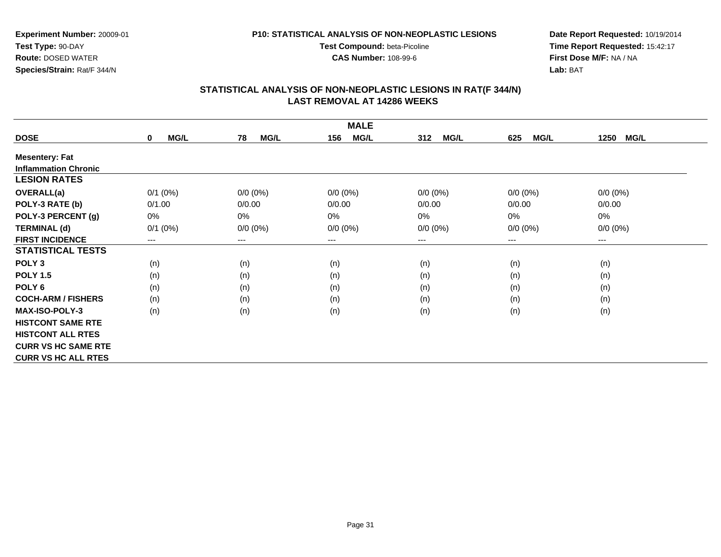**CAS Number:** 108-99-6

**Experiment Number:** 20009-01**Test Type:** 90-DAY **Route:** DOSED WATER**Species/Strain:** Rat/F 344/N

**Date Report Requested:** 10/19/2014 **Time Report Requested:** 15:42:17**First Dose M/F:** NA / NA**Lab:** BAT

| <b>MALE</b>                 |                            |                   |                    |                    |                    |                     |  |  |
|-----------------------------|----------------------------|-------------------|--------------------|--------------------|--------------------|---------------------|--|--|
| <b>DOSE</b>                 | <b>MG/L</b><br>$\mathbf 0$ | <b>MG/L</b><br>78 | <b>MG/L</b><br>156 | 312<br><b>MG/L</b> | <b>MG/L</b><br>625 | 1250<br><b>MG/L</b> |  |  |
| <b>Mesentery: Fat</b>       |                            |                   |                    |                    |                    |                     |  |  |
| <b>Inflammation Chronic</b> |                            |                   |                    |                    |                    |                     |  |  |
| <b>LESION RATES</b>         |                            |                   |                    |                    |                    |                     |  |  |
| <b>OVERALL(a)</b>           | $0/1$ $(0%)$               | $0/0 (0\%)$       | $0/0 (0\%)$        | $0/0 (0\%)$        | $0/0 (0\%)$        | $0/0 (0\%)$         |  |  |
| POLY-3 RATE (b)             | 0/1.00                     | 0/0.00            | 0/0.00             | 0/0.00             | 0/0.00             | 0/0.00              |  |  |
| POLY-3 PERCENT (g)          | 0%                         | 0%                | 0%                 | $0\%$              | 0%                 | $0\%$               |  |  |
| <b>TERMINAL (d)</b>         | $0/1$ (0%)                 | $0/0 (0\%)$       | $0/0 (0\%)$        | $0/0 (0\%)$        | $0/0 (0\%)$        | $0/0 (0\%)$         |  |  |
| <b>FIRST INCIDENCE</b>      | ---                        | $---$             | $---$              | ---                | ---                | $---$               |  |  |
| <b>STATISTICAL TESTS</b>    |                            |                   |                    |                    |                    |                     |  |  |
| POLY <sub>3</sub>           | (n)                        | (n)               | (n)                | (n)                | (n)                | (n)                 |  |  |
| <b>POLY 1.5</b>             | (n)                        | (n)               | (n)                | (n)                | (n)                | (n)                 |  |  |
| POLY <sub>6</sub>           | (n)                        | (n)               | (n)                | (n)                | (n)                | (n)                 |  |  |
| <b>COCH-ARM / FISHERS</b>   | (n)                        | (n)               | (n)                | (n)                | (n)                | (n)                 |  |  |
| <b>MAX-ISO-POLY-3</b>       | (n)                        | (n)               | (n)                | (n)                | (n)                | (n)                 |  |  |
| <b>HISTCONT SAME RTE</b>    |                            |                   |                    |                    |                    |                     |  |  |
| <b>HISTCONT ALL RTES</b>    |                            |                   |                    |                    |                    |                     |  |  |
| <b>CURR VS HC SAME RTE</b>  |                            |                   |                    |                    |                    |                     |  |  |
| <b>CURR VS HC ALL RTES</b>  |                            |                   |                    |                    |                    |                     |  |  |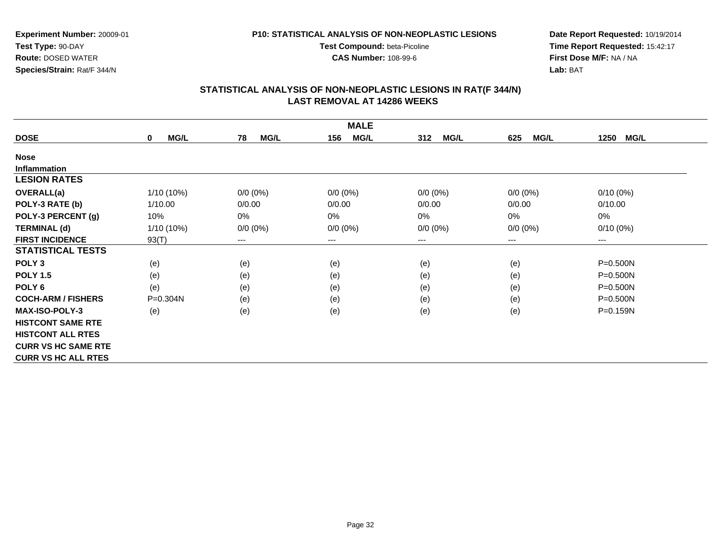**CAS Number:** 108-99-6

**Experiment Number:** 20009-01**Test Type:** 90-DAY **Route:** DOSED WATER**Species/Strain:** Rat/F 344/N

**Date Report Requested:** 10/19/2014 **Time Report Requested:** 15:42:17**First Dose M/F:** NA / NA**Lab:** BAT

|                            | <b>MALE</b>         |                        |                    |                    |                    |                        |  |  |  |
|----------------------------|---------------------|------------------------|--------------------|--------------------|--------------------|------------------------|--|--|--|
| <b>DOSE</b>                | MG/L<br>$\mathbf 0$ | <b>MG/L</b><br>78      | <b>MG/L</b><br>156 | 312<br><b>MG/L</b> | <b>MG/L</b><br>625 | 1250<br><b>MG/L</b>    |  |  |  |
| <b>Nose</b>                |                     |                        |                    |                    |                    |                        |  |  |  |
| <b>Inflammation</b>        |                     |                        |                    |                    |                    |                        |  |  |  |
| <b>LESION RATES</b>        |                     |                        |                    |                    |                    |                        |  |  |  |
| <b>OVERALL(a)</b>          | $1/10(10\%)$        | $0/0 (0\%)$            | $0/0 (0\%)$        | $0/0 (0\%)$        | $0/0 (0\%)$        | $0/10(0\%)$            |  |  |  |
| POLY-3 RATE (b)            | 1/10.00             | 0/0.00                 | 0/0.00             | 0/0.00             | 0/0.00             | 0/10.00                |  |  |  |
| POLY-3 PERCENT (g)         | 10%                 | 0%                     | 0%                 | 0%                 | 0%                 | 0%                     |  |  |  |
| <b>TERMINAL (d)</b>        | 1/10 (10%)          | $0/0 (0\%)$            | $0/0 (0\%)$        | $0/0 (0\%)$        | $0/0 (0\%)$        | $0/10(0\%)$            |  |  |  |
| <b>FIRST INCIDENCE</b>     | 93(T)               | $\qquad \qquad \cdots$ | ---                | ---                | ---                | $\qquad \qquad \cdots$ |  |  |  |
| <b>STATISTICAL TESTS</b>   |                     |                        |                    |                    |                    |                        |  |  |  |
| POLY <sub>3</sub>          | (e)                 | (e)                    | (e)                | (e)                | (e)                | $P = 0.500N$           |  |  |  |
| <b>POLY 1.5</b>            | (e)                 | (e)                    | (e)                | (e)                | (e)                | $P = 0.500N$           |  |  |  |
| POLY <sub>6</sub>          | (e)                 | (e)                    | (e)                | (e)                | (e)                | $P = 0.500N$           |  |  |  |
| <b>COCH-ARM / FISHERS</b>  | P=0.304N            | (e)                    | (e)                | (e)                | (e)                | $P = 0.500N$           |  |  |  |
| <b>MAX-ISO-POLY-3</b>      | (e)                 | (e)                    | (e)                | (e)                | (e)                | P=0.159N               |  |  |  |
| <b>HISTCONT SAME RTE</b>   |                     |                        |                    |                    |                    |                        |  |  |  |
| <b>HISTCONT ALL RTES</b>   |                     |                        |                    |                    |                    |                        |  |  |  |
| <b>CURR VS HC SAME RTE</b> |                     |                        |                    |                    |                    |                        |  |  |  |
| <b>CURR VS HC ALL RTES</b> |                     |                        |                    |                    |                    |                        |  |  |  |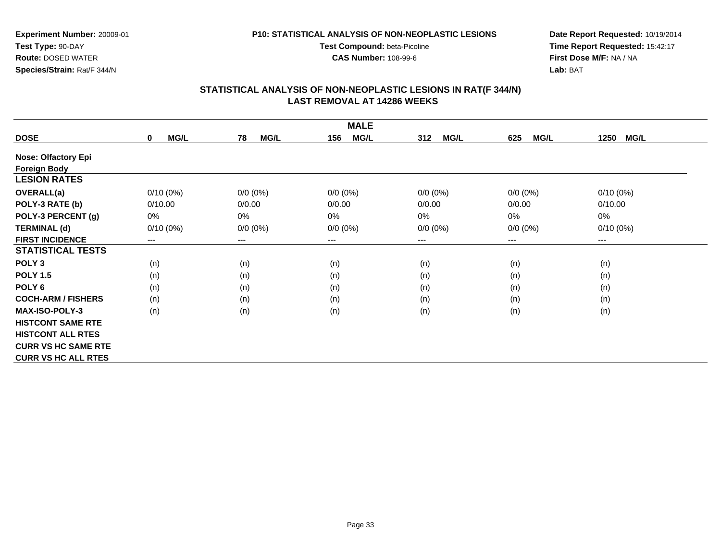**CAS Number:** 108-99-6

**Experiment Number:** 20009-01**Test Type:** 90-DAY **Route:** DOSED WATER**Species/Strain:** Rat/F 344/N

**Date Report Requested:** 10/19/2014 **Time Report Requested:** 15:42:17**First Dose M/F:** NA / NA**Lab:** BAT

| <b>MALE</b>                |                      |                            |                    |                    |                    |                        |  |
|----------------------------|----------------------|----------------------------|--------------------|--------------------|--------------------|------------------------|--|
| <b>DOSE</b>                | MG/L<br>$\mathbf{0}$ | <b>MG/L</b><br>78          | <b>MG/L</b><br>156 | <b>MG/L</b><br>312 | <b>MG/L</b><br>625 | MG/L<br>1250           |  |
| <b>Nose: Olfactory Epi</b> |                      |                            |                    |                    |                    |                        |  |
| <b>Foreign Body</b>        |                      |                            |                    |                    |                    |                        |  |
| <b>LESION RATES</b>        |                      |                            |                    |                    |                    |                        |  |
| <b>OVERALL(a)</b>          | $0/10(0\%)$          | $0/0 (0\%)$                | $0/0 (0\%)$        | $0/0 (0\%)$        | $0/0 (0\%)$        | $0/10(0\%)$            |  |
| POLY-3 RATE (b)            | 0/10.00              | 0/0.00                     | 0/0.00             | 0/0.00             | 0/0.00             | 0/10.00                |  |
| POLY-3 PERCENT (g)         | 0%                   | $0\%$                      | $0\%$              | 0%                 | 0%                 | 0%                     |  |
| <b>TERMINAL (d)</b>        | $0/10(0\%)$          | $0/0 (0\%)$                | $0/0 (0\%)$        | $0/0 (0\%)$        | $0/0 (0\%)$        | $0/10(0\%)$            |  |
| <b>FIRST INCIDENCE</b>     | $---$                | $\qquad \qquad - \qquad -$ | $--$               | ---                | ---                | $\qquad \qquad \cdots$ |  |
| <b>STATISTICAL TESTS</b>   |                      |                            |                    |                    |                    |                        |  |
| POLY <sub>3</sub>          | (n)                  | (n)                        | (n)                | (n)                | (n)                | (n)                    |  |
| <b>POLY 1.5</b>            | (n)                  | (n)                        | (n)                | (n)                | (n)                | (n)                    |  |
| POLY 6                     | (n)                  | (n)                        | (n)                | (n)                | (n)                | (n)                    |  |
| <b>COCH-ARM / FISHERS</b>  | (n)                  | (n)                        | (n)                | (n)                | (n)                | (n)                    |  |
| <b>MAX-ISO-POLY-3</b>      | (n)                  | (n)                        | (n)                | (n)                | (n)                | (n)                    |  |
| <b>HISTCONT SAME RTE</b>   |                      |                            |                    |                    |                    |                        |  |
| <b>HISTCONT ALL RTES</b>   |                      |                            |                    |                    |                    |                        |  |
| <b>CURR VS HC SAME RTE</b> |                      |                            |                    |                    |                    |                        |  |
| <b>CURR VS HC ALL RTES</b> |                      |                            |                    |                    |                    |                        |  |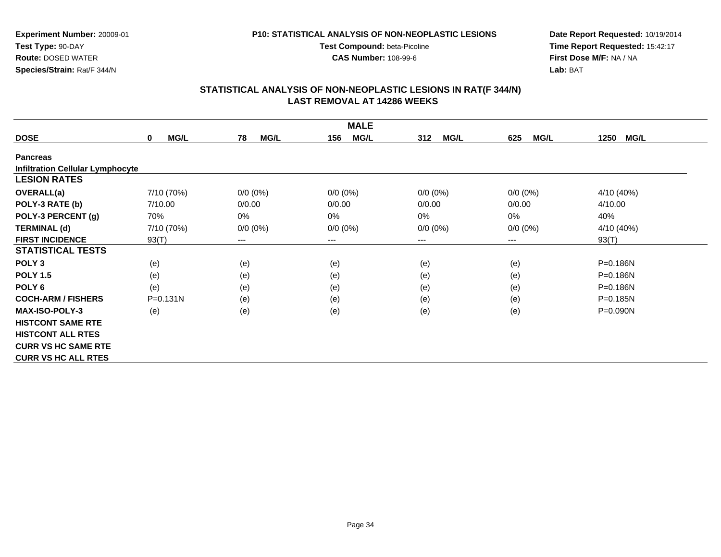**CAS Number:** 108-99-6

**Experiment Number:** 20009-01**Test Type:** 90-DAY **Route:** DOSED WATER**Species/Strain:** Rat/F 344/N

**Date Report Requested:** 10/19/2014 **Time Report Requested:** 15:42:17**First Dose M/F:** NA / NA**Lab:** BAT

| <b>MALE</b>                             |                            |                   |                    |                    |                    |                     |  |  |
|-----------------------------------------|----------------------------|-------------------|--------------------|--------------------|--------------------|---------------------|--|--|
| <b>DOSE</b>                             | <b>MG/L</b><br>$\mathbf 0$ | 78<br><b>MG/L</b> | <b>MG/L</b><br>156 | <b>MG/L</b><br>312 | <b>MG/L</b><br>625 | 1250<br><b>MG/L</b> |  |  |
| <b>Pancreas</b>                         |                            |                   |                    |                    |                    |                     |  |  |
| <b>Infiltration Cellular Lymphocyte</b> |                            |                   |                    |                    |                    |                     |  |  |
| <b>LESION RATES</b>                     |                            |                   |                    |                    |                    |                     |  |  |
| <b>OVERALL(a)</b>                       | 7/10 (70%)                 | $0/0 (0\%)$       | $0/0 (0\%)$        | $0/0 (0\%)$        | $0/0(0\%)$         | 4/10 (40%)          |  |  |
| POLY-3 RATE (b)                         | 7/10.00                    | 0/0.00            | 0/0.00             | 0/0.00             | 0/0.00             | 4/10.00             |  |  |
| POLY-3 PERCENT (g)                      | 70%                        | 0%                | 0%                 | 0%                 | 0%                 | 40%                 |  |  |
| <b>TERMINAL (d)</b>                     | 7/10 (70%)                 | $0/0 (0\%)$       | $0/0 (0\%)$        | $0/0 (0\%)$        | $0/0 (0\%)$        | 4/10 (40%)          |  |  |
| <b>FIRST INCIDENCE</b>                  | 93(T)                      | $---$             | ---                | ---                | $---$              | 93(T)               |  |  |
| <b>STATISTICAL TESTS</b>                |                            |                   |                    |                    |                    |                     |  |  |
| POLY <sub>3</sub>                       | (e)                        | (e)               | (e)                | (e)                | (e)                | P=0.186N            |  |  |
| <b>POLY 1.5</b>                         | (e)                        | (e)               | (e)                | (e)                | (e)                | $P = 0.186N$        |  |  |
| POLY <sub>6</sub>                       | (e)                        | (e)               | (e)                | (e)                | (e)                | P=0.186N            |  |  |
| <b>COCH-ARM / FISHERS</b>               | $P = 0.131N$               | (e)               | (e)                | (e)                | (e)                | $P = 0.185N$        |  |  |
| <b>MAX-ISO-POLY-3</b>                   | (e)                        | (e)               | (e)                | (e)                | (e)                | P=0.090N            |  |  |
| <b>HISTCONT SAME RTE</b>                |                            |                   |                    |                    |                    |                     |  |  |
| <b>HISTCONT ALL RTES</b>                |                            |                   |                    |                    |                    |                     |  |  |
| <b>CURR VS HC SAME RTE</b>              |                            |                   |                    |                    |                    |                     |  |  |
| <b>CURR VS HC ALL RTES</b>              |                            |                   |                    |                    |                    |                     |  |  |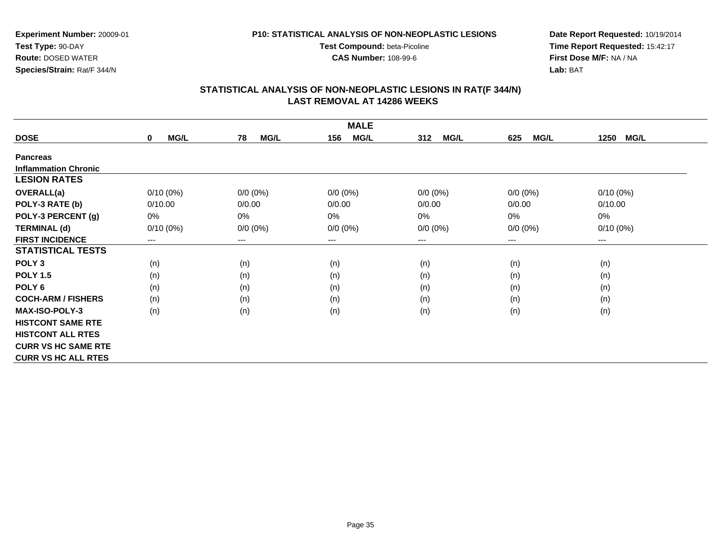**CAS Number:** 108-99-6

**Experiment Number:** 20009-01**Test Type:** 90-DAY **Route:** DOSED WATER**Species/Strain:** Rat/F 344/N

**Date Report Requested:** 10/19/2014 **Time Report Requested:** 15:42:17**First Dose M/F:** NA / NA**Lab:** BAT

| <b>MALE</b>                 |                            |                        |                    |                    |                        |                     |  |
|-----------------------------|----------------------------|------------------------|--------------------|--------------------|------------------------|---------------------|--|
| <b>DOSE</b>                 | <b>MG/L</b><br>$\mathbf 0$ | 78<br><b>MG/L</b>      | <b>MG/L</b><br>156 | 312<br><b>MG/L</b> | <b>MG/L</b><br>625     | 1250<br><b>MG/L</b> |  |
| <b>Pancreas</b>             |                            |                        |                    |                    |                        |                     |  |
| <b>Inflammation Chronic</b> |                            |                        |                    |                    |                        |                     |  |
| <b>LESION RATES</b>         |                            |                        |                    |                    |                        |                     |  |
| <b>OVERALL(a)</b>           | $0/10(0\%)$                | $0/0 (0\%)$            | $0/0 (0\%)$        | $0/0 (0\%)$        | $0/0(0\%)$             | $0/10(0\%)$         |  |
| POLY-3 RATE (b)             | 0/10.00                    | 0/0.00                 | 0/0.00             | 0/0.00             | 0/0.00                 | 0/10.00             |  |
| POLY-3 PERCENT (g)          | 0%                         | 0%                     | $0\%$              | $0\%$              | $0\%$                  | 0%                  |  |
| <b>TERMINAL (d)</b>         | $0/10(0\%)$                | $0/0 (0\%)$            | $0/0 (0\%)$        | $0/0 (0\%)$        | $0/0(0\%)$             | $0/10(0\%)$         |  |
| <b>FIRST INCIDENCE</b>      | ---                        | $\qquad \qquad \cdots$ | ---                | ---                | $\qquad \qquad \cdots$ | $--$                |  |
| <b>STATISTICAL TESTS</b>    |                            |                        |                    |                    |                        |                     |  |
| POLY <sub>3</sub>           | (n)                        | (n)                    | (n)                | (n)                | (n)                    | (n)                 |  |
| <b>POLY 1.5</b>             | (n)                        | (n)                    | (n)                | (n)                | (n)                    | (n)                 |  |
| POLY <sub>6</sub>           | (n)                        | (n)                    | (n)                | (n)                | (n)                    | (n)                 |  |
| <b>COCH-ARM / FISHERS</b>   | (n)                        | (n)                    | (n)                | (n)                | (n)                    | (n)                 |  |
| <b>MAX-ISO-POLY-3</b>       | (n)                        | (n)                    | (n)                | (n)                | (n)                    | (n)                 |  |
| <b>HISTCONT SAME RTE</b>    |                            |                        |                    |                    |                        |                     |  |
| <b>HISTCONT ALL RTES</b>    |                            |                        |                    |                    |                        |                     |  |
| <b>CURR VS HC SAME RTE</b>  |                            |                        |                    |                    |                        |                     |  |
| <b>CURR VS HC ALL RTES</b>  |                            |                        |                    |                    |                        |                     |  |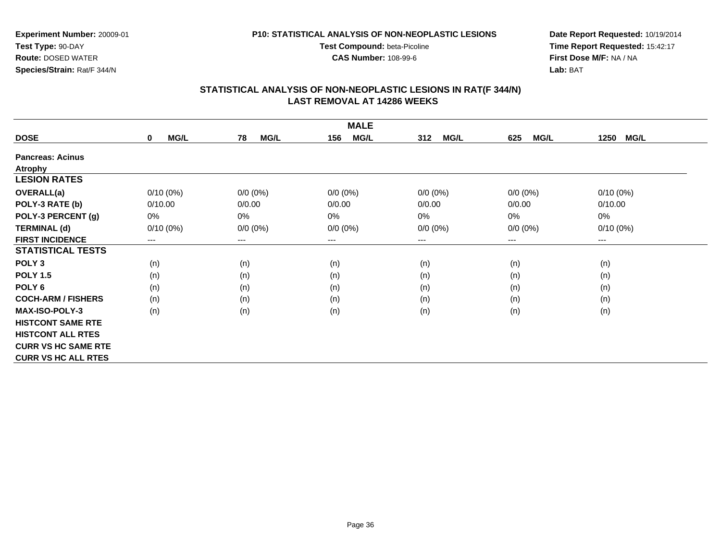**CAS Number:** 108-99-6

**Experiment Number:** 20009-01**Test Type:** 90-DAY **Route:** DOSED WATER**Species/Strain:** Rat/F 344/N

**Date Report Requested:** 10/19/2014 **Time Report Requested:** 15:42:17**First Dose M/F:** NA / NA**Lab:** BAT

| <b>MALE</b>                |                            |                        |                     |                    |                            |                     |  |
|----------------------------|----------------------------|------------------------|---------------------|--------------------|----------------------------|---------------------|--|
| <b>DOSE</b>                | <b>MG/L</b><br>$\mathbf 0$ | <b>MG/L</b><br>78      | <b>MG/L</b><br>156  | <b>MG/L</b><br>312 | <b>MG/L</b><br>625         | <b>MG/L</b><br>1250 |  |
| <b>Pancreas: Acinus</b>    |                            |                        |                     |                    |                            |                     |  |
| <b>Atrophy</b>             |                            |                        |                     |                    |                            |                     |  |
| <b>LESION RATES</b>        |                            |                        |                     |                    |                            |                     |  |
| <b>OVERALL(a)</b>          | $0/10(0\%)$                | $0/0 (0\%)$            | $0/0 (0\%)$         | $0/0 (0\%)$        | $0/0 (0\%)$                | $0/10(0\%)$         |  |
| POLY-3 RATE (b)            | 0/10.00                    | 0/0.00                 | 0/0.00              | 0/0.00             | 0/0.00                     | 0/10.00             |  |
| POLY-3 PERCENT (g)         | 0%                         | 0%                     | 0%                  | 0%                 | 0%                         | 0%                  |  |
| <b>TERMINAL (d)</b>        | $0/10(0\%)$                | $0/0 (0\%)$            | $0/0 (0\%)$         | $0/0 (0\%)$        | $0/0 (0\%)$                | $0/10(0\%)$         |  |
| <b>FIRST INCIDENCE</b>     | ---                        | $\qquad \qquad \cdots$ | $\qquad \qquad - -$ | ---                | $\qquad \qquad - \qquad -$ | $---$               |  |
| <b>STATISTICAL TESTS</b>   |                            |                        |                     |                    |                            |                     |  |
| POLY <sub>3</sub>          | (n)                        | (n)                    | (n)                 | (n)                | (n)                        | (n)                 |  |
| <b>POLY 1.5</b>            | (n)                        | (n)                    | (n)                 | (n)                | (n)                        | (n)                 |  |
| POLY 6                     | (n)                        | (n)                    | (n)                 | (n)                | (n)                        | (n)                 |  |
| <b>COCH-ARM / FISHERS</b>  | (n)                        | (n)                    | (n)                 | (n)                | (n)                        | (n)                 |  |
| <b>MAX-ISO-POLY-3</b>      | (n)                        | (n)                    | (n)                 | (n)                | (n)                        | (n)                 |  |
| <b>HISTCONT SAME RTE</b>   |                            |                        |                     |                    |                            |                     |  |
| <b>HISTCONT ALL RTES</b>   |                            |                        |                     |                    |                            |                     |  |
| <b>CURR VS HC SAME RTE</b> |                            |                        |                     |                    |                            |                     |  |
| <b>CURR VS HC ALL RTES</b> |                            |                        |                     |                    |                            |                     |  |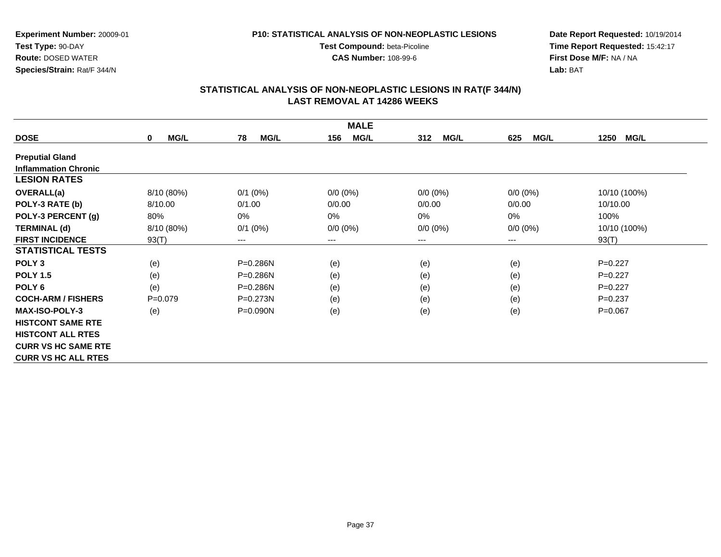**CAS Number:** 108-99-6

**Experiment Number:** 20009-01**Test Type:** 90-DAY **Route:** DOSED WATER**Species/Strain:** Rat/F 344/N

**Date Report Requested:** 10/19/2014 **Time Report Requested:** 15:42:17**First Dose M/F:** NA / NA**Lab:** BAT

| <b>MALE</b>                 |                            |                        |                    |                    |                    |                     |  |
|-----------------------------|----------------------------|------------------------|--------------------|--------------------|--------------------|---------------------|--|
| <b>DOSE</b>                 | <b>MG/L</b><br>$\mathbf 0$ | <b>MG/L</b><br>78      | <b>MG/L</b><br>156 | <b>MG/L</b><br>312 | <b>MG/L</b><br>625 | 1250<br><b>MG/L</b> |  |
| <b>Preputial Gland</b>      |                            |                        |                    |                    |                    |                     |  |
| <b>Inflammation Chronic</b> |                            |                        |                    |                    |                    |                     |  |
| <b>LESION RATES</b>         |                            |                        |                    |                    |                    |                     |  |
| OVERALL(a)                  | 8/10 (80%)                 | $0/1$ (0%)             | $0/0 (0\%)$        | $0/0 (0\%)$        | $0/0 (0\%)$        | 10/10 (100%)        |  |
| POLY-3 RATE (b)             | 8/10.00                    | 0/1.00                 | 0/0.00             | 0/0.00             | 0/0.00             | 10/10.00            |  |
| POLY-3 PERCENT (g)          | 80%                        | 0%                     | 0%                 | 0%                 | 0%                 | 100%                |  |
| <b>TERMINAL (d)</b>         | 8/10 (80%)                 | $0/1$ (0%)             | $0/0 (0\%)$        | $0/0 (0\%)$        | $0/0 (0\%)$        | 10/10 (100%)        |  |
| <b>FIRST INCIDENCE</b>      | 93(T)                      | $\qquad \qquad \cdots$ | $--$               | ---                | ---                | 93(T)               |  |
| <b>STATISTICAL TESTS</b>    |                            |                        |                    |                    |                    |                     |  |
| POLY <sub>3</sub>           | (e)                        | P=0.286N               | (e)                | (e)                | (e)                | $P=0.227$           |  |
| <b>POLY 1.5</b>             | (e)                        | P=0.286N               | (e)                | (e)                | (e)                | $P=0.227$           |  |
| POLY 6                      | (e)                        | P=0.286N               | (e)                | (e)                | (e)                | $P=0.227$           |  |
| <b>COCH-ARM / FISHERS</b>   | $P=0.079$                  | $P = 0.273N$           | (e)                | (e)                | (e)                | $P=0.237$           |  |
| <b>MAX-ISO-POLY-3</b>       | (e)                        | $P = 0.090N$           | (e)                | (e)                | (e)                | $P=0.067$           |  |
| <b>HISTCONT SAME RTE</b>    |                            |                        |                    |                    |                    |                     |  |
| <b>HISTCONT ALL RTES</b>    |                            |                        |                    |                    |                    |                     |  |
| <b>CURR VS HC SAME RTE</b>  |                            |                        |                    |                    |                    |                     |  |
| <b>CURR VS HC ALL RTES</b>  |                            |                        |                    |                    |                    |                     |  |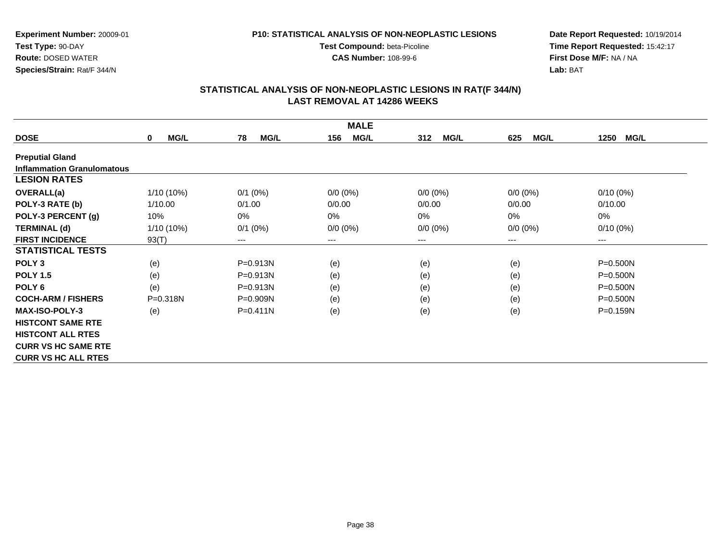**CAS Number:** 108-99-6

**Experiment Number:** 20009-01**Test Type:** 90-DAY **Route:** DOSED WATER**Species/Strain:** Rat/F 344/N

### **Date Report Requested:** 10/19/2014 **Time Report Requested:** 15:42:17**First Dose M/F:** NA / NA**Lab:** BAT

| <b>MALE</b>                       |                         |                        |                    |                    |                    |                     |  |
|-----------------------------------|-------------------------|------------------------|--------------------|--------------------|--------------------|---------------------|--|
| <b>DOSE</b>                       | <b>MG/L</b><br>$\bf{0}$ | 78<br><b>MG/L</b>      | 156<br><b>MG/L</b> | <b>MG/L</b><br>312 | <b>MG/L</b><br>625 | <b>MG/L</b><br>1250 |  |
| <b>Preputial Gland</b>            |                         |                        |                    |                    |                    |                     |  |
| <b>Inflammation Granulomatous</b> |                         |                        |                    |                    |                    |                     |  |
| <b>LESION RATES</b>               |                         |                        |                    |                    |                    |                     |  |
| <b>OVERALL(a)</b>                 | 1/10 (10%)              | $0/1$ (0%)             | $0/0 (0\%)$        | $0/0 (0\%)$        | $0/0(0\%)$         | $0/10(0\%)$         |  |
| POLY-3 RATE (b)                   | 1/10.00                 | 0/1.00                 | 0/0.00             | 0/0.00             | 0/0.00             | 0/10.00             |  |
| POLY-3 PERCENT (g)                | 10%                     | 0%                     | 0%                 | 0%                 | 0%                 | 0%                  |  |
| <b>TERMINAL (d)</b>               | 1/10 (10%)              | $0/1$ (0%)             | $0/0 (0\%)$        | $0/0 (0\%)$        | $0/0 (0\%)$        | $0/10(0\%)$         |  |
| <b>FIRST INCIDENCE</b>            | 93(T)                   | $\qquad \qquad \cdots$ | $---$              | ---                | $---$              | $---$               |  |
| <b>STATISTICAL TESTS</b>          |                         |                        |                    |                    |                    |                     |  |
| POLY <sub>3</sub>                 | (e)                     | P=0.913N               | (e)                | (e)                | (e)                | P=0.500N            |  |
| <b>POLY 1.5</b>                   | (e)                     | $P = 0.913N$           | (e)                | (e)                | (e)                | P=0.500N            |  |
| POLY <sub>6</sub>                 | (e)                     | P=0.913N               | (e)                | (e)                | (e)                | P=0.500N            |  |
| <b>COCH-ARM / FISHERS</b>         | P=0.318N                | $P = 0.909N$           | (e)                | (e)                | (e)                | P=0.500N            |  |
| <b>MAX-ISO-POLY-3</b>             | (e)                     | $P = 0.411N$           | (e)                | (e)                | (e)                | $P = 0.159N$        |  |
| <b>HISTCONT SAME RTE</b>          |                         |                        |                    |                    |                    |                     |  |
| <b>HISTCONT ALL RTES</b>          |                         |                        |                    |                    |                    |                     |  |
| <b>CURR VS HC SAME RTE</b>        |                         |                        |                    |                    |                    |                     |  |
| <b>CURR VS HC ALL RTES</b>        |                         |                        |                    |                    |                    |                     |  |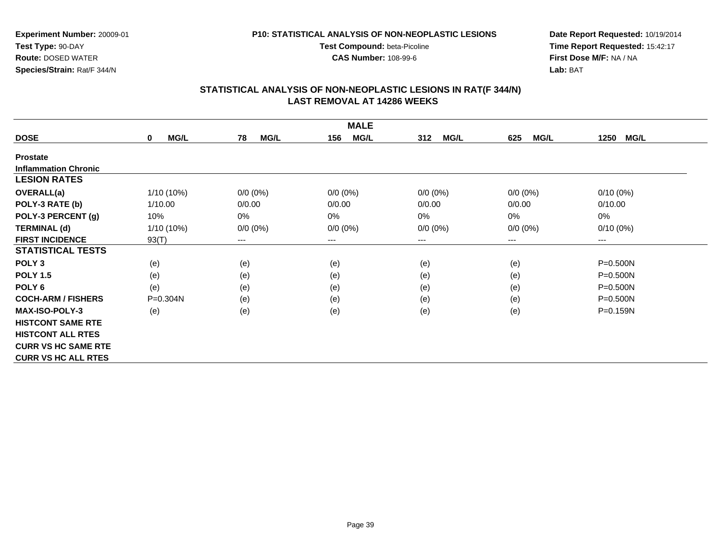**CAS Number:** 108-99-6

**Experiment Number:** 20009-01**Test Type:** 90-DAY **Route:** DOSED WATER**Species/Strain:** Rat/F 344/N

**Date Report Requested:** 10/19/2014 **Time Report Requested:** 15:42:17**First Dose M/F:** NA / NA**Lab:** BAT

| <b>MALE</b>                 |                            |                        |                    |                    |                        |                        |  |
|-----------------------------|----------------------------|------------------------|--------------------|--------------------|------------------------|------------------------|--|
| <b>DOSE</b>                 | <b>MG/L</b><br>$\mathbf 0$ | 78<br><b>MG/L</b>      | <b>MG/L</b><br>156 | 312<br><b>MG/L</b> | <b>MG/L</b><br>625     | 1250<br><b>MG/L</b>    |  |
| <b>Prostate</b>             |                            |                        |                    |                    |                        |                        |  |
| <b>Inflammation Chronic</b> |                            |                        |                    |                    |                        |                        |  |
| <b>LESION RATES</b>         |                            |                        |                    |                    |                        |                        |  |
| <b>OVERALL(a)</b>           | $1/10(10\%)$               | $0/0 (0\%)$            | $0/0 (0\%)$        | $0/0 (0\%)$        | $0/0(0\%)$             | $0/10(0\%)$            |  |
| POLY-3 RATE (b)             | 1/10.00                    | 0/0.00                 | 0/0.00             | 0/0.00             | 0/0.00                 | 0/10.00                |  |
| POLY-3 PERCENT (g)          | 10%                        | 0%                     | 0%                 | 0%                 | 0%                     | 0%                     |  |
| <b>TERMINAL (d)</b>         | $1/10(10\%)$               | $0/0 (0\%)$            | $0/0 (0\%)$        | $0/0 (0\%)$        | $0/0 (0\%)$            | $0/10(0\%)$            |  |
| <b>FIRST INCIDENCE</b>      | 93(T)                      | $\qquad \qquad \cdots$ | $---$              | ---                | $\qquad \qquad \cdots$ | $\qquad \qquad \cdots$ |  |
| <b>STATISTICAL TESTS</b>    |                            |                        |                    |                    |                        |                        |  |
| POLY <sub>3</sub>           | (e)                        | (e)                    | (e)                | (e)                | (e)                    | $P = 0.500N$           |  |
| <b>POLY 1.5</b>             | (e)                        | (e)                    | (e)                | (e)                | (e)                    | $P = 0.500N$           |  |
| POLY <sub>6</sub>           | (e)                        | (e)                    | (e)                | (e)                | (e)                    | $P = 0.500N$           |  |
| <b>COCH-ARM / FISHERS</b>   | $P = 0.304N$               | (e)                    | (e)                | (e)                | (e)                    | $P = 0.500N$           |  |
| <b>MAX-ISO-POLY-3</b>       | (e)                        | (e)                    | (e)                | (e)                | (e)                    | P=0.159N               |  |
| <b>HISTCONT SAME RTE</b>    |                            |                        |                    |                    |                        |                        |  |
| <b>HISTCONT ALL RTES</b>    |                            |                        |                    |                    |                        |                        |  |
| <b>CURR VS HC SAME RTE</b>  |                            |                        |                    |                    |                        |                        |  |
| <b>CURR VS HC ALL RTES</b>  |                            |                        |                    |                    |                        |                        |  |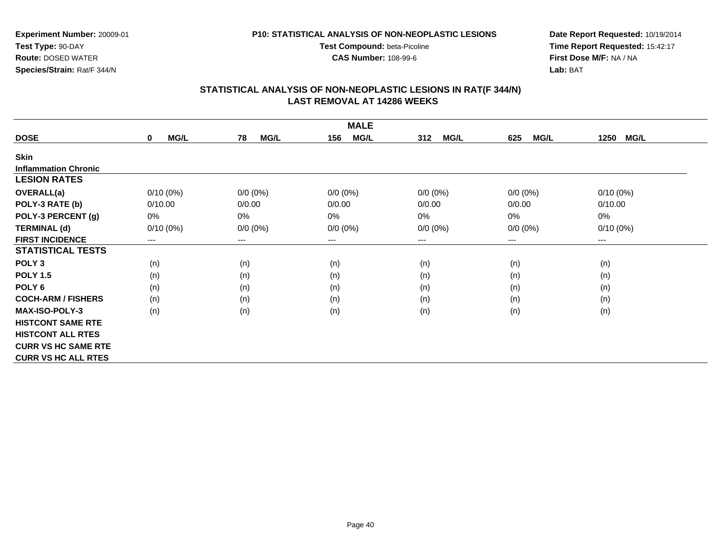**CAS Number:** 108-99-6

**Experiment Number:** 20009-01**Test Type:** 90-DAY **Route:** DOSED WATER**Species/Strain:** Rat/F 344/N

**Date Report Requested:** 10/19/2014 **Time Report Requested:** 15:42:17**First Dose M/F:** NA / NA**Lab:** BAT

| <b>MALE</b>                 |             |             |                    |                    |                    |                     |  |  |
|-----------------------------|-------------|-------------|--------------------|--------------------|--------------------|---------------------|--|--|
| <b>DOSE</b>                 | MG/L<br>0   | MG/L<br>78  | <b>MG/L</b><br>156 | 312<br><b>MG/L</b> | <b>MG/L</b><br>625 | <b>MG/L</b><br>1250 |  |  |
| <b>Skin</b>                 |             |             |                    |                    |                    |                     |  |  |
| <b>Inflammation Chronic</b> |             |             |                    |                    |                    |                     |  |  |
| <b>LESION RATES</b>         |             |             |                    |                    |                    |                     |  |  |
| OVERALL(a)                  | $0/10(0\%)$ | $0/0 (0\%)$ | $0/0 (0\%)$        | $0/0 (0\%)$        | $0/0 (0\%)$        | $0/10(0\%)$         |  |  |
| POLY-3 RATE (b)             | 0/10.00     | 0/0.00      | 0/0.00             | 0/0.00             | 0/0.00             | 0/10.00             |  |  |
| POLY-3 PERCENT (g)          | 0%          | 0%          | 0%                 | 0%                 | $0\%$              | $0\%$               |  |  |
| <b>TERMINAL (d)</b>         | $0/10(0\%)$ | $0/0 (0\%)$ | $0/0 (0\%)$        | $0/0 (0\%)$        | $0/0 (0\%)$        | $0/10(0\%)$         |  |  |
| <b>FIRST INCIDENCE</b>      | $---$       | $--$        | ---                | ---                | ---                | $--$                |  |  |
| <b>STATISTICAL TESTS</b>    |             |             |                    |                    |                    |                     |  |  |
| POLY <sub>3</sub>           | (n)         | (n)         | (n)                | (n)                | (n)                | (n)                 |  |  |
| <b>POLY 1.5</b>             | (n)         | (n)         | (n)                | (n)                | (n)                | (n)                 |  |  |
| POLY <sub>6</sub>           | (n)         | (n)         | (n)                | (n)                | (n)                | (n)                 |  |  |
| <b>COCH-ARM / FISHERS</b>   | (n)         | (n)         | (n)                | (n)                | (n)                | (n)                 |  |  |
| <b>MAX-ISO-POLY-3</b>       | (n)         | (n)         | (n)                | (n)                | (n)                | (n)                 |  |  |
| <b>HISTCONT SAME RTE</b>    |             |             |                    |                    |                    |                     |  |  |
| <b>HISTCONT ALL RTES</b>    |             |             |                    |                    |                    |                     |  |  |
| <b>CURR VS HC SAME RTE</b>  |             |             |                    |                    |                    |                     |  |  |
| <b>CURR VS HC ALL RTES</b>  |             |             |                    |                    |                    |                     |  |  |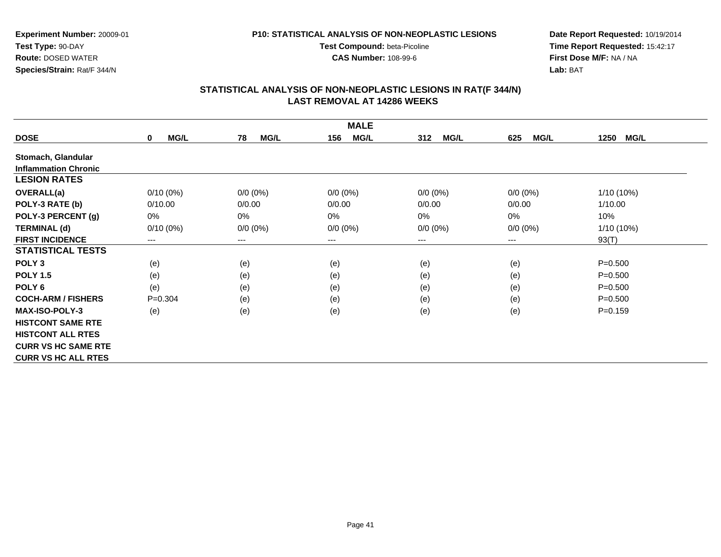**CAS Number:** 108-99-6

**Experiment Number:** 20009-01**Test Type:** 90-DAY **Route:** DOSED WATER**Species/Strain:** Rat/F 344/N

**Date Report Requested:** 10/19/2014 **Time Report Requested:** 15:42:17**First Dose M/F:** NA / NA**Lab:** BAT

| <b>MALE</b>                 |                            |                        |                    |                    |                    |                     |  |
|-----------------------------|----------------------------|------------------------|--------------------|--------------------|--------------------|---------------------|--|
| <b>DOSE</b>                 | <b>MG/L</b><br>$\mathbf 0$ | 78<br><b>MG/L</b>      | <b>MG/L</b><br>156 | <b>MG/L</b><br>312 | <b>MG/L</b><br>625 | 1250<br><b>MG/L</b> |  |
| Stomach, Glandular          |                            |                        |                    |                    |                    |                     |  |
| <b>Inflammation Chronic</b> |                            |                        |                    |                    |                    |                     |  |
| <b>LESION RATES</b>         |                            |                        |                    |                    |                    |                     |  |
| <b>OVERALL(a)</b>           | $0/10(0\%)$                | $0/0 (0\%)$            | $0/0 (0\%)$        | $0/0 (0\%)$        | $0/0 (0\%)$        | 1/10 (10%)          |  |
| POLY-3 RATE (b)             | 0/10.00                    | 0/0.00                 | 0/0.00             | 0/0.00             | 0/0.00             | 1/10.00             |  |
| POLY-3 PERCENT (g)          | 0%                         | 0%                     | 0%                 | 0%                 | $0\%$              | 10%                 |  |
| <b>TERMINAL (d)</b>         | $0/10(0\%)$                | $0/0 (0\%)$            | $0/0 (0\%)$        | $0/0 (0\%)$        | $0/0 (0\%)$        | $1/10(10\%)$        |  |
| <b>FIRST INCIDENCE</b>      | ---                        | $\qquad \qquad \cdots$ | $---$              | ---                | $---$              | 93(T)               |  |
| <b>STATISTICAL TESTS</b>    |                            |                        |                    |                    |                    |                     |  |
| POLY <sub>3</sub>           | (e)                        | (e)                    | (e)                | (e)                | (e)                | $P = 0.500$         |  |
| <b>POLY 1.5</b>             | (e)                        | (e)                    | (e)                | (e)                | (e)                | $P = 0.500$         |  |
| POLY <sub>6</sub>           | (e)                        | (e)                    | (e)                | (e)                | (e)                | $P = 0.500$         |  |
| <b>COCH-ARM / FISHERS</b>   | $P = 0.304$                | (e)                    | (e)                | (e)                | (e)                | $P = 0.500$         |  |
| <b>MAX-ISO-POLY-3</b>       | (e)                        | (e)                    | (e)                | (e)                | (e)                | $P = 0.159$         |  |
| <b>HISTCONT SAME RTE</b>    |                            |                        |                    |                    |                    |                     |  |
| <b>HISTCONT ALL RTES</b>    |                            |                        |                    |                    |                    |                     |  |
| <b>CURR VS HC SAME RTE</b>  |                            |                        |                    |                    |                    |                     |  |
| <b>CURR VS HC ALL RTES</b>  |                            |                        |                    |                    |                    |                     |  |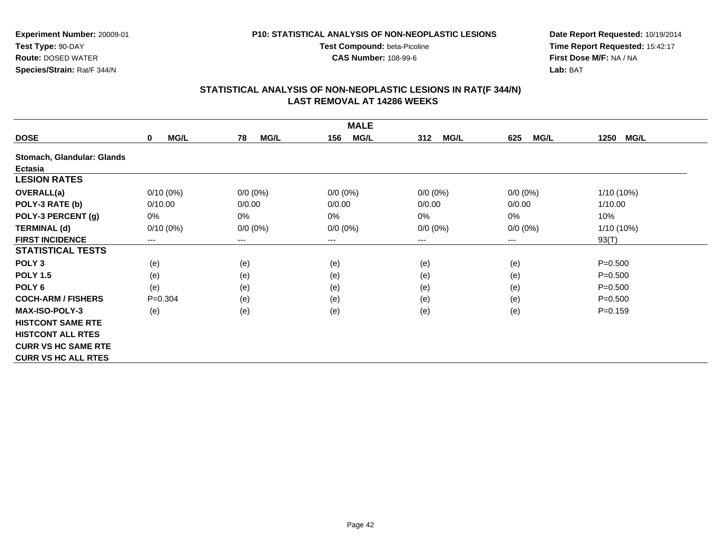**CAS Number:** 108-99-6

**Experiment Number:** 20009-01**Test Type:** 90-DAY **Route:** DOSED WATER**Species/Strain:** Rat/F 344/N

**Date Report Requested:** 10/19/2014 **Time Report Requested:** 15:42:17**First Dose M/F:** NA / NA**Lab:** BAT

|                            |                            |                   | <b>MALE</b>        |                    |                    |                     |
|----------------------------|----------------------------|-------------------|--------------------|--------------------|--------------------|---------------------|
| <b>DOSE</b>                | <b>MG/L</b><br>$\mathbf 0$ | 78<br><b>MG/L</b> | <b>MG/L</b><br>156 | <b>MG/L</b><br>312 | <b>MG/L</b><br>625 | 1250<br><b>MG/L</b> |
| Stomach, Glandular: Glands |                            |                   |                    |                    |                    |                     |
| Ectasia                    |                            |                   |                    |                    |                    |                     |
| <b>LESION RATES</b>        |                            |                   |                    |                    |                    |                     |
| <b>OVERALL(a)</b>          | $0/10(0\%)$                | $0/0 (0\%)$       | $0/0 (0\%)$        | $0/0 (0\%)$        | $0/0 (0\%)$        | 1/10 (10%)          |
| POLY-3 RATE (b)            | 0/10.00                    | 0/0.00            | 0/0.00             | 0/0.00             | 0/0.00             | 1/10.00             |
| POLY-3 PERCENT (g)         | 0%                         | 0%                | 0%                 | 0%                 | 0%                 | 10%                 |
| <b>TERMINAL (d)</b>        | $0/10(0\%)$                | $0/0 (0\%)$       | $0/0 (0\%)$        | $0/0 (0\%)$        | $0/0 (0\%)$        | 1/10 (10%)          |
| <b>FIRST INCIDENCE</b>     | $---$                      | $\cdots$          | ---                | ---                | $---$              | 93(T)               |
| <b>STATISTICAL TESTS</b>   |                            |                   |                    |                    |                    |                     |
| POLY <sub>3</sub>          | (e)                        | (e)               | (e)                | (e)                | (e)                | $P = 0.500$         |
| <b>POLY 1.5</b>            | (e)                        | (e)               | (e)                | (e)                | (e)                | $P = 0.500$         |
| POLY <sub>6</sub>          | (e)                        | (e)               | (e)                | (e)                | (e)                | $P = 0.500$         |
| <b>COCH-ARM / FISHERS</b>  | $P=0.304$                  | (e)               | (e)                | (e)                | (e)                | $P = 0.500$         |
| <b>MAX-ISO-POLY-3</b>      | (e)                        | (e)               | (e)                | (e)                | (e)                | $P = 0.159$         |
| <b>HISTCONT SAME RTE</b>   |                            |                   |                    |                    |                    |                     |
| <b>HISTCONT ALL RTES</b>   |                            |                   |                    |                    |                    |                     |
| <b>CURR VS HC SAME RTE</b> |                            |                   |                    |                    |                    |                     |
| <b>CURR VS HC ALL RTES</b> |                            |                   |                    |                    |                    |                     |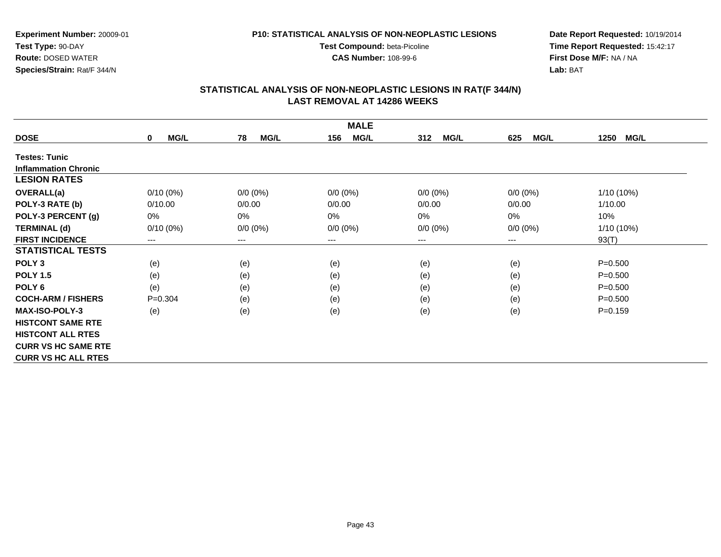**CAS Number:** 108-99-6

**Experiment Number:** 20009-01**Test Type:** 90-DAY **Route:** DOSED WATER**Species/Strain:** Rat/F 344/N

**Date Report Requested:** 10/19/2014 **Time Report Requested:** 15:42:17**First Dose M/F:** NA / NA**Lab:** BAT

| <b>MALE</b>                 |                            |                        |                    |                    |                    |                     |  |
|-----------------------------|----------------------------|------------------------|--------------------|--------------------|--------------------|---------------------|--|
| <b>DOSE</b>                 | <b>MG/L</b><br>$\mathbf 0$ | 78<br><b>MG/L</b>      | <b>MG/L</b><br>156 | <b>MG/L</b><br>312 | 625<br><b>MG/L</b> | 1250<br><b>MG/L</b> |  |
| <b>Testes: Tunic</b>        |                            |                        |                    |                    |                    |                     |  |
| <b>Inflammation Chronic</b> |                            |                        |                    |                    |                    |                     |  |
| <b>LESION RATES</b>         |                            |                        |                    |                    |                    |                     |  |
| OVERALL(a)                  | $0/10(0\%)$                | $0/0 (0\%)$            | $0/0 (0\%)$        | $0/0 (0\%)$        | $0/0 (0\%)$        | 1/10 (10%)          |  |
| POLY-3 RATE (b)             | 0/10.00                    | 0/0.00                 | 0/0.00             | 0/0.00             | 0/0.00             | 1/10.00             |  |
| POLY-3 PERCENT (g)          | 0%                         | 0%                     | $0\%$              | 0%                 | 0%                 | 10%                 |  |
| <b>TERMINAL (d)</b>         | $0/10(0\%)$                | $0/0 (0\%)$            | $0/0 (0\%)$        | $0/0 (0\%)$        | $0/0 (0\%)$        | 1/10 (10%)          |  |
| <b>FIRST INCIDENCE</b>      | ---                        | $\qquad \qquad \cdots$ | ---                | ---                | ---                | 93(T)               |  |
| <b>STATISTICAL TESTS</b>    |                            |                        |                    |                    |                    |                     |  |
| POLY <sub>3</sub>           | (e)                        | (e)                    | (e)                | (e)                | (e)                | $P = 0.500$         |  |
| <b>POLY 1.5</b>             | (e)                        | (e)                    | (e)                | (e)                | (e)                | $P = 0.500$         |  |
| POLY <sub>6</sub>           | (e)                        | (e)                    | (e)                | (e)                | (e)                | $P = 0.500$         |  |
| <b>COCH-ARM / FISHERS</b>   | $P = 0.304$                | (e)                    | (e)                | (e)                | (e)                | $P = 0.500$         |  |
| <b>MAX-ISO-POLY-3</b>       | (e)                        | (e)                    | (e)                | (e)                | (e)                | $P = 0.159$         |  |
| <b>HISTCONT SAME RTE</b>    |                            |                        |                    |                    |                    |                     |  |
| <b>HISTCONT ALL RTES</b>    |                            |                        |                    |                    |                    |                     |  |
| <b>CURR VS HC SAME RTE</b>  |                            |                        |                    |                    |                    |                     |  |
| <b>CURR VS HC ALL RTES</b>  |                            |                        |                    |                    |                    |                     |  |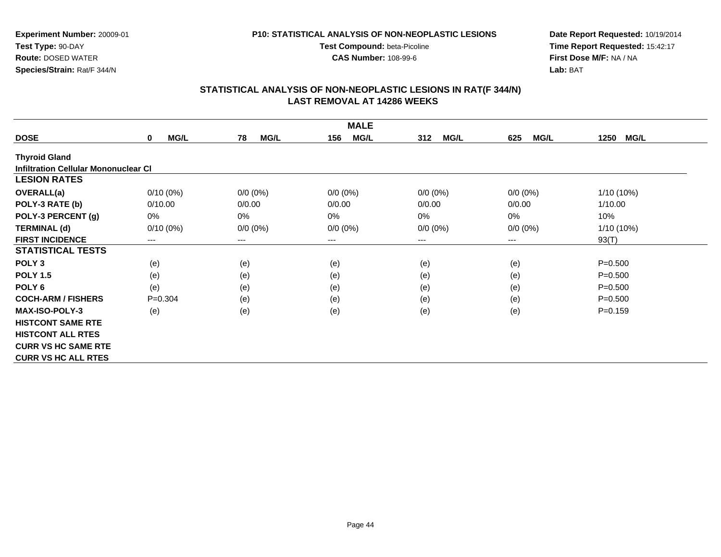**CAS Number:** 108-99-6

**Experiment Number:** 20009-01**Test Type:** 90-DAY **Route:** DOSED WATER**Species/Strain:** Rat/F 344/N

**Date Report Requested:** 10/19/2014 **Time Report Requested:** 15:42:17**First Dose M/F:** NA / NA**Lab:** BAT

|                                             | <b>MALE</b>                |                   |                    |                    |                    |                     |  |  |
|---------------------------------------------|----------------------------|-------------------|--------------------|--------------------|--------------------|---------------------|--|--|
| <b>DOSE</b>                                 | <b>MG/L</b><br>$\mathbf 0$ | 78<br><b>MG/L</b> | <b>MG/L</b><br>156 | <b>MG/L</b><br>312 | <b>MG/L</b><br>625 | <b>MG/L</b><br>1250 |  |  |
| <b>Thyroid Gland</b>                        |                            |                   |                    |                    |                    |                     |  |  |
| <b>Infiltration Cellular Mononuclear CI</b> |                            |                   |                    |                    |                    |                     |  |  |
| <b>LESION RATES</b>                         |                            |                   |                    |                    |                    |                     |  |  |
| OVERALL(a)                                  | $0/10(0\%)$                | $0/0 (0\%)$       | $0/0 (0\%)$        | $0/0 (0\%)$        | $0/0 (0\%)$        | 1/10 (10%)          |  |  |
| POLY-3 RATE (b)                             | 0/10.00                    | 0/0.00            | 0/0.00             | 0/0.00             | 0/0.00             | 1/10.00             |  |  |
| POLY-3 PERCENT (g)                          | 0%                         | 0%                | 0%                 | $0\%$              | 0%                 | 10%                 |  |  |
| <b>TERMINAL (d)</b>                         | $0/10(0\%)$                | $0/0 (0\%)$       | $0/0 (0\%)$        | $0/0 (0\%)$        | $0/0 (0\%)$        | 1/10 (10%)          |  |  |
| <b>FIRST INCIDENCE</b>                      | $---$                      | $---$             | ---                | ---                | ---                | 93(T)               |  |  |
| <b>STATISTICAL TESTS</b>                    |                            |                   |                    |                    |                    |                     |  |  |
| POLY <sub>3</sub>                           | (e)                        | (e)               | (e)                | (e)                | (e)                | $P = 0.500$         |  |  |
| <b>POLY 1.5</b>                             | (e)                        | (e)               | (e)                | (e)                | (e)                | $P = 0.500$         |  |  |
| POLY <sub>6</sub>                           | (e)                        | (e)               | (e)                | (e)                | (e)                | $P = 0.500$         |  |  |
| <b>COCH-ARM / FISHERS</b>                   | $P=0.304$                  | (e)               | (e)                | (e)                | (e)                | $P = 0.500$         |  |  |
| <b>MAX-ISO-POLY-3</b>                       | (e)                        | (e)               | (e)                | (e)                | (e)                | $P = 0.159$         |  |  |
| <b>HISTCONT SAME RTE</b>                    |                            |                   |                    |                    |                    |                     |  |  |
| <b>HISTCONT ALL RTES</b>                    |                            |                   |                    |                    |                    |                     |  |  |
| <b>CURR VS HC SAME RTE</b>                  |                            |                   |                    |                    |                    |                     |  |  |
| <b>CURR VS HC ALL RTES</b>                  |                            |                   |                    |                    |                    |                     |  |  |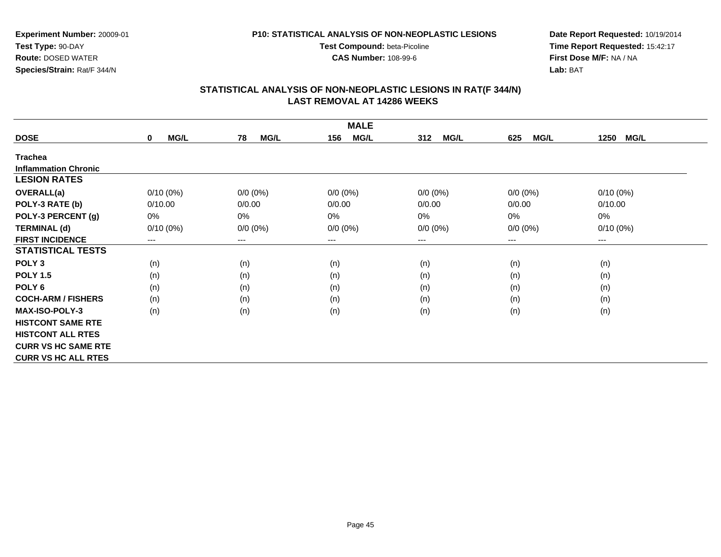**CAS Number:** 108-99-6

**Experiment Number:** 20009-01**Test Type:** 90-DAY **Route:** DOSED WATER**Species/Strain:** Rat/F 344/N

**Date Report Requested:** 10/19/2014 **Time Report Requested:** 15:42:17**First Dose M/F:** NA / NA**Lab:** BAT

| <b>MALE</b>                 |                     |                        |                    |                    |                    |                     |  |
|-----------------------------|---------------------|------------------------|--------------------|--------------------|--------------------|---------------------|--|
| <b>DOSE</b>                 | MG/L<br>$\mathbf 0$ | <b>MG/L</b><br>78      | <b>MG/L</b><br>156 | 312<br><b>MG/L</b> | <b>MG/L</b><br>625 | 1250<br><b>MG/L</b> |  |
| <b>Trachea</b>              |                     |                        |                    |                    |                    |                     |  |
| <b>Inflammation Chronic</b> |                     |                        |                    |                    |                    |                     |  |
| <b>LESION RATES</b>         |                     |                        |                    |                    |                    |                     |  |
| <b>OVERALL(a)</b>           | $0/10(0\%)$         | $0/0 (0\%)$            | $0/0 (0\%)$        | $0/0 (0\%)$        | $0/0 (0\%)$        | $0/10(0\%)$         |  |
| POLY-3 RATE (b)             | 0/10.00             | 0/0.00                 | 0/0.00             | 0/0.00             | 0/0.00             | 0/10.00             |  |
| POLY-3 PERCENT (g)          | 0%                  | 0%                     | 0%                 | 0%                 | 0%                 | 0%                  |  |
| <b>TERMINAL (d)</b>         | $0/10(0\%)$         | $0/0 (0\%)$            | $0/0 (0\%)$        | $0/0 (0\%)$        | $0/0 (0\%)$        | $0/10(0\%)$         |  |
| <b>FIRST INCIDENCE</b>      | ---                 | $\qquad \qquad \cdots$ | ---                | ---                | ---                | $--$                |  |
| <b>STATISTICAL TESTS</b>    |                     |                        |                    |                    |                    |                     |  |
| POLY <sub>3</sub>           | (n)                 | (n)                    | (n)                | (n)                | (n)                | (n)                 |  |
| <b>POLY 1.5</b>             | (n)                 | (n)                    | (n)                | (n)                | (n)                | (n)                 |  |
| POLY <sub>6</sub>           | (n)                 | (n)                    | (n)                | (n)                | (n)                | (n)                 |  |
| <b>COCH-ARM / FISHERS</b>   | (n)                 | (n)                    | (n)                | (n)                | (n)                | (n)                 |  |
| <b>MAX-ISO-POLY-3</b>       | (n)                 | (n)                    | (n)                | (n)                | (n)                | (n)                 |  |
| <b>HISTCONT SAME RTE</b>    |                     |                        |                    |                    |                    |                     |  |
| <b>HISTCONT ALL RTES</b>    |                     |                        |                    |                    |                    |                     |  |
| <b>CURR VS HC SAME RTE</b>  |                     |                        |                    |                    |                    |                     |  |
| <b>CURR VS HC ALL RTES</b>  |                     |                        |                    |                    |                    |                     |  |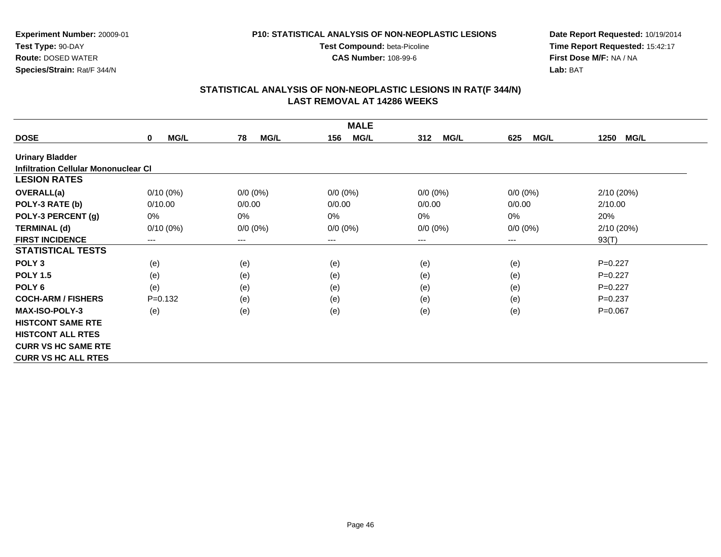**CAS Number:** 108-99-6

**Experiment Number:** 20009-01**Test Type:** 90-DAY **Route:** DOSED WATER**Species/Strain:** Rat/F 344/N

**Date Report Requested:** 10/19/2014 **Time Report Requested:** 15:42:17**First Dose M/F:** NA / NA**Lab:** BAT

| <b>MALE</b>                                 |                            |                   |                    |                    |                    |                     |  |
|---------------------------------------------|----------------------------|-------------------|--------------------|--------------------|--------------------|---------------------|--|
| <b>DOSE</b>                                 | <b>MG/L</b><br>$\mathbf 0$ | 78<br><b>MG/L</b> | <b>MG/L</b><br>156 | <b>MG/L</b><br>312 | <b>MG/L</b><br>625 | 1250<br><b>MG/L</b> |  |
| <b>Urinary Bladder</b>                      |                            |                   |                    |                    |                    |                     |  |
| <b>Infiltration Cellular Mononuclear CI</b> |                            |                   |                    |                    |                    |                     |  |
| <b>LESION RATES</b>                         |                            |                   |                    |                    |                    |                     |  |
| <b>OVERALL(a)</b>                           | $0/10(0\%)$                | $0/0 (0\%)$       | $0/0 (0\%)$        | $0/0 (0\%)$        | $0/0 (0\%)$        | 2/10(20%)           |  |
| POLY-3 RATE (b)                             | 0/10.00                    | 0/0.00            | 0/0.00             | 0/0.00             | 0/0.00             | 2/10.00             |  |
| POLY-3 PERCENT (g)                          | 0%                         | 0%                | 0%                 | 0%                 | 0%                 | 20%                 |  |
| <b>TERMINAL (d)</b>                         | $0/10(0\%)$                | $0/0 (0\%)$       | $0/0 (0\%)$        | $0/0 (0\%)$        | $0/0 (0\%)$        | 2/10(20%)           |  |
| <b>FIRST INCIDENCE</b>                      | $---$                      | $---$             | ---                | ---                | ---                | 93(T)               |  |
| <b>STATISTICAL TESTS</b>                    |                            |                   |                    |                    |                    |                     |  |
| POLY <sub>3</sub>                           | (e)                        | (e)               | (e)                | (e)                | (e)                | $P=0.227$           |  |
| <b>POLY 1.5</b>                             | (e)                        | (e)               | (e)                | (e)                | (e)                | $P=0.227$           |  |
| POLY <sub>6</sub>                           | (e)                        | (e)               | (e)                | (e)                | (e)                | $P=0.227$           |  |
| <b>COCH-ARM / FISHERS</b>                   | $P=0.132$                  | (e)               | (e)                | (e)                | (e)                | $P=0.237$           |  |
| <b>MAX-ISO-POLY-3</b>                       | (e)                        | (e)               | (e)                | (e)                | (e)                | $P=0.067$           |  |
| <b>HISTCONT SAME RTE</b>                    |                            |                   |                    |                    |                    |                     |  |
| <b>HISTCONT ALL RTES</b>                    |                            |                   |                    |                    |                    |                     |  |
| <b>CURR VS HC SAME RTE</b>                  |                            |                   |                    |                    |                    |                     |  |
| <b>CURR VS HC ALL RTES</b>                  |                            |                   |                    |                    |                    |                     |  |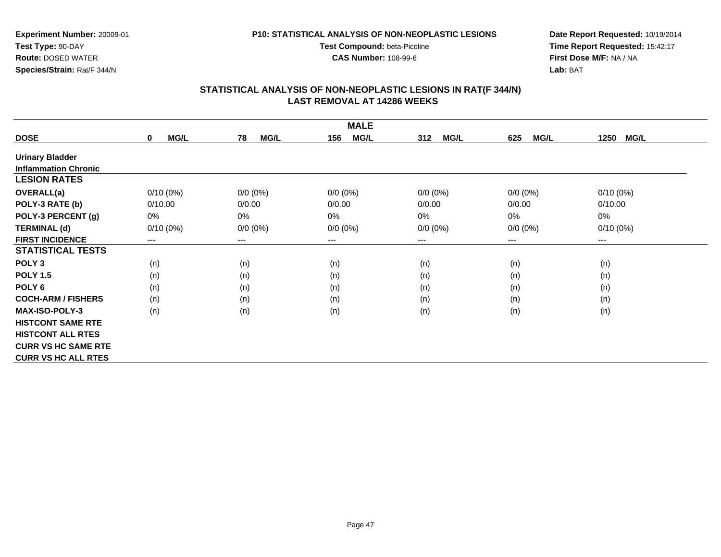**CAS Number:** 108-99-6

**Experiment Number:** 20009-01**Test Type:** 90-DAY **Route:** DOSED WATER**Species/Strain:** Rat/F 344/N

**Date Report Requested:** 10/19/2014 **Time Report Requested:** 15:42:17**First Dose M/F:** NA / NA**Lab:** BAT

| <b>MALE</b>                 |                            |                        |                    |                    |                    |                     |  |
|-----------------------------|----------------------------|------------------------|--------------------|--------------------|--------------------|---------------------|--|
| <b>DOSE</b>                 | <b>MG/L</b><br>$\mathbf 0$ | 78<br><b>MG/L</b>      | <b>MG/L</b><br>156 | 312<br><b>MG/L</b> | <b>MG/L</b><br>625 | 1250<br><b>MG/L</b> |  |
| <b>Urinary Bladder</b>      |                            |                        |                    |                    |                    |                     |  |
| <b>Inflammation Chronic</b> |                            |                        |                    |                    |                    |                     |  |
| <b>LESION RATES</b>         |                            |                        |                    |                    |                    |                     |  |
| <b>OVERALL(a)</b>           | $0/10(0\%)$                | $0/0 (0\%)$            | $0/0 (0\%)$        | $0/0 (0\%)$        | $0/0 (0\%)$        | $0/10(0\%)$         |  |
| POLY-3 RATE (b)             | 0/10.00                    | 0/0.00                 | 0/0.00             | 0/0.00             | 0/0.00             | 0/10.00             |  |
| POLY-3 PERCENT (g)          | 0%                         | 0%                     | 0%                 | 0%                 | 0%                 | 0%                  |  |
| <b>TERMINAL (d)</b>         | $0/10(0\%)$                | $0/0 (0\%)$            | $0/0 (0\%)$        | $0/0 (0\%)$        | $0/0 (0\%)$        | $0/10(0\%)$         |  |
| <b>FIRST INCIDENCE</b>      | ---                        | $\qquad \qquad \cdots$ | ---                | ---                | ---                | $--$                |  |
| <b>STATISTICAL TESTS</b>    |                            |                        |                    |                    |                    |                     |  |
| POLY <sub>3</sub>           | (n)                        | (n)                    | (n)                | (n)                | (n)                | (n)                 |  |
| <b>POLY 1.5</b>             | (n)                        | (n)                    | (n)                | (n)                | (n)                | (n)                 |  |
| POLY <sub>6</sub>           | (n)                        | (n)                    | (n)                | (n)                | (n)                | (n)                 |  |
| <b>COCH-ARM / FISHERS</b>   | (n)                        | (n)                    | (n)                | (n)                | (n)                | (n)                 |  |
| MAX-ISO-POLY-3              | (n)                        | (n)                    | (n)                | (n)                | (n)                | (n)                 |  |
| <b>HISTCONT SAME RTE</b>    |                            |                        |                    |                    |                    |                     |  |
| <b>HISTCONT ALL RTES</b>    |                            |                        |                    |                    |                    |                     |  |
| <b>CURR VS HC SAME RTE</b>  |                            |                        |                    |                    |                    |                     |  |
| <b>CURR VS HC ALL RTES</b>  |                            |                        |                    |                    |                    |                     |  |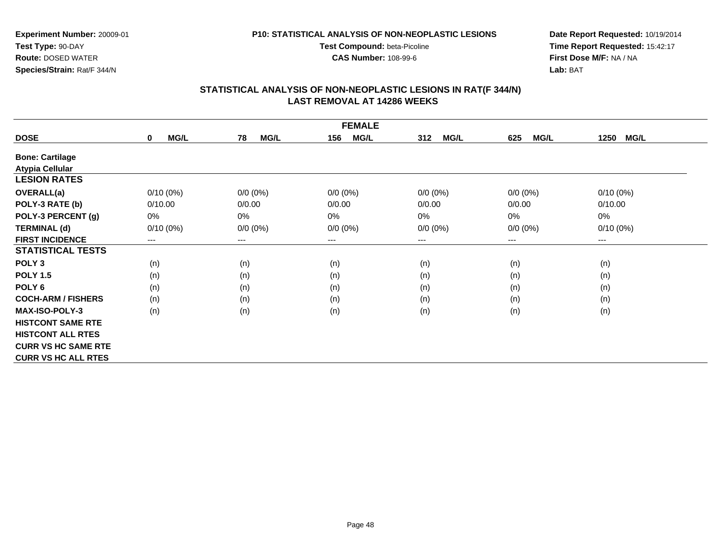**P10: STATISTICAL ANALYSIS OF NON-NEOPLASTIC LESIONS**

**Test Compound:** beta-Picoline**CAS Number:** 108-99-6

**Experiment Number:** 20009-01**Test Type:** 90-DAY **Route:** DOSED WATER**Species/Strain:** Rat/F 344/N

### **Date Report Requested:** 10/19/2014 **Time Report Requested:** 15:42:17**First Dose M/F:** NA / NA**Lab:** BAT

| <b>FEMALE</b>              |                  |                            |                    |             |                    |                     |  |
|----------------------------|------------------|----------------------------|--------------------|-------------|--------------------|---------------------|--|
| <b>DOSE</b>                | MG/L<br>$\bf{0}$ | <b>MG/L</b><br>78          | <b>MG/L</b><br>156 | MG/L<br>312 | <b>MG/L</b><br>625 | <b>MG/L</b><br>1250 |  |
| <b>Bone: Cartilage</b>     |                  |                            |                    |             |                    |                     |  |
| <b>Atypia Cellular</b>     |                  |                            |                    |             |                    |                     |  |
| <b>LESION RATES</b>        |                  |                            |                    |             |                    |                     |  |
| <b>OVERALL(a)</b>          | $0/10(0\%)$      | $0/0 (0\%)$                | $0/0 (0\%)$        | $0/0 (0\%)$ | $0/0 (0\%)$        | $0/10(0\%)$         |  |
| POLY-3 RATE (b)            | 0/10.00          | 0/0.00                     | 0/0.00             | 0/0.00      | 0/0.00             | 0/10.00             |  |
| POLY-3 PERCENT (g)         | $0\%$            | 0%                         | 0%                 | 0%          | 0%                 | 0%                  |  |
| <b>TERMINAL (d)</b>        | $0/10(0\%)$      | $0/0 (0\%)$                | $0/0 (0\%)$        | $0/0 (0\%)$ | $0/0 (0\%)$        | $0/10(0\%)$         |  |
| <b>FIRST INCIDENCE</b>     | ---              | $\qquad \qquad - \qquad -$ | $---$              | ---         | ---                | $---$               |  |
| <b>STATISTICAL TESTS</b>   |                  |                            |                    |             |                    |                     |  |
| POLY <sub>3</sub>          | (n)              | (n)                        | (n)                | (n)         | (n)                | (n)                 |  |
| <b>POLY 1.5</b>            | (n)              | (n)                        | (n)                | (n)         | (n)                | (n)                 |  |
| POLY <sub>6</sub>          | (n)              | (n)                        | (n)                | (n)         | (n)                | (n)                 |  |
| <b>COCH-ARM / FISHERS</b>  | (n)              | (n)                        | (n)                | (n)         | (n)                | (n)                 |  |
| <b>MAX-ISO-POLY-3</b>      | (n)              | (n)                        | (n)                | (n)         | (n)                | (n)                 |  |
| <b>HISTCONT SAME RTE</b>   |                  |                            |                    |             |                    |                     |  |
| <b>HISTCONT ALL RTES</b>   |                  |                            |                    |             |                    |                     |  |
| <b>CURR VS HC SAME RTE</b> |                  |                            |                    |             |                    |                     |  |
| <b>CURR VS HC ALL RTES</b> |                  |                            |                    |             |                    |                     |  |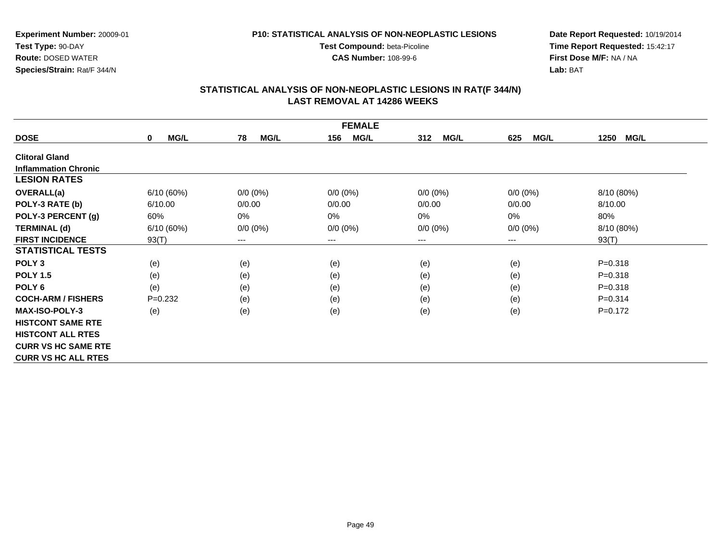**Experiment Number:** 20009-01**Test Type:** 90-DAY**Route:** DOSED WATER

#### **Species/Strain:** Rat/F 344/N

#### **P10: STATISTICAL ANALYSIS OF NON-NEOPLASTIC LESIONS**

**Test Compound:** beta-Picoline**CAS Number:** 108-99-6

**Date Report Requested:** 10/19/2014 **Time Report Requested:** 15:42:17**First Dose M/F:** NA / NA**Lab:** BAT

| <b>FEMALE</b>               |                      |                        |                    |                    |             |                     |  |  |
|-----------------------------|----------------------|------------------------|--------------------|--------------------|-------------|---------------------|--|--|
| <b>DOSE</b>                 | MG/L<br>$\mathbf{0}$ | 78<br><b>MG/L</b>      | <b>MG/L</b><br>156 | <b>MG/L</b><br>312 | MG/L<br>625 | <b>MG/L</b><br>1250 |  |  |
| <b>Clitoral Gland</b>       |                      |                        |                    |                    |             |                     |  |  |
| <b>Inflammation Chronic</b> |                      |                        |                    |                    |             |                     |  |  |
| <b>LESION RATES</b>         |                      |                        |                    |                    |             |                     |  |  |
| <b>OVERALL(a)</b>           | 6/10(60%)            | $0/0 (0\%)$            | $0/0 (0\%)$        | $0/0 (0\%)$        | $0/0 (0\%)$ | 8/10 (80%)          |  |  |
| POLY-3 RATE (b)             | 6/10.00              | 0/0.00                 | 0/0.00             | 0/0.00             | 0/0.00      | 8/10.00             |  |  |
| POLY-3 PERCENT (g)          | 60%                  | $0\%$                  | $0\%$              | $0\%$              | 0%          | 80%                 |  |  |
| <b>TERMINAL (d)</b>         | 6/10(60%)            | $0/0 (0\%)$            | $0/0 (0\%)$        | $0/0 (0\%)$        | $0/0 (0\%)$ | 8/10 (80%)          |  |  |
| <b>FIRST INCIDENCE</b>      | 93(T)                | $\qquad \qquad \cdots$ | $--$               | ---                | ---         | 93(T)               |  |  |
| <b>STATISTICAL TESTS</b>    |                      |                        |                    |                    |             |                     |  |  |
| POLY <sub>3</sub>           | (e)                  | (e)                    | (e)                | (e)                | (e)         | $P = 0.318$         |  |  |
| <b>POLY 1.5</b>             | (e)                  | (e)                    | (e)                | (e)                | (e)         | $P = 0.318$         |  |  |
| POLY <sub>6</sub>           | (e)                  | (e)                    | (e)                | (e)                | (e)         | $P = 0.318$         |  |  |
| <b>COCH-ARM / FISHERS</b>   | $P=0.232$            | (e)                    | (e)                | (e)                | (e)         | $P = 0.314$         |  |  |
| <b>MAX-ISO-POLY-3</b>       | (e)                  | (e)                    | (e)                | (e)                | (e)         | $P=0.172$           |  |  |
| <b>HISTCONT SAME RTE</b>    |                      |                        |                    |                    |             |                     |  |  |
| <b>HISTCONT ALL RTES</b>    |                      |                        |                    |                    |             |                     |  |  |
| <b>CURR VS HC SAME RTE</b>  |                      |                        |                    |                    |             |                     |  |  |
| <b>CURR VS HC ALL RTES</b>  |                      |                        |                    |                    |             |                     |  |  |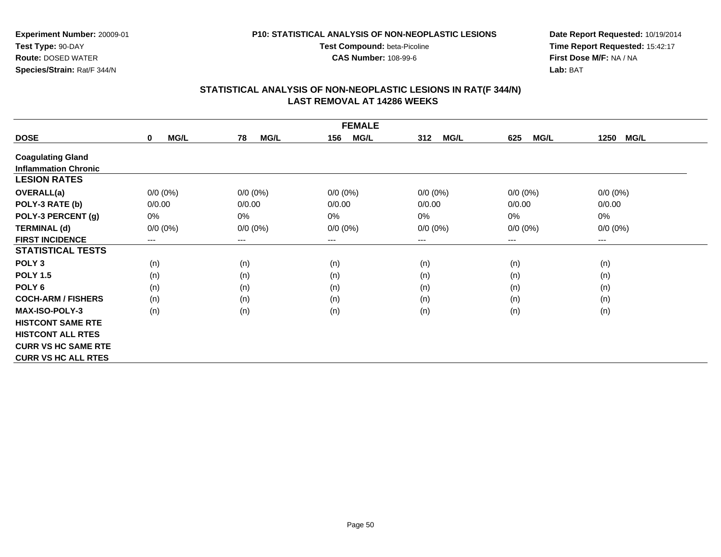#### **P10: STATISTICAL ANALYSIS OF NON-NEOPLASTIC LESIONS**

**Test Compound:** beta-Picoline**CAS Number:** 108-99-6

**Date Report Requested:** 10/19/2014 **Time Report Requested:** 15:42:17**First Dose M/F:** NA / NA**Lab:** BAT

| <b>FEMALE</b>               |                     |                   |                    |                    |                    |                     |  |  |
|-----------------------------|---------------------|-------------------|--------------------|--------------------|--------------------|---------------------|--|--|
| <b>DOSE</b>                 | MG/L<br>$\mathbf 0$ | <b>MG/L</b><br>78 | <b>MG/L</b><br>156 | 312<br><b>MG/L</b> | 625<br><b>MG/L</b> | <b>MG/L</b><br>1250 |  |  |
| <b>Coagulating Gland</b>    |                     |                   |                    |                    |                    |                     |  |  |
| <b>Inflammation Chronic</b> |                     |                   |                    |                    |                    |                     |  |  |
| <b>LESION RATES</b>         |                     |                   |                    |                    |                    |                     |  |  |
| <b>OVERALL(a)</b>           | $0/0 (0\%)$         | $0/0 (0\%)$       | $0/0 (0\%)$        | $0/0 (0\%)$        | $0/0 (0\%)$        | $0/0 (0\%)$         |  |  |
| POLY-3 RATE (b)             | 0/0.00              | 0/0.00            | 0/0.00             | 0/0.00             | 0/0.00             | 0/0.00              |  |  |
| POLY-3 PERCENT (g)          | 0%                  | 0%                | 0%                 | 0%                 | 0%                 | 0%                  |  |  |
| <b>TERMINAL (d)</b>         | $0/0 (0\%)$         | $0/0 (0\%)$       | $0/0 (0\%)$        | $0/0 (0\%)$        | $0/0 (0\%)$        | $0/0 (0\%)$         |  |  |
| <b>FIRST INCIDENCE</b>      | ---                 | ---               | $--$               | ---                | ---                | $--$                |  |  |
| <b>STATISTICAL TESTS</b>    |                     |                   |                    |                    |                    |                     |  |  |
| POLY <sub>3</sub>           | (n)                 | (n)               | (n)                | (n)                | (n)                | (n)                 |  |  |
| <b>POLY 1.5</b>             | (n)                 | (n)               | (n)                | (n)                | (n)                | (n)                 |  |  |
| POLY <sub>6</sub>           | (n)                 | (n)               | (n)                | (n)                | (n)                | (n)                 |  |  |
| <b>COCH-ARM / FISHERS</b>   | (n)                 | (n)               | (n)                | (n)                | (n)                | (n)                 |  |  |
| <b>MAX-ISO-POLY-3</b>       | (n)                 | (n)               | (n)                | (n)                | (n)                | (n)                 |  |  |
| <b>HISTCONT SAME RTE</b>    |                     |                   |                    |                    |                    |                     |  |  |
| <b>HISTCONT ALL RTES</b>    |                     |                   |                    |                    |                    |                     |  |  |
| <b>CURR VS HC SAME RTE</b>  |                     |                   |                    |                    |                    |                     |  |  |
| <b>CURR VS HC ALL RTES</b>  |                     |                   |                    |                    |                    |                     |  |  |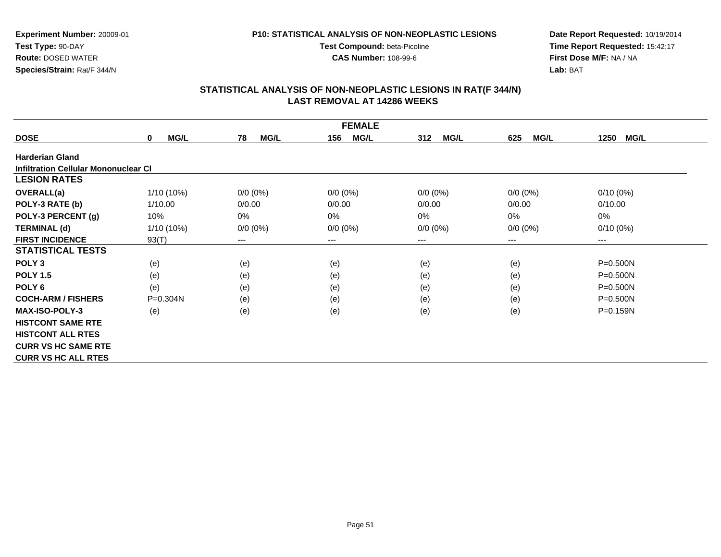#### **P10: STATISTICAL ANALYSIS OF NON-NEOPLASTIC LESIONS**

**Test Compound:** beta-Picoline**CAS Number:** 108-99-6

**Date Report Requested:** 10/19/2014 **Time Report Requested:** 15:42:17**First Dose M/F:** NA / NA**Lab:** BAT

|                                      |                            |                   | <b>FEMALE</b>      |                    |                    |                     |
|--------------------------------------|----------------------------|-------------------|--------------------|--------------------|--------------------|---------------------|
| <b>DOSE</b>                          | <b>MG/L</b><br>$\mathbf 0$ | 78<br><b>MG/L</b> | 156<br><b>MG/L</b> | <b>MG/L</b><br>312 | <b>MG/L</b><br>625 | <b>MG/L</b><br>1250 |
| <b>Harderian Gland</b>               |                            |                   |                    |                    |                    |                     |
| Infiltration Cellular Mononuclear CI |                            |                   |                    |                    |                    |                     |
| <b>LESION RATES</b>                  |                            |                   |                    |                    |                    |                     |
| <b>OVERALL(a)</b>                    | 1/10 (10%)                 | $0/0 (0\%)$       | $0/0 (0\%)$        | $0/0 (0\%)$        | $0/0 (0\%)$        | $0/10(0\%)$         |
| POLY-3 RATE (b)                      | 1/10.00                    | 0/0.00            | 0/0.00             | 0/0.00             | 0/0.00             | 0/10.00             |
| POLY-3 PERCENT (g)                   | 10%                        | 0%                | 0%                 | 0%                 | $0\%$              | 0%                  |
| <b>TERMINAL (d)</b>                  | 1/10 (10%)                 | $0/0 (0\%)$       | $0/0 (0\%)$        | $0/0 (0\%)$        | $0/0 (0\%)$        | $0/10(0\%)$         |
| <b>FIRST INCIDENCE</b>               | 93(T)                      | $---$             | $---$              | ---                | $---$              | ---                 |
| <b>STATISTICAL TESTS</b>             |                            |                   |                    |                    |                    |                     |
| POLY <sub>3</sub>                    | (e)                        | (e)               | (e)                | (e)                | (e)                | P=0.500N            |
| <b>POLY 1.5</b>                      | (e)                        | (e)               | (e)                | (e)                | (e)                | P=0.500N            |
| POLY <sub>6</sub>                    | (e)                        | (e)               | (e)                | (e)                | (e)                | P=0.500N            |
| <b>COCH-ARM / FISHERS</b>            | $P = 0.304N$               | (e)               | (e)                | (e)                | (e)                | $P = 0.500N$        |
| <b>MAX-ISO-POLY-3</b>                | (e)                        | (e)               | (e)                | (e)                | (e)                | P=0.159N            |
| <b>HISTCONT SAME RTE</b>             |                            |                   |                    |                    |                    |                     |
| <b>HISTCONT ALL RTES</b>             |                            |                   |                    |                    |                    |                     |
| <b>CURR VS HC SAME RTE</b>           |                            |                   |                    |                    |                    |                     |
| <b>CURR VS HC ALL RTES</b>           |                            |                   |                    |                    |                    |                     |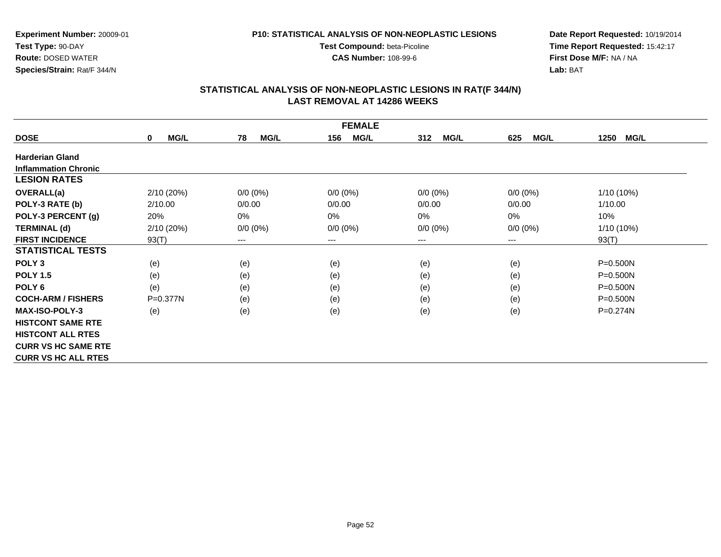#### **P10: STATISTICAL ANALYSIS OF NON-NEOPLASTIC LESIONS**

**Test Compound:** beta-Picoline**CAS Number:** 108-99-6

**Date Report Requested:** 10/19/2014 **Time Report Requested:** 15:42:17**First Dose M/F:** NA / NA**Lab:** BAT

|                             | <b>FEMALE</b>       |                            |                    |                    |                    |                     |  |  |  |
|-----------------------------|---------------------|----------------------------|--------------------|--------------------|--------------------|---------------------|--|--|--|
| <b>DOSE</b>                 | MG/L<br>$\mathbf 0$ | 78<br><b>MG/L</b>          | <b>MG/L</b><br>156 | 312<br><b>MG/L</b> | 625<br><b>MG/L</b> | <b>MG/L</b><br>1250 |  |  |  |
| <b>Harderian Gland</b>      |                     |                            |                    |                    |                    |                     |  |  |  |
| <b>Inflammation Chronic</b> |                     |                            |                    |                    |                    |                     |  |  |  |
| <b>LESION RATES</b>         |                     |                            |                    |                    |                    |                     |  |  |  |
| <b>OVERALL(a)</b>           | 2/10 (20%)          | $0/0 (0\%)$                | $0/0 (0\%)$        | $0/0 (0\%)$        | $0/0 (0\%)$        | 1/10 (10%)          |  |  |  |
| POLY-3 RATE (b)             | 2/10.00             | 0/0.00                     | 0/0.00             | 0/0.00             | 0/0.00             | 1/10.00             |  |  |  |
| POLY-3 PERCENT (g)          | 20%                 | $0\%$                      | $0\%$              | $0\%$              | 0%                 | 10%                 |  |  |  |
| <b>TERMINAL (d)</b>         | 2/10 (20%)          | $0/0 (0\%)$                | $0/0 (0\%)$        | $0/0 (0\%)$        | $0/0 (0\%)$        | 1/10 (10%)          |  |  |  |
| <b>FIRST INCIDENCE</b>      | 93(T)               | $\qquad \qquad - \qquad -$ | $---$              | ---                | ---                | 93(T)               |  |  |  |
| <b>STATISTICAL TESTS</b>    |                     |                            |                    |                    |                    |                     |  |  |  |
| POLY <sub>3</sub>           | (e)                 | (e)                        | (e)                | (e)                | (e)                | $P = 0.500N$        |  |  |  |
| <b>POLY 1.5</b>             | (e)                 | (e)                        | (e)                | (e)                | (e)                | $P = 0.500N$        |  |  |  |
| POLY <sub>6</sub>           | (e)                 | (e)                        | (e)                | (e)                | (e)                | $P = 0.500N$        |  |  |  |
| <b>COCH-ARM / FISHERS</b>   | $P=0.377N$          | (e)                        | (e)                | (e)                | (e)                | $P = 0.500N$        |  |  |  |
| <b>MAX-ISO-POLY-3</b>       | (e)                 | (e)                        | (e)                | (e)                | (e)                | P=0.274N            |  |  |  |
| <b>HISTCONT SAME RTE</b>    |                     |                            |                    |                    |                    |                     |  |  |  |
| <b>HISTCONT ALL RTES</b>    |                     |                            |                    |                    |                    |                     |  |  |  |
| <b>CURR VS HC SAME RTE</b>  |                     |                            |                    |                    |                    |                     |  |  |  |
| <b>CURR VS HC ALL RTES</b>  |                     |                            |                    |                    |                    |                     |  |  |  |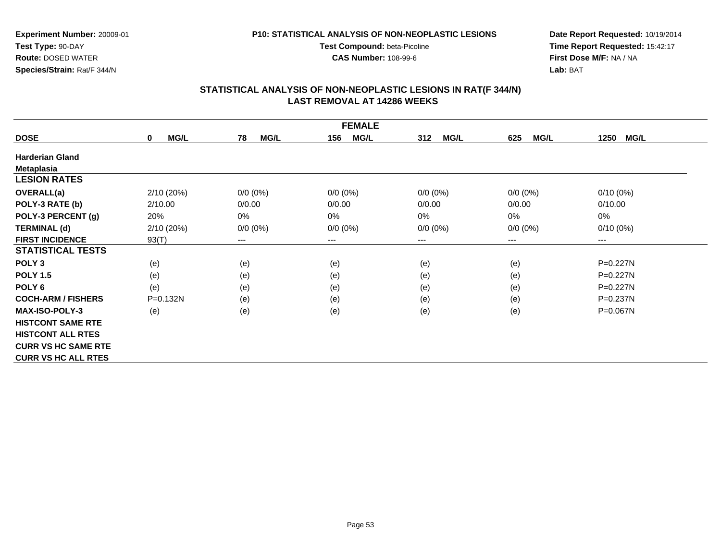**P10: STATISTICAL ANALYSIS OF NON-NEOPLASTIC LESIONS**

**Test Compound:** beta-Picoline**CAS Number:** 108-99-6

**Experiment Number:** 20009-01**Test Type:** 90-DAY **Route:** DOSED WATER**Species/Strain:** Rat/F 344/N

**Date Report Requested:** 10/19/2014 **Time Report Requested:** 15:42:17**First Dose M/F:** NA / NA**Lab:** BAT

| <b>FEMALE</b>              |                     |                   |                        |                    |                    |                     |  |  |
|----------------------------|---------------------|-------------------|------------------------|--------------------|--------------------|---------------------|--|--|
| <b>DOSE</b>                | MG/L<br>$\mathbf 0$ | 78<br><b>MG/L</b> | <b>MG/L</b><br>156     | 312<br><b>MG/L</b> | 625<br><b>MG/L</b> | <b>MG/L</b><br>1250 |  |  |
| <b>Harderian Gland</b>     |                     |                   |                        |                    |                    |                     |  |  |
| <b>Metaplasia</b>          |                     |                   |                        |                    |                    |                     |  |  |
| <b>LESION RATES</b>        |                     |                   |                        |                    |                    |                     |  |  |
| <b>OVERALL(a)</b>          | 2/10 (20%)          | $0/0 (0\%)$       | $0/0 (0\%)$            | $0/0 (0\%)$        | $0/0 (0\%)$        | $0/10(0\%)$         |  |  |
| POLY-3 RATE (b)            | 2/10.00             | 0/0.00            | 0/0.00                 | 0/0.00             | 0/0.00             | 0/10.00             |  |  |
| POLY-3 PERCENT (g)         | 20%                 | 0%                | 0%                     | 0%                 | 0%                 | 0%                  |  |  |
| <b>TERMINAL (d)</b>        | 2/10 (20%)          | $0/0 (0\%)$       | $0/0 (0\%)$            | $0/0 (0\%)$        | $0/0 (0\%)$        | $0/10(0\%)$         |  |  |
| <b>FIRST INCIDENCE</b>     | 93(T)               | ---               | $\qquad \qquad \cdots$ | ---                | ---                | $--$                |  |  |
| <b>STATISTICAL TESTS</b>   |                     |                   |                        |                    |                    |                     |  |  |
| POLY <sub>3</sub>          | (e)                 | (e)               | (e)                    | (e)                | (e)                | P=0.227N            |  |  |
| <b>POLY 1.5</b>            | (e)                 | (e)               | (e)                    | (e)                | (e)                | $P=0.227N$          |  |  |
| POLY <sub>6</sub>          | (e)                 | (e)               | (e)                    | (e)                | (e)                | $P=0.227N$          |  |  |
| <b>COCH-ARM / FISHERS</b>  | P=0.132N            | (e)               | (e)                    | (e)                | (e)                | $P = 0.237N$        |  |  |
| <b>MAX-ISO-POLY-3</b>      | (e)                 | (e)               | (e)                    | (e)                | (e)                | P=0.067N            |  |  |
| <b>HISTCONT SAME RTE</b>   |                     |                   |                        |                    |                    |                     |  |  |
| <b>HISTCONT ALL RTES</b>   |                     |                   |                        |                    |                    |                     |  |  |
| <b>CURR VS HC SAME RTE</b> |                     |                   |                        |                    |                    |                     |  |  |
| <b>CURR VS HC ALL RTES</b> |                     |                   |                        |                    |                    |                     |  |  |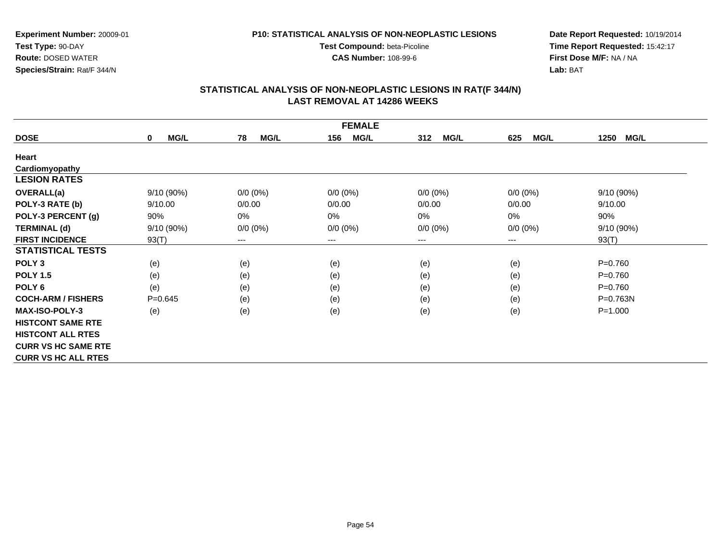**CAS Number:** 108-99-6

**Experiment Number:** 20009-01**Test Type:** 90-DAY **Route:** DOSED WATER**Species/Strain:** Rat/F 344/N

**Date Report Requested:** 10/19/2014 **Time Report Requested:** 15:42:17**First Dose M/F:** NA / NA**Lab:** BAT

| <b>FEMALE</b>              |                     |                        |                    |                    |                    |                     |  |  |
|----------------------------|---------------------|------------------------|--------------------|--------------------|--------------------|---------------------|--|--|
| <b>DOSE</b>                | MG/L<br>$\mathbf 0$ | 78<br><b>MG/L</b>      | <b>MG/L</b><br>156 | 312<br><b>MG/L</b> | <b>MG/L</b><br>625 | 1250<br><b>MG/L</b> |  |  |
| Heart                      |                     |                        |                    |                    |                    |                     |  |  |
| Cardiomyopathy             |                     |                        |                    |                    |                    |                     |  |  |
| <b>LESION RATES</b>        |                     |                        |                    |                    |                    |                     |  |  |
| <b>OVERALL(a)</b>          | 9/10 (90%)          | $0/0 (0\%)$            | $0/0 (0\%)$        | $0/0 (0\%)$        | $0/0 (0\%)$        | 9/10 (90%)          |  |  |
| POLY-3 RATE (b)            | 9/10.00             | 0/0.00                 | 0/0.00             | 0/0.00             | 0/0.00             | 9/10.00             |  |  |
| POLY-3 PERCENT (g)         | 90%                 | 0%                     | 0%                 | 0%                 | 0%                 | 90%                 |  |  |
| <b>TERMINAL (d)</b>        | 9/10 (90%)          | $0/0 (0\%)$            | $0/0 (0\%)$        | $0/0 (0\%)$        | $0/0 (0\%)$        | 9/10 (90%)          |  |  |
| <b>FIRST INCIDENCE</b>     | 93(T)               | $\qquad \qquad \cdots$ | $--$               | ---                | ---                | 93(T)               |  |  |
| <b>STATISTICAL TESTS</b>   |                     |                        |                    |                    |                    |                     |  |  |
| POLY <sub>3</sub>          | (e)                 | (e)                    | (e)                | (e)                | (e)                | $P = 0.760$         |  |  |
| <b>POLY 1.5</b>            | (e)                 | (e)                    | (e)                | (e)                | (e)                | $P = 0.760$         |  |  |
| POLY <sub>6</sub>          | (e)                 | (e)                    | (e)                | (e)                | (e)                | $P = 0.760$         |  |  |
| <b>COCH-ARM / FISHERS</b>  | $P = 0.645$         | (e)                    | (e)                | (e)                | (e)                | $P = 0.763N$        |  |  |
| <b>MAX-ISO-POLY-3</b>      | (e)                 | (e)                    | (e)                | (e)                | (e)                | $P = 1.000$         |  |  |
| <b>HISTCONT SAME RTE</b>   |                     |                        |                    |                    |                    |                     |  |  |
| <b>HISTCONT ALL RTES</b>   |                     |                        |                    |                    |                    |                     |  |  |
| <b>CURR VS HC SAME RTE</b> |                     |                        |                    |                    |                    |                     |  |  |
| <b>CURR VS HC ALL RTES</b> |                     |                        |                    |                    |                    |                     |  |  |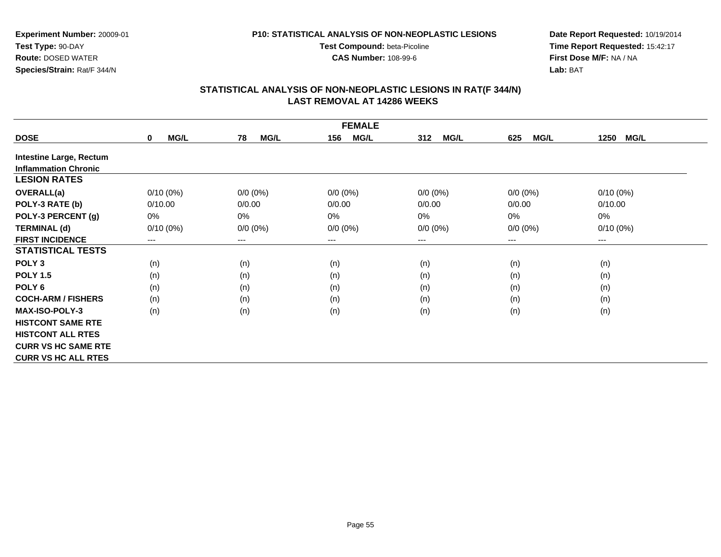#### **P10: STATISTICAL ANALYSIS OF NON-NEOPLASTIC LESIONS**

**Test Compound:** beta-Picoline**CAS Number:** 108-99-6

**Date Report Requested:** 10/19/2014 **Time Report Requested:** 15:42:17**First Dose M/F:** NA / NA**Lab:** BAT

| <b>FEMALE</b>                  |                     |                   |                    |                    |                    |                     |  |  |
|--------------------------------|---------------------|-------------------|--------------------|--------------------|--------------------|---------------------|--|--|
| <b>DOSE</b>                    | MG/L<br>$\mathbf 0$ | <b>MG/L</b><br>78 | 156<br><b>MG/L</b> | <b>MG/L</b><br>312 | <b>MG/L</b><br>625 | <b>MG/L</b><br>1250 |  |  |
| <b>Intestine Large, Rectum</b> |                     |                   |                    |                    |                    |                     |  |  |
| <b>Inflammation Chronic</b>    |                     |                   |                    |                    |                    |                     |  |  |
| <b>LESION RATES</b>            |                     |                   |                    |                    |                    |                     |  |  |
| <b>OVERALL(a)</b>              | $0/10(0\%)$         | $0/0 (0\%)$       | $0/0 (0\%)$        | $0/0 (0\%)$        | $0/0 (0\%)$        | $0/10(0\%)$         |  |  |
| POLY-3 RATE (b)                | 0/10.00             | 0/0.00            | 0/0.00             | 0/0.00             | 0/0.00             | 0/10.00             |  |  |
| POLY-3 PERCENT (g)             | 0%                  | 0%                | 0%                 | 0%                 | $0\%$              | $0\%$               |  |  |
| <b>TERMINAL (d)</b>            | $0/10(0\%)$         | $0/0 (0\%)$       | $0/0 (0\%)$        | $0/0 (0\%)$        | $0/0 (0\%)$        | $0/10(0\%)$         |  |  |
| <b>FIRST INCIDENCE</b>         | $---$               | ---               | $--$               | ---                | ---                | ---                 |  |  |
| <b>STATISTICAL TESTS</b>       |                     |                   |                    |                    |                    |                     |  |  |
| POLY <sub>3</sub>              | (n)                 | (n)               | (n)                | (n)                | (n)                | (n)                 |  |  |
| <b>POLY 1.5</b>                | (n)                 | (n)               | (n)                | (n)                | (n)                | (n)                 |  |  |
| POLY 6                         | (n)                 | (n)               | (n)                | (n)                | (n)                | (n)                 |  |  |
| <b>COCH-ARM / FISHERS</b>      | (n)                 | (n)               | (n)                | (n)                | (n)                | (n)                 |  |  |
| <b>MAX-ISO-POLY-3</b>          | (n)                 | (n)               | (n)                | (n)                | (n)                | (n)                 |  |  |
| <b>HISTCONT SAME RTE</b>       |                     |                   |                    |                    |                    |                     |  |  |
| <b>HISTCONT ALL RTES</b>       |                     |                   |                    |                    |                    |                     |  |  |
| <b>CURR VS HC SAME RTE</b>     |                     |                   |                    |                    |                    |                     |  |  |
| <b>CURR VS HC ALL RTES</b>     |                     |                   |                    |                    |                    |                     |  |  |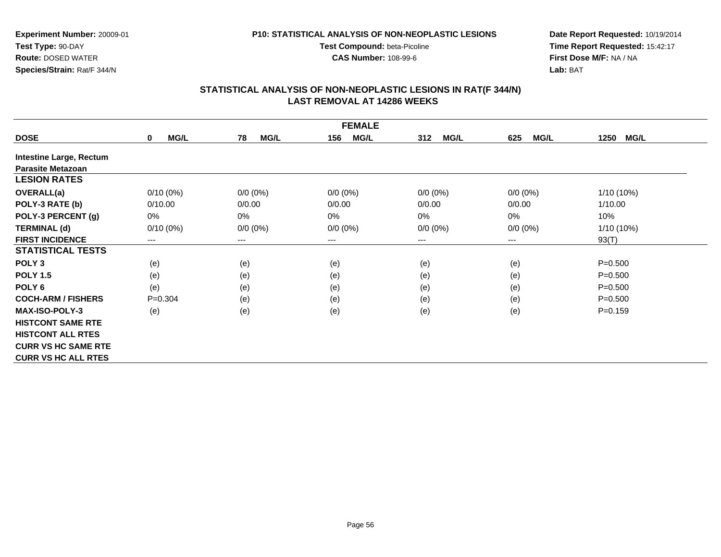#### **P10: STATISTICAL ANALYSIS OF NON-NEOPLASTIC LESIONS**

**Test Compound:** beta-Picoline**CAS Number:** 108-99-6

**Date Report Requested:** 10/19/2014 **Time Report Requested:** 15:42:17**First Dose M/F:** NA / NA**Lab:** BAT

|                                | <b>FEMALE</b>       |                   |                    |                    |                    |                     |  |  |  |
|--------------------------------|---------------------|-------------------|--------------------|--------------------|--------------------|---------------------|--|--|--|
| <b>DOSE</b>                    | MG/L<br>$\mathbf 0$ | <b>MG/L</b><br>78 | 156<br><b>MG/L</b> | <b>MG/L</b><br>312 | <b>MG/L</b><br>625 | <b>MG/L</b><br>1250 |  |  |  |
| <b>Intestine Large, Rectum</b> |                     |                   |                    |                    |                    |                     |  |  |  |
| <b>Parasite Metazoan</b>       |                     |                   |                    |                    |                    |                     |  |  |  |
| <b>LESION RATES</b>            |                     |                   |                    |                    |                    |                     |  |  |  |
| <b>OVERALL(a)</b>              | $0/10(0\%)$         | $0/0 (0\%)$       | $0/0 (0\%)$        | $0/0 (0\%)$        | $0/0 (0\%)$        | 1/10 (10%)          |  |  |  |
| POLY-3 RATE (b)                | 0/10.00             | 0/0.00            | 0/0.00             | 0/0.00             | 0/0.00             | 1/10.00             |  |  |  |
| POLY-3 PERCENT (g)             | 0%                  | 0%                | 0%                 | 0%                 | 0%                 | 10%                 |  |  |  |
| <b>TERMINAL (d)</b>            | $0/10(0\%)$         | $0/0 (0\%)$       | $0/0 (0\%)$        | $0/0 (0\%)$        | $0/0 (0\%)$        | 1/10 (10%)          |  |  |  |
| <b>FIRST INCIDENCE</b>         | $---$               | ---               | $--$               | ---                | ---                | 93(T)               |  |  |  |
| <b>STATISTICAL TESTS</b>       |                     |                   |                    |                    |                    |                     |  |  |  |
| POLY <sub>3</sub>              | (e)                 | (e)               | (e)                | (e)                | (e)                | $P = 0.500$         |  |  |  |
| <b>POLY 1.5</b>                | (e)                 | (e)               | (e)                | (e)                | (e)                | $P = 0.500$         |  |  |  |
| POLY <sub>6</sub>              | (e)                 | (e)               | (e)                | (e)                | (e)                | $P = 0.500$         |  |  |  |
| <b>COCH-ARM / FISHERS</b>      | $P=0.304$           | (e)               | (e)                | (e)                | (e)                | $P = 0.500$         |  |  |  |
| <b>MAX-ISO-POLY-3</b>          | (e)                 | (e)               | (e)                | (e)                | (e)                | $P = 0.159$         |  |  |  |
| <b>HISTCONT SAME RTE</b>       |                     |                   |                    |                    |                    |                     |  |  |  |
| <b>HISTCONT ALL RTES</b>       |                     |                   |                    |                    |                    |                     |  |  |  |
| <b>CURR VS HC SAME RTE</b>     |                     |                   |                    |                    |                    |                     |  |  |  |
| <b>CURR VS HC ALL RTES</b>     |                     |                   |                    |                    |                    |                     |  |  |  |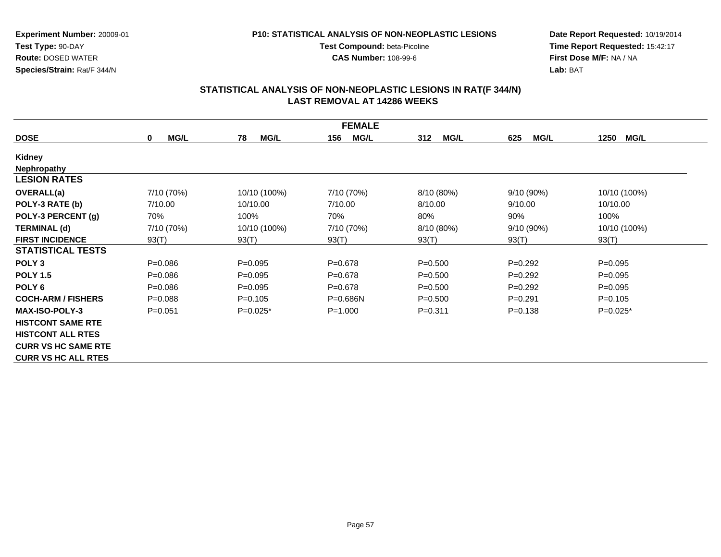**P10: STATISTICAL ANALYSIS OF NON-NEOPLASTIC LESIONS**

**Test Compound:** beta-Picoline**CAS Number:** 108-99-6

**Experiment Number:** 20009-01**Test Type:** 90-DAY **Route:** DOSED WATER**Species/Strain:** Rat/F 344/N

**Date Report Requested:** 10/19/2014 **Time Report Requested:** 15:42:17**First Dose M/F:** NA / NA**Lab:** BAT

| <b>FEMALE</b>              |                            |                   |                    |                    |                    |                     |  |  |
|----------------------------|----------------------------|-------------------|--------------------|--------------------|--------------------|---------------------|--|--|
| <b>DOSE</b>                | <b>MG/L</b><br>$\mathbf 0$ | <b>MG/L</b><br>78 | <b>MG/L</b><br>156 | <b>MG/L</b><br>312 | <b>MG/L</b><br>625 | <b>MG/L</b><br>1250 |  |  |
| Kidney                     |                            |                   |                    |                    |                    |                     |  |  |
| <b>Nephropathy</b>         |                            |                   |                    |                    |                    |                     |  |  |
| <b>LESION RATES</b>        |                            |                   |                    |                    |                    |                     |  |  |
| <b>OVERALL(a)</b>          | 7/10 (70%)                 | 10/10 (100%)      | 7/10 (70%)         | 8/10 (80%)         | 9/10 (90%)         | 10/10 (100%)        |  |  |
| POLY-3 RATE (b)            | 7/10.00                    | 10/10.00          | 7/10.00            | 8/10.00            | 9/10.00            | 10/10.00            |  |  |
| POLY-3 PERCENT (g)         | 70%                        | 100%              | 70%                | 80%                | 90%                | 100%                |  |  |
| <b>TERMINAL (d)</b>        | 7/10 (70%)                 | 10/10 (100%)      | 7/10 (70%)         | 8/10 (80%)         | $9/10(90\%)$       | 10/10 (100%)        |  |  |
| <b>FIRST INCIDENCE</b>     | 93(T)                      | 93(T)             | 93(T)              | 93(T)              | 93(T)              | 93(T)               |  |  |
| <b>STATISTICAL TESTS</b>   |                            |                   |                    |                    |                    |                     |  |  |
| POLY <sub>3</sub>          | $P = 0.086$                | $P = 0.095$       | $P = 0.678$        | $P = 0.500$        | $P=0.292$          | $P = 0.095$         |  |  |
| <b>POLY 1.5</b>            | $P = 0.086$                | $P=0.095$         | $P = 0.678$        | $P = 0.500$        | $P=0.292$          | $P = 0.095$         |  |  |
| POLY 6                     | $P = 0.086$                | $P = 0.095$       | $P = 0.678$        | $P = 0.500$        | $P=0.292$          | $P = 0.095$         |  |  |
| <b>COCH-ARM / FISHERS</b>  | $P = 0.088$                | $P=0.105$         | $P = 0.686N$       | $P = 0.500$        | $P=0.291$          | $P = 0.105$         |  |  |
| <b>MAX-ISO-POLY-3</b>      | $P = 0.051$                | $P=0.025*$        | $P = 1.000$        | $P = 0.311$        | $P = 0.138$        | $P=0.025*$          |  |  |
| <b>HISTCONT SAME RTE</b>   |                            |                   |                    |                    |                    |                     |  |  |
| <b>HISTCONT ALL RTES</b>   |                            |                   |                    |                    |                    |                     |  |  |
| <b>CURR VS HC SAME RTE</b> |                            |                   |                    |                    |                    |                     |  |  |
| <b>CURR VS HC ALL RTES</b> |                            |                   |                    |                    |                    |                     |  |  |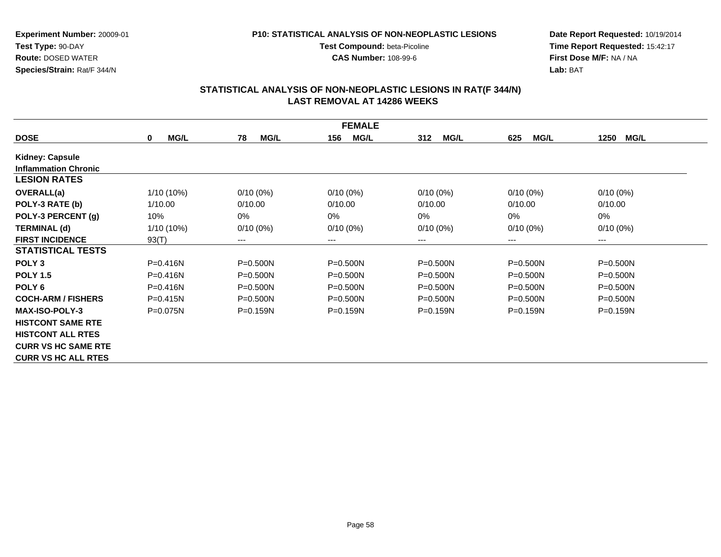#### **P10: STATISTICAL ANALYSIS OF NON-NEOPLASTIC LESIONS**

**Test Compound:** beta-Picoline**CAS Number:** 108-99-6

**Date Report Requested:** 10/19/2014 **Time Report Requested:** 15:42:17**First Dose M/F:** NA / NA**Lab:** BAT

| <b>FEMALE</b>               |                            |                   |                    |                    |                    |                     |  |  |
|-----------------------------|----------------------------|-------------------|--------------------|--------------------|--------------------|---------------------|--|--|
| <b>DOSE</b>                 | <b>MG/L</b><br>$\mathbf 0$ | <b>MG/L</b><br>78 | <b>MG/L</b><br>156 | 312<br><b>MG/L</b> | <b>MG/L</b><br>625 | <b>MG/L</b><br>1250 |  |  |
| Kidney: Capsule             |                            |                   |                    |                    |                    |                     |  |  |
| <b>Inflammation Chronic</b> |                            |                   |                    |                    |                    |                     |  |  |
| <b>LESION RATES</b>         |                            |                   |                    |                    |                    |                     |  |  |
| <b>OVERALL(a)</b>           | $1/10(10\%)$               | $0/10(0\%)$       | $0/10(0\%)$        | $0/10(0\%)$        | $0/10(0\%)$        | $0/10(0\%)$         |  |  |
| POLY-3 RATE (b)             | 1/10.00                    | 0/10.00           | 0/10.00            | 0/10.00            | 0/10.00            | 0/10.00             |  |  |
| POLY-3 PERCENT (g)          | 10%                        | 0%                | $0\%$              | $0\%$              | 0%                 | 0%                  |  |  |
| <b>TERMINAL (d)</b>         | $1/10(10\%)$               | $0/10(0\%)$       | $0/10(0\%)$        | $0/10(0\%)$        | $0/10(0\%)$        | $0/10(0\%)$         |  |  |
| <b>FIRST INCIDENCE</b>      | 93(T)                      | $---$             | ---                | ---                | ---                | $---$               |  |  |
| <b>STATISTICAL TESTS</b>    |                            |                   |                    |                    |                    |                     |  |  |
| POLY <sub>3</sub>           | $P = 0.416N$               | $P = 0.500N$      | $P = 0.500N$       | $P = 0.500N$       | $P = 0.500N$       | P=0.500N            |  |  |
| <b>POLY 1.5</b>             | $P = 0.416N$               | $P = 0.500N$      | $P = 0.500N$       | $P = 0.500N$       | $P = 0.500N$       | P=0.500N            |  |  |
| POLY <sub>6</sub>           | $P = 0.416N$               | $P = 0.500N$      | $P = 0.500N$       | $P = 0.500N$       | $P = 0.500N$       | $P = 0.500N$        |  |  |
| <b>COCH-ARM / FISHERS</b>   | $P = 0.415N$               | $P = 0.500N$      | $P = 0.500N$       | $P = 0.500N$       | $P = 0.500N$       | $P = 0.500N$        |  |  |
| <b>MAX-ISO-POLY-3</b>       | $P = 0.075N$               | $P = 0.159N$      | $P = 0.159N$       | $P=0.159N$         | $P = 0.159N$       | $P = 0.159N$        |  |  |
| <b>HISTCONT SAME RTE</b>    |                            |                   |                    |                    |                    |                     |  |  |
| <b>HISTCONT ALL RTES</b>    |                            |                   |                    |                    |                    |                     |  |  |
| <b>CURR VS HC SAME RTE</b>  |                            |                   |                    |                    |                    |                     |  |  |
| <b>CURR VS HC ALL RTES</b>  |                            |                   |                    |                    |                    |                     |  |  |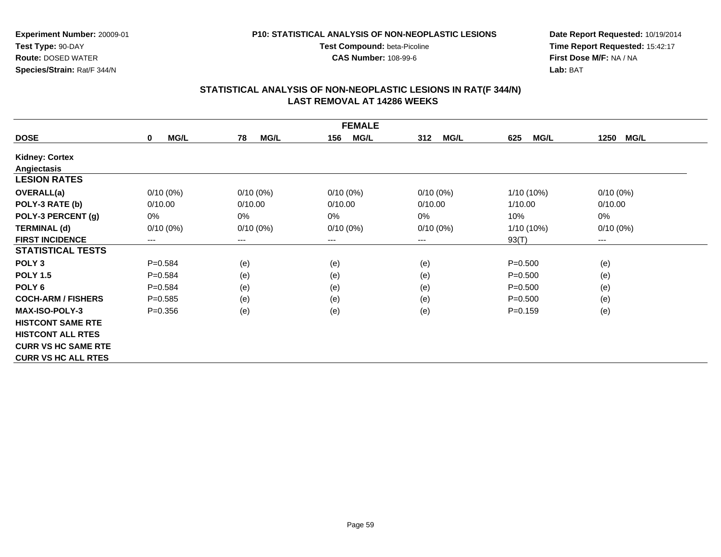#### **P10: STATISTICAL ANALYSIS OF NON-NEOPLASTIC LESIONS**

**Test Compound:** beta-Picoline**CAS Number:** 108-99-6

**Date Report Requested:** 10/19/2014 **Time Report Requested:** 15:42:17**First Dose M/F:** NA / NA**Lab:** BAT

| <b>FEMALE</b>              |                            |                   |                    |                    |                    |                        |  |  |
|----------------------------|----------------------------|-------------------|--------------------|--------------------|--------------------|------------------------|--|--|
| <b>DOSE</b>                | <b>MG/L</b><br>$\mathbf 0$ | <b>MG/L</b><br>78 | <b>MG/L</b><br>156 | <b>MG/L</b><br>312 | <b>MG/L</b><br>625 | <b>MG/L</b><br>1250    |  |  |
| <b>Kidney: Cortex</b>      |                            |                   |                    |                    |                    |                        |  |  |
| Angiectasis                |                            |                   |                    |                    |                    |                        |  |  |
| <b>LESION RATES</b>        |                            |                   |                    |                    |                    |                        |  |  |
| <b>OVERALL(a)</b>          | $0/10(0\%)$                | $0/10(0\%)$       | $0/10(0\%)$        | $0/10(0\%)$        | $1/10(10\%)$       | $0/10(0\%)$            |  |  |
| POLY-3 RATE (b)            | 0/10.00                    | 0/10.00           | 0/10.00            | 0/10.00            | 1/10.00            | 0/10.00                |  |  |
| POLY-3 PERCENT (g)         | 0%                         | 0%                | 0%                 | 0%                 | 10%                | 0%                     |  |  |
| <b>TERMINAL (d)</b>        | $0/10(0\%)$                | $0/10(0\%)$       | $0/10(0\%)$        | $0/10(0\%)$        | $1/10(10\%)$       | $0/10(0\%)$            |  |  |
| <b>FIRST INCIDENCE</b>     | ---                        | ---               | $--$               | ---                | 93(T)              | $\qquad \qquad \cdots$ |  |  |
| <b>STATISTICAL TESTS</b>   |                            |                   |                    |                    |                    |                        |  |  |
| POLY <sub>3</sub>          | $P = 0.584$                | (e)               | (e)                | (e)                | $P = 0.500$        | (e)                    |  |  |
| <b>POLY 1.5</b>            | $P = 0.584$                | (e)               | (e)                | (e)                | $P = 0.500$        | (e)                    |  |  |
| POLY <sub>6</sub>          | $P = 0.584$                | (e)               | (e)                | (e)                | $P = 0.500$        | (e)                    |  |  |
| <b>COCH-ARM / FISHERS</b>  | $P = 0.585$                | (e)               | (e)                | (e)                | $P = 0.500$        | (e)                    |  |  |
| <b>MAX-ISO-POLY-3</b>      | $P = 0.356$                | (e)               | (e)                | (e)                | $P=0.159$          | (e)                    |  |  |
| <b>HISTCONT SAME RTE</b>   |                            |                   |                    |                    |                    |                        |  |  |
| <b>HISTCONT ALL RTES</b>   |                            |                   |                    |                    |                    |                        |  |  |
| <b>CURR VS HC SAME RTE</b> |                            |                   |                    |                    |                    |                        |  |  |
| <b>CURR VS HC ALL RTES</b> |                            |                   |                    |                    |                    |                        |  |  |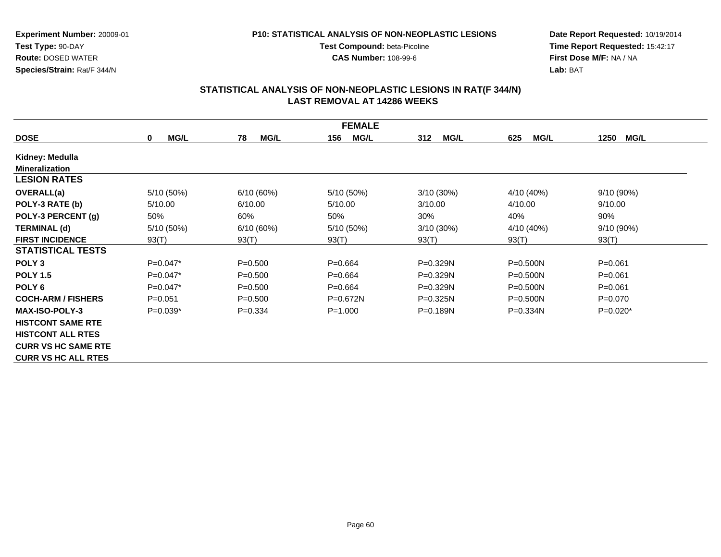#### **P10: STATISTICAL ANALYSIS OF NON-NEOPLASTIC LESIONS**

**Test Compound:** beta-Picoline**CAS Number:** 108-99-6

**Date Report Requested:** 10/19/2014 **Time Report Requested:** 15:42:17**First Dose M/F:** NA / NA**Lab:** BAT

| <b>FEMALE</b>              |                  |                   |                    |                    |                    |                     |  |  |
|----------------------------|------------------|-------------------|--------------------|--------------------|--------------------|---------------------|--|--|
| <b>DOSE</b>                | MG/L<br>$\bf{0}$ | <b>MG/L</b><br>78 | 156<br><b>MG/L</b> | <b>MG/L</b><br>312 | <b>MG/L</b><br>625 | <b>MG/L</b><br>1250 |  |  |
| Kidney: Medulla            |                  |                   |                    |                    |                    |                     |  |  |
| <b>Mineralization</b>      |                  |                   |                    |                    |                    |                     |  |  |
| <b>LESION RATES</b>        |                  |                   |                    |                    |                    |                     |  |  |
| <b>OVERALL(a)</b>          | 5/10 (50%)       | 6/10(60%)         | 5/10 (50%)         | $3/10(30\%)$       | 4/10 (40%)         | $9/10(90\%)$        |  |  |
| POLY-3 RATE (b)            | 5/10.00          | 6/10.00           | 5/10.00            | 3/10.00            | 4/10.00            | 9/10.00             |  |  |
| POLY-3 PERCENT (g)         | 50%              | 60%               | 50%                | 30%                | 40%                | 90%                 |  |  |
| <b>TERMINAL (d)</b>        | 5/10 (50%)       | 6/10(60%)         | 5/10 (50%)         | 3/10 (30%)         | 4/10 (40%)         | 9/10 (90%)          |  |  |
| <b>FIRST INCIDENCE</b>     | 93(T)            | 93(T)             | 93(T)              | 93(T)              | 93(T)              | 93(T)               |  |  |
| <b>STATISTICAL TESTS</b>   |                  |                   |                    |                    |                    |                     |  |  |
| POLY <sub>3</sub>          | $P=0.047*$       | $P = 0.500$       | $P = 0.664$        | $P = 0.329N$       | $P = 0.500N$       | $P = 0.061$         |  |  |
| <b>POLY 1.5</b>            | $P=0.047*$       | $P = 0.500$       | $P = 0.664$        | $P=0.329N$         | $P = 0.500N$       | $P = 0.061$         |  |  |
| POLY <sub>6</sub>          | $P=0.047*$       | $P = 0.500$       | $P = 0.664$        | P=0.329N           | P=0.500N           | $P = 0.061$         |  |  |
| <b>COCH-ARM / FISHERS</b>  | $P = 0.051$      | $P = 0.500$       | $P = 0.672N$       | $P = 0.325N$       | $P = 0.500N$       | $P=0.070$           |  |  |
| <b>MAX-ISO-POLY-3</b>      | $P=0.039*$       | $P = 0.334$       | $P = 1.000$        | $P = 0.189N$       | $P = 0.334N$       | $P=0.020*$          |  |  |
| <b>HISTCONT SAME RTE</b>   |                  |                   |                    |                    |                    |                     |  |  |
| <b>HISTCONT ALL RTES</b>   |                  |                   |                    |                    |                    |                     |  |  |
| <b>CURR VS HC SAME RTE</b> |                  |                   |                    |                    |                    |                     |  |  |
| <b>CURR VS HC ALL RTES</b> |                  |                   |                    |                    |                    |                     |  |  |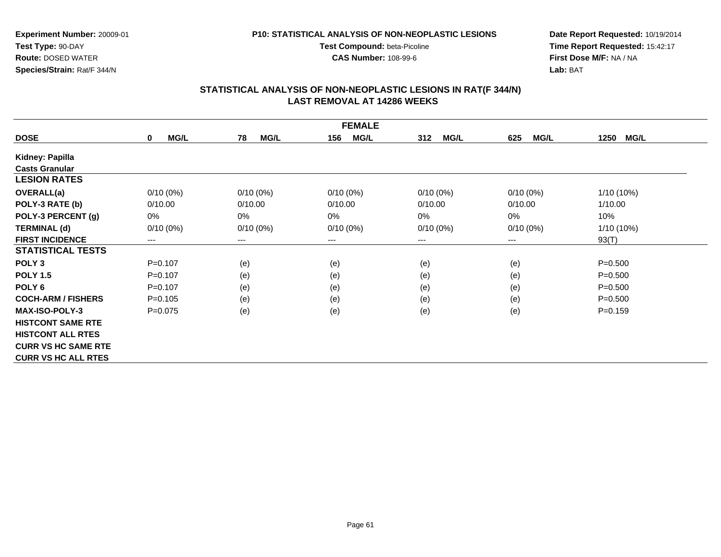#### **P10: STATISTICAL ANALYSIS OF NON-NEOPLASTIC LESIONS**

**Test Compound:** beta-Picoline**CAS Number:** 108-99-6

**Date Report Requested:** 10/19/2014 **Time Report Requested:** 15:42:17**First Dose M/F:** NA / NA**Lab:** BAT

| <b>FEMALE</b>              |                            |                   |                    |                    |                        |                     |  |
|----------------------------|----------------------------|-------------------|--------------------|--------------------|------------------------|---------------------|--|
| <b>DOSE</b>                | <b>MG/L</b><br>$\mathbf 0$ | <b>MG/L</b><br>78 | <b>MG/L</b><br>156 | <b>MG/L</b><br>312 | <b>MG/L</b><br>625     | <b>MG/L</b><br>1250 |  |
| Kidney: Papilla            |                            |                   |                    |                    |                        |                     |  |
| <b>Casts Granular</b>      |                            |                   |                    |                    |                        |                     |  |
| <b>LESION RATES</b>        |                            |                   |                    |                    |                        |                     |  |
| <b>OVERALL(a)</b>          | $0/10(0\%)$                | $0/10(0\%)$       | $0/10(0\%)$        | $0/10(0\%)$        | 0/10(0%)               | $1/10(10\%)$        |  |
| POLY-3 RATE (b)            | 0/10.00                    | 0/10.00           | 0/10.00            | 0/10.00            | 0/10.00                | 1/10.00             |  |
| POLY-3 PERCENT (g)         | 0%                         | 0%                | 0%                 | 0%                 | 0%                     | 10%                 |  |
| <b>TERMINAL (d)</b>        | $0/10(0\%)$                | $0/10(0\%)$       | $0/10(0\%)$        | $0/10(0\%)$        | $0/10(0\%)$            | 1/10 (10%)          |  |
| <b>FIRST INCIDENCE</b>     | ---                        | ---               | $--$               | ---                | $\qquad \qquad \cdots$ | 93(T)               |  |
| <b>STATISTICAL TESTS</b>   |                            |                   |                    |                    |                        |                     |  |
| POLY <sub>3</sub>          | $P=0.107$                  | (e)               | (e)                | (e)                | (e)                    | $P = 0.500$         |  |
| <b>POLY 1.5</b>            | $P=0.107$                  | (e)               | (e)                | (e)                | (e)                    | $P = 0.500$         |  |
| POLY <sub>6</sub>          | $P = 0.107$                | (e)               | (e)                | (e)                | (e)                    | $P = 0.500$         |  |
| <b>COCH-ARM / FISHERS</b>  | $P=0.105$                  | (e)               | (e)                | (e)                | (e)                    | $P = 0.500$         |  |
| <b>MAX-ISO-POLY-3</b>      | $P=0.075$                  | (e)               | (e)                | (e)                | (e)                    | $P = 0.159$         |  |
| <b>HISTCONT SAME RTE</b>   |                            |                   |                    |                    |                        |                     |  |
| <b>HISTCONT ALL RTES</b>   |                            |                   |                    |                    |                        |                     |  |
| <b>CURR VS HC SAME RTE</b> |                            |                   |                    |                    |                        |                     |  |
| <b>CURR VS HC ALL RTES</b> |                            |                   |                    |                    |                        |                     |  |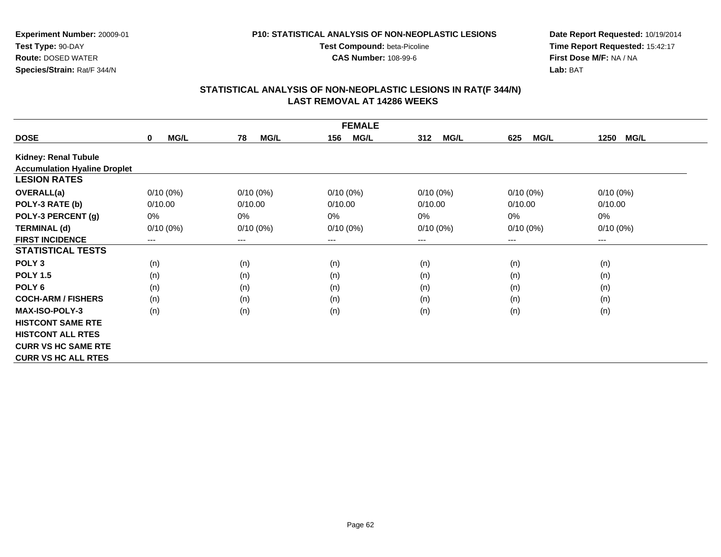#### **P10: STATISTICAL ANALYSIS OF NON-NEOPLASTIC LESIONS**

**Test Compound:** beta-Picoline**CAS Number:** 108-99-6

**Date Report Requested:** 10/19/2014 **Time Report Requested:** 15:42:17**First Dose M/F:** NA / NA**Lab:** BAT

|                                     | <b>FEMALE</b>              |                        |                    |                    |                    |                     |  |  |  |
|-------------------------------------|----------------------------|------------------------|--------------------|--------------------|--------------------|---------------------|--|--|--|
| <b>DOSE</b>                         | <b>MG/L</b><br>$\mathbf 0$ | 78<br><b>MG/L</b>      | 156<br><b>MG/L</b> | <b>MG/L</b><br>312 | <b>MG/L</b><br>625 | <b>MG/L</b><br>1250 |  |  |  |
| Kidney: Renal Tubule                |                            |                        |                    |                    |                    |                     |  |  |  |
| <b>Accumulation Hyaline Droplet</b> |                            |                        |                    |                    |                    |                     |  |  |  |
| <b>LESION RATES</b>                 |                            |                        |                    |                    |                    |                     |  |  |  |
| <b>OVERALL(a)</b>                   | $0/10(0\%)$                | $0/10(0\%)$            | $0/10(0\%)$        | $0/10(0\%)$        | $0/10(0\%)$        | $0/10(0\%)$         |  |  |  |
| POLY-3 RATE (b)                     | 0/10.00                    | 0/10.00                | 0/10.00            | 0/10.00            | 0/10.00            | 0/10.00             |  |  |  |
| POLY-3 PERCENT (g)                  | 0%                         | 0%                     | 0%                 | 0%                 | 0%                 | 0%                  |  |  |  |
| <b>TERMINAL (d)</b>                 | $0/10(0\%)$                | $0/10(0\%)$            | $0/10(0\%)$        | $0/10(0\%)$        | $0/10(0\%)$        | $0/10(0\%)$         |  |  |  |
| <b>FIRST INCIDENCE</b>              | ---                        | $\qquad \qquad \cdots$ | $--$               | $---$              | ---                | ---                 |  |  |  |
| <b>STATISTICAL TESTS</b>            |                            |                        |                    |                    |                    |                     |  |  |  |
| POLY <sub>3</sub>                   | (n)                        | (n)                    | (n)                | (n)                | (n)                | (n)                 |  |  |  |
| <b>POLY 1.5</b>                     | (n)                        | (n)                    | (n)                | (n)                | (n)                | (n)                 |  |  |  |
| POLY <sub>6</sub>                   | (n)                        | (n)                    | (n)                | (n)                | (n)                | (n)                 |  |  |  |
| <b>COCH-ARM / FISHERS</b>           | (n)                        | (n)                    | (n)                | (n)                | (n)                | (n)                 |  |  |  |
| <b>MAX-ISO-POLY-3</b>               | (n)                        | (n)                    | (n)                | (n)                | (n)                | (n)                 |  |  |  |
| <b>HISTCONT SAME RTE</b>            |                            |                        |                    |                    |                    |                     |  |  |  |
| <b>HISTCONT ALL RTES</b>            |                            |                        |                    |                    |                    |                     |  |  |  |
| <b>CURR VS HC SAME RTE</b>          |                            |                        |                    |                    |                    |                     |  |  |  |
| <b>CURR VS HC ALL RTES</b>          |                            |                        |                    |                    |                    |                     |  |  |  |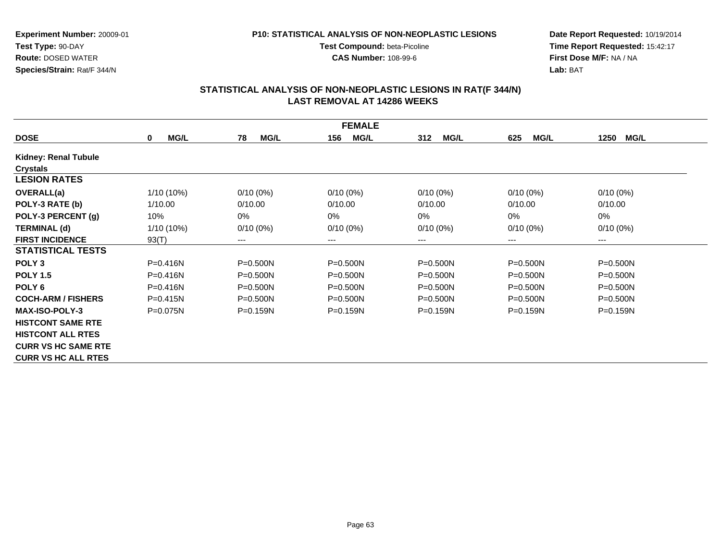#### **P10: STATISTICAL ANALYSIS OF NON-NEOPLASTIC LESIONS**

**Test Compound:** beta-Picoline**CAS Number:** 108-99-6

**Date Report Requested:** 10/19/2014 **Time Report Requested:** 15:42:17**First Dose M/F:** NA / NA**Lab:** BAT

|                             |                            |                        | <b>FEMALE</b>      |                    |                    |                     |
|-----------------------------|----------------------------|------------------------|--------------------|--------------------|--------------------|---------------------|
| <b>DOSE</b>                 | <b>MG/L</b><br>$\mathbf 0$ | <b>MG/L</b><br>78      | <b>MG/L</b><br>156 | <b>MG/L</b><br>312 | <b>MG/L</b><br>625 | <b>MG/L</b><br>1250 |
| <b>Kidney: Renal Tubule</b> |                            |                        |                    |                    |                    |                     |
| <b>Crystals</b>             |                            |                        |                    |                    |                    |                     |
| <b>LESION RATES</b>         |                            |                        |                    |                    |                    |                     |
| OVERALL(a)                  | $1/10(10\%)$               | $0/10(0\%)$            | $0/10(0\%)$        | $0/10(0\%)$        | $0/10(0\%)$        | $0/10(0\%)$         |
| POLY-3 RATE (b)             | 1/10.00                    | 0/10.00                | 0/10.00            | 0/10.00            | 0/10.00            | 0/10.00             |
| POLY-3 PERCENT (g)          | 10%                        | 0%                     | 0%                 | $0\%$              | 0%                 | 0%                  |
| <b>TERMINAL (d)</b>         | $1/10(10\%)$               | $0/10(0\%)$            | $0/10(0\%)$        | $0/10(0\%)$        | $0/10(0\%)$        | $0/10(0\%)$         |
| <b>FIRST INCIDENCE</b>      | 93(T)                      | $\qquad \qquad \cdots$ | $--$               | ---                | $---$              | ---                 |
| <b>STATISTICAL TESTS</b>    |                            |                        |                    |                    |                    |                     |
| POLY <sub>3</sub>           | $P = 0.416N$               | $P = 0.500N$           | P=0.500N           | $P = 0.500N$       | $P = 0.500N$       | $P = 0.500N$        |
| <b>POLY 1.5</b>             | $P = 0.416N$               | $P = 0.500N$           | $P = 0.500N$       | $P = 0.500N$       | $P = 0.500N$       | P=0.500N            |
| POLY <sub>6</sub>           | P=0.416N                   | $P = 0.500N$           | $P = 0.500N$       | $P = 0.500N$       | $P = 0.500N$       | $P = 0.500N$        |
| <b>COCH-ARM / FISHERS</b>   | $P = 0.415N$               | $P = 0.500N$           | $P = 0.500N$       | $P = 0.500N$       | $P = 0.500N$       | $P = 0.500N$        |
| <b>MAX-ISO-POLY-3</b>       | $P = 0.075N$               | $P = 0.159N$           | $P = 0.159N$       | $P=0.159N$         | $P = 0.159N$       | $P = 0.159N$        |
| <b>HISTCONT SAME RTE</b>    |                            |                        |                    |                    |                    |                     |
| <b>HISTCONT ALL RTES</b>    |                            |                        |                    |                    |                    |                     |
| <b>CURR VS HC SAME RTE</b>  |                            |                        |                    |                    |                    |                     |
| <b>CURR VS HC ALL RTES</b>  |                            |                        |                    |                    |                    |                     |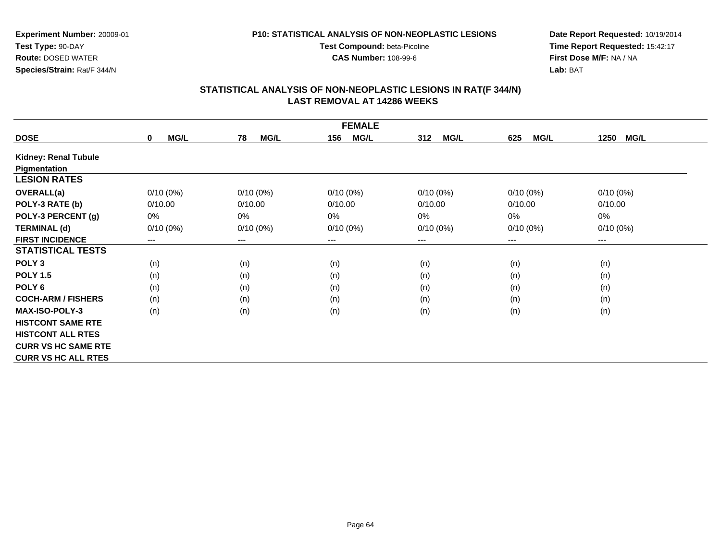#### **P10: STATISTICAL ANALYSIS OF NON-NEOPLASTIC LESIONS**

**Test Compound:** beta-Picoline**CAS Number:** 108-99-6

**Date Report Requested:** 10/19/2014 **Time Report Requested:** 15:42:17**First Dose M/F:** NA / NA**Lab:** BAT

|                            | <b>FEMALE</b>              |                   |                    |                    |                    |                     |  |  |
|----------------------------|----------------------------|-------------------|--------------------|--------------------|--------------------|---------------------|--|--|
| <b>DOSE</b>                | <b>MG/L</b><br>$\mathbf 0$ | <b>MG/L</b><br>78 | 156<br><b>MG/L</b> | <b>MG/L</b><br>312 | <b>MG/L</b><br>625 | <b>MG/L</b><br>1250 |  |  |
| Kidney: Renal Tubule       |                            |                   |                    |                    |                    |                     |  |  |
| Pigmentation               |                            |                   |                    |                    |                    |                     |  |  |
| <b>LESION RATES</b>        |                            |                   |                    |                    |                    |                     |  |  |
| <b>OVERALL(a)</b>          | $0/10(0\%)$                | $0/10(0\%)$       | $0/10(0\%)$        | $0/10(0\%)$        | $0/10(0\%)$        | $0/10(0\%)$         |  |  |
| POLY-3 RATE (b)            | 0/10.00                    | 0/10.00           | 0/10.00            | 0/10.00            | 0/10.00            | 0/10.00             |  |  |
| POLY-3 PERCENT (g)         | 0%                         | 0%                | $0\%$              | 0%                 | 0%                 | 0%                  |  |  |
| <b>TERMINAL (d)</b>        | $0/10(0\%)$                | $0/10(0\%)$       | $0/10(0\%)$        | $0/10(0\%)$        | $0/10(0\%)$        | $0/10(0\%)$         |  |  |
| <b>FIRST INCIDENCE</b>     | $---$                      | $--$              | ---                | ---                | $---$              | ---                 |  |  |
| <b>STATISTICAL TESTS</b>   |                            |                   |                    |                    |                    |                     |  |  |
| POLY <sub>3</sub>          | (n)                        | (n)               | (n)                | (n)                | (n)                | (n)                 |  |  |
| <b>POLY 1.5</b>            | (n)                        | (n)               | (n)                | (n)                | (n)                | (n)                 |  |  |
| POLY <sub>6</sub>          | (n)                        | (n)               | (n)                | (n)                | (n)                | (n)                 |  |  |
| <b>COCH-ARM / FISHERS</b>  | (n)                        | (n)               | (n)                | (n)                | (n)                | (n)                 |  |  |
| <b>MAX-ISO-POLY-3</b>      | (n)                        | (n)               | (n)                | (n)                | (n)                | (n)                 |  |  |
| <b>HISTCONT SAME RTE</b>   |                            |                   |                    |                    |                    |                     |  |  |
| <b>HISTCONT ALL RTES</b>   |                            |                   |                    |                    |                    |                     |  |  |
| <b>CURR VS HC SAME RTE</b> |                            |                   |                    |                    |                    |                     |  |  |
| <b>CURR VS HC ALL RTES</b> |                            |                   |                    |                    |                    |                     |  |  |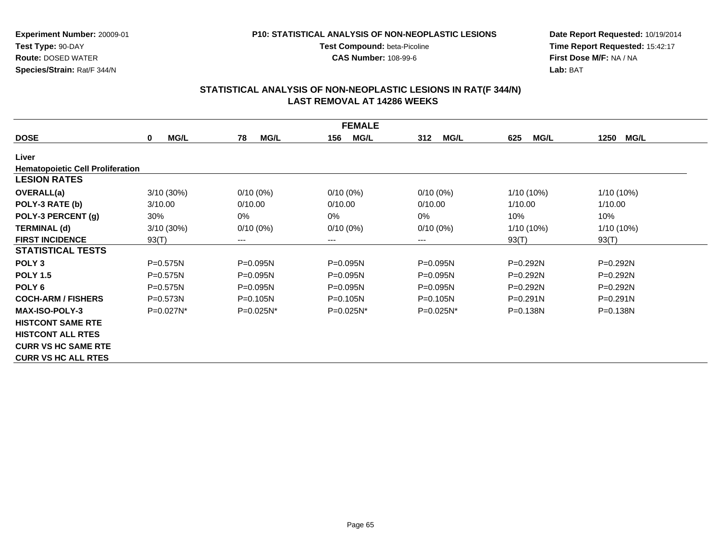#### **P10: STATISTICAL ANALYSIS OF NON-NEOPLASTIC LESIONS**

**Test Compound:** beta-Picoline**CAS Number:** 108-99-6

**Date Report Requested:** 10/19/2014 **Time Report Requested:** 15:42:17**First Dose M/F:** NA / NA**Lab:** BAT

|                                         |                         |                   | <b>FEMALE</b>      |                    |                    |                     |
|-----------------------------------------|-------------------------|-------------------|--------------------|--------------------|--------------------|---------------------|
| <b>DOSE</b>                             | <b>MG/L</b><br>$\bf{0}$ | 78<br><b>MG/L</b> | <b>MG/L</b><br>156 | 312<br><b>MG/L</b> | <b>MG/L</b><br>625 | <b>MG/L</b><br>1250 |
| Liver                                   |                         |                   |                    |                    |                    |                     |
| <b>Hematopoietic Cell Proliferation</b> |                         |                   |                    |                    |                    |                     |
| <b>LESION RATES</b>                     |                         |                   |                    |                    |                    |                     |
| OVERALL(a)                              | 3/10(30%)               | $0/10(0\%)$       | $0/10(0\%)$        | $0/10(0\%)$        | 1/10 (10%)         | 1/10 (10%)          |
| POLY-3 RATE (b)                         | 3/10.00                 | 0/10.00           | 0/10.00            | 0/10.00            | 1/10.00            | 1/10.00             |
| POLY-3 PERCENT (g)                      | 30%                     | 0%                | 0%                 | 0%                 | 10%                | 10%                 |
| <b>TERMINAL (d)</b>                     | 3/10(30%)               | $0/10(0\%)$       | $0/10(0\%)$        | $0/10(0\%)$        | $1/10(10\%)$       | $1/10(10\%)$        |
| <b>FIRST INCIDENCE</b>                  | 93(T)                   | ---               | ---                | ---                | 93(T)              | 93(T)               |
| <b>STATISTICAL TESTS</b>                |                         |                   |                    |                    |                    |                     |
| POLY <sub>3</sub>                       | $P = 0.575N$            | P=0.095N          | $P = 0.095N$       | $P = 0.095N$       | P=0.292N           | $P=0.292N$          |
| <b>POLY 1.5</b>                         | $P = 0.575N$            | $P = 0.095N$      | $P = 0.095N$       | $P = 0.095N$       | $P=0.292N$         | $P=0.292N$          |
| POLY <sub>6</sub>                       | $P=0.575N$              | $P = 0.095N$      | $P = 0.095N$       | $P = 0.095N$       | $P=0.292N$         | $P = 0.292N$        |
| <b>COCH-ARM / FISHERS</b>               | $P = 0.573N$            | $P = 0.105N$      | $P=0.105N$         | $P = 0.105N$       | $P=0.291N$         | $P = 0.291N$        |
| <b>MAX-ISO-POLY-3</b>                   | $P=0.027N^*$            | $P=0.025N^*$      | $P=0.025N^*$       | $P=0.025N^*$       | $P = 0.138N$       | $P = 0.138N$        |
| <b>HISTCONT SAME RTE</b>                |                         |                   |                    |                    |                    |                     |
| <b>HISTCONT ALL RTES</b>                |                         |                   |                    |                    |                    |                     |
| <b>CURR VS HC SAME RTE</b>              |                         |                   |                    |                    |                    |                     |
| <b>CURR VS HC ALL RTES</b>              |                         |                   |                    |                    |                    |                     |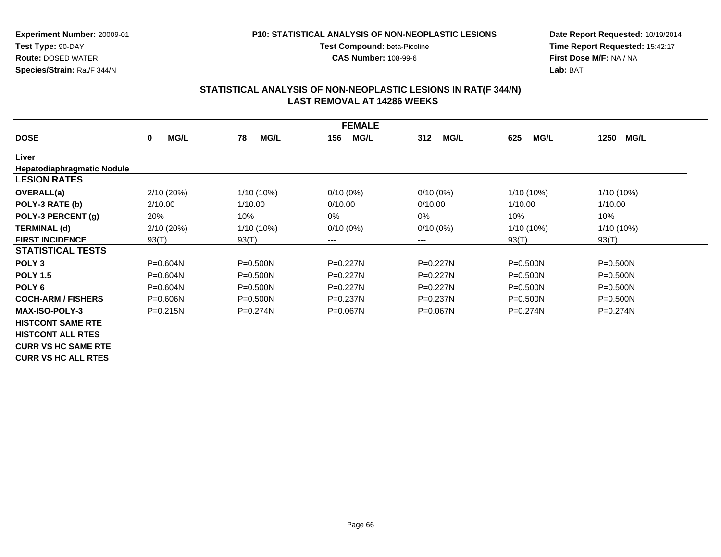#### **P10: STATISTICAL ANALYSIS OF NON-NEOPLASTIC LESIONS**

**Test Compound:** beta-Picoline**CAS Number:** 108-99-6

**Date Report Requested:** 10/19/2014 **Time Report Requested:** 15:42:17**First Dose M/F:** NA / NA**Lab:** BAT

|                                   | <b>FEMALE</b>       |                   |                    |                    |                    |                     |  |  |
|-----------------------------------|---------------------|-------------------|--------------------|--------------------|--------------------|---------------------|--|--|
| <b>DOSE</b>                       | MG/L<br>$\mathbf 0$ | 78<br><b>MG/L</b> | <b>MG/L</b><br>156 | <b>MG/L</b><br>312 | <b>MG/L</b><br>625 | 1250<br><b>MG/L</b> |  |  |
| Liver                             |                     |                   |                    |                    |                    |                     |  |  |
| <b>Hepatodiaphragmatic Nodule</b> |                     |                   |                    |                    |                    |                     |  |  |
| <b>LESION RATES</b>               |                     |                   |                    |                    |                    |                     |  |  |
| <b>OVERALL(a)</b>                 | 2/10(20%)           | 1/10 (10%)        | $0/10(0\%)$        | $0/10(0\%)$        | $1/10(10\%)$       | 1/10 (10%)          |  |  |
| POLY-3 RATE (b)                   | 2/10.00             | 1/10.00           | 0/10.00            | 0/10.00            | 1/10.00            | 1/10.00             |  |  |
| POLY-3 PERCENT (g)                | 20%                 | 10%               | $0\%$              | 0%                 | 10%                | 10%                 |  |  |
| <b>TERMINAL (d)</b>               | 2/10(20%)           | 1/10 (10%)        | $0/10(0\%)$        | $0/10(0\%)$        | $1/10(10\%)$       | 1/10 (10%)          |  |  |
| <b>FIRST INCIDENCE</b>            | 93(T)               | 93(T)             | ---                | ---                | 93(T)              | 93(T)               |  |  |
| <b>STATISTICAL TESTS</b>          |                     |                   |                    |                    |                    |                     |  |  |
| POLY <sub>3</sub>                 | P=0.604N            | $P = 0.500N$      | P=0.227N           | P=0.227N           | $P = 0.500N$       | $P = 0.500N$        |  |  |
| <b>POLY 1.5</b>                   | $P = 0.604N$        | $P = 0.500N$      | $P=0.227N$         | $P=0.227N$         | $P = 0.500N$       | $P = 0.500N$        |  |  |
| POLY <sub>6</sub>                 | P=0.604N            | $P = 0.500N$      | $P=0.227N$         | $P=0.227N$         | $P = 0.500N$       | $P = 0.500N$        |  |  |
| <b>COCH-ARM / FISHERS</b>         | $P = 0.606N$        | $P = 0.500N$      | $P=0.237N$         | $P=0.237N$         | $P = 0.500N$       | $P = 0.500N$        |  |  |
| <b>MAX-ISO-POLY-3</b>             | $P = 0.215N$        | $P=0.274N$        | $P = 0.067N$       | $P = 0.067N$       | $P=0.274N$         | $P=0.274N$          |  |  |
| <b>HISTCONT SAME RTE</b>          |                     |                   |                    |                    |                    |                     |  |  |
| <b>HISTCONT ALL RTES</b>          |                     |                   |                    |                    |                    |                     |  |  |
| <b>CURR VS HC SAME RTE</b>        |                     |                   |                    |                    |                    |                     |  |  |
| <b>CURR VS HC ALL RTES</b>        |                     |                   |                    |                    |                    |                     |  |  |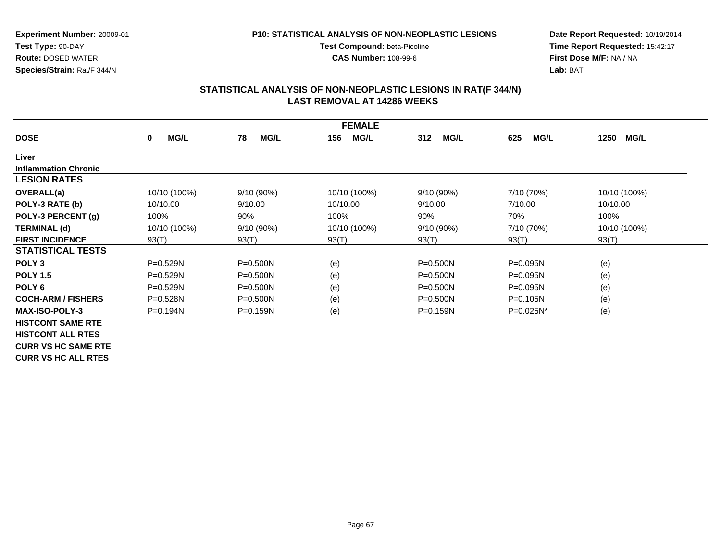#### **P10: STATISTICAL ANALYSIS OF NON-NEOPLASTIC LESIONS**

**Test Compound:** beta-Picoline**CAS Number:** 108-99-6

**Date Report Requested:** 10/19/2014 **Time Report Requested:** 15:42:17**First Dose M/F:** NA / NA**Lab:** BAT

|                             |                            |                   | <b>FEMALE</b>      |                    |                    |                     |
|-----------------------------|----------------------------|-------------------|--------------------|--------------------|--------------------|---------------------|
| <b>DOSE</b>                 | <b>MG/L</b><br>$\mathbf 0$ | <b>MG/L</b><br>78 | <b>MG/L</b><br>156 | 312<br><b>MG/L</b> | <b>MG/L</b><br>625 | <b>MG/L</b><br>1250 |
| Liver                       |                            |                   |                    |                    |                    |                     |
| <b>Inflammation Chronic</b> |                            |                   |                    |                    |                    |                     |
| <b>LESION RATES</b>         |                            |                   |                    |                    |                    |                     |
| OVERALL(a)                  | 10/10 (100%)               | 9/10(90%)         | 10/10 (100%)       | $9/10(90\%)$       | 7/10 (70%)         | 10/10 (100%)        |
| POLY-3 RATE (b)             | 10/10.00                   | 9/10.00           | 10/10.00           | 9/10.00            | 7/10.00            | 10/10.00            |
| POLY-3 PERCENT (g)          | 100%                       | 90%               | 100%               | 90%                | 70%                | 100%                |
| <b>TERMINAL (d)</b>         | 10/10 (100%)               | 9/10(90%)         | 10/10 (100%)       | 9/10 (90%)         | 7/10 (70%)         | 10/10 (100%)        |
| <b>FIRST INCIDENCE</b>      | 93(T)                      | 93(T)             | 93(T)              | 93(T)              | 93(T)              | 93(T)               |
| <b>STATISTICAL TESTS</b>    |                            |                   |                    |                    |                    |                     |
| POLY <sub>3</sub>           | P=0.529N                   | $P = 0.500N$      | (e)                | $P = 0.500N$       | $P = 0.095N$       | (e)                 |
| <b>POLY 1.5</b>             | P=0.529N                   | $P = 0.500N$      | (e)                | $P = 0.500N$       | P=0.095N           | (e)                 |
| POLY <sub>6</sub>           | $P = 0.529N$               | $P = 0.500N$      | (e)                | $P = 0.500N$       | $P = 0.095N$       | (e)                 |
| <b>COCH-ARM / FISHERS</b>   | $P = 0.528N$               | $P = 0.500N$      | (e)                | $P = 0.500N$       | $P = 0.105N$       | (e)                 |
| <b>MAX-ISO-POLY-3</b>       | $P=0.194N$                 | $P = 0.159N$      | (e)                | $P = 0.159N$       | P=0.025N*          | (e)                 |
| <b>HISTCONT SAME RTE</b>    |                            |                   |                    |                    |                    |                     |
| <b>HISTCONT ALL RTES</b>    |                            |                   |                    |                    |                    |                     |
| <b>CURR VS HC SAME RTE</b>  |                            |                   |                    |                    |                    |                     |
| <b>CURR VS HC ALL RTES</b>  |                            |                   |                    |                    |                    |                     |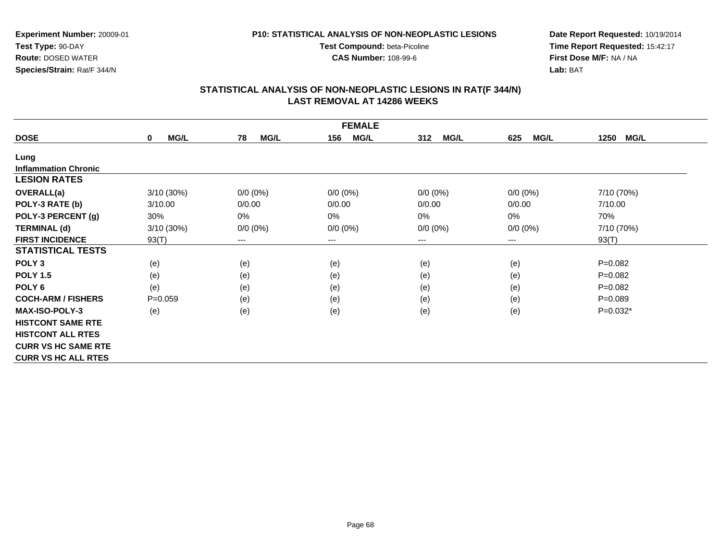**P10: STATISTICAL ANALYSIS OF NON-NEOPLASTIC LESIONS**

**Test Compound:** beta-Picoline**CAS Number:** 108-99-6

**Experiment Number:** 20009-01**Test Type:** 90-DAY **Route:** DOSED WATER**Species/Strain:** Rat/F 344/N

**Date Report Requested:** 10/19/2014 **Time Report Requested:** 15:42:17**First Dose M/F:** NA / NA**Lab:** BAT

| <b>FEMALE</b>               |                            |                            |                    |                    |                    |              |  |  |
|-----------------------------|----------------------------|----------------------------|--------------------|--------------------|--------------------|--------------|--|--|
| <b>DOSE</b>                 | <b>MG/L</b><br>$\mathbf 0$ | 78<br><b>MG/L</b>          | <b>MG/L</b><br>156 | 312<br><b>MG/L</b> | <b>MG/L</b><br>625 | MG/L<br>1250 |  |  |
| Lung                        |                            |                            |                    |                    |                    |              |  |  |
| <b>Inflammation Chronic</b> |                            |                            |                    |                    |                    |              |  |  |
| <b>LESION RATES</b>         |                            |                            |                    |                    |                    |              |  |  |
| OVERALL(a)                  | 3/10(30%)                  | $0/0 (0\%)$                | $0/0 (0\%)$        | $0/0 (0\%)$        | $0/0 (0\%)$        | 7/10 (70%)   |  |  |
| POLY-3 RATE (b)             | 3/10.00                    | 0/0.00                     | 0/0.00             | 0/0.00             | 0/0.00             | 7/10.00      |  |  |
| POLY-3 PERCENT (g)          | 30%                        | 0%                         | 0%                 | 0%                 | 0%                 | 70%          |  |  |
| <b>TERMINAL (d)</b>         | 3/10(30%)                  | $0/0 (0\%)$                | $0/0 (0\%)$        | $0/0 (0\%)$        | $0/0 (0\%)$        | 7/10 (70%)   |  |  |
| <b>FIRST INCIDENCE</b>      | 93(T)                      | $\qquad \qquad - \qquad -$ | $--$               | ---                | ---                | 93(T)        |  |  |
| <b>STATISTICAL TESTS</b>    |                            |                            |                    |                    |                    |              |  |  |
| POLY <sub>3</sub>           | (e)                        | (e)                        | (e)                | (e)                | (e)                | $P = 0.082$  |  |  |
| <b>POLY 1.5</b>             | (e)                        | (e)                        | (e)                | (e)                | (e)                | $P = 0.082$  |  |  |
| POLY <sub>6</sub>           | (e)                        | (e)                        | (e)                | (e)                | (e)                | $P = 0.082$  |  |  |
| <b>COCH-ARM / FISHERS</b>   | $P = 0.059$                | (e)                        | (e)                | (e)                | (e)                | $P = 0.089$  |  |  |
| <b>MAX-ISO-POLY-3</b>       | (e)                        | (e)                        | (e)                | (e)                | (e)                | $P=0.032*$   |  |  |
| <b>HISTCONT SAME RTE</b>    |                            |                            |                    |                    |                    |              |  |  |
| <b>HISTCONT ALL RTES</b>    |                            |                            |                    |                    |                    |              |  |  |
| <b>CURR VS HC SAME RTE</b>  |                            |                            |                    |                    |                    |              |  |  |
| <b>CURR VS HC ALL RTES</b>  |                            |                            |                    |                    |                    |              |  |  |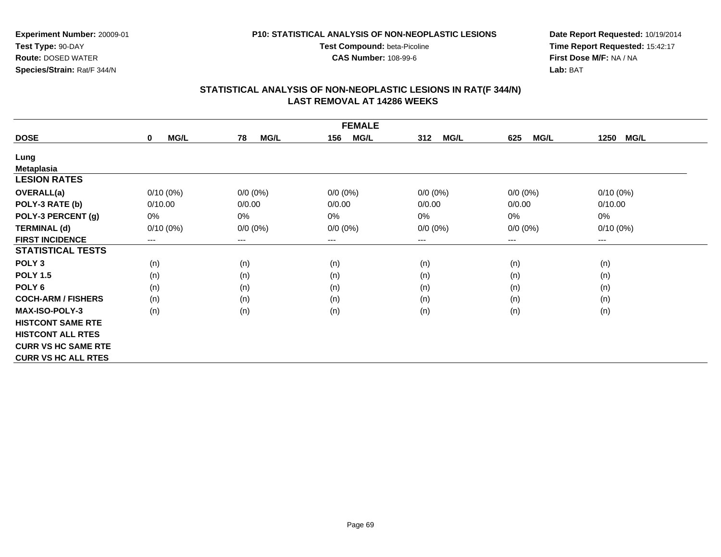**CAS Number:** 108-99-6

**Experiment Number:** 20009-01**Test Type:** 90-DAY **Route:** DOSED WATER**Species/Strain:** Rat/F 344/N

**Date Report Requested:** 10/19/2014 **Time Report Requested:** 15:42:17**First Dose M/F:** NA / NA**Lab:** BAT

| <b>FEMALE</b>              |                        |                   |                    |                    |                    |                        |  |  |
|----------------------------|------------------------|-------------------|--------------------|--------------------|--------------------|------------------------|--|--|
| <b>DOSE</b>                | MG/L<br>$\mathbf 0$    | <b>MG/L</b><br>78 | <b>MG/L</b><br>156 | 312<br><b>MG/L</b> | <b>MG/L</b><br>625 | <b>MG/L</b><br>1250    |  |  |
| Lung                       |                        |                   |                    |                    |                    |                        |  |  |
| <b>Metaplasia</b>          |                        |                   |                    |                    |                    |                        |  |  |
| <b>LESION RATES</b>        |                        |                   |                    |                    |                    |                        |  |  |
| <b>OVERALL(a)</b>          | $0/10(0\%)$            | $0/0 (0\%)$       | $0/0 (0\%)$        | $0/0 (0\%)$        | $0/0 (0\%)$        | $0/10(0\%)$            |  |  |
| POLY-3 RATE (b)            | 0/10.00                | 0/0.00            | 0/0.00             | 0/0.00             | 0/0.00             | 0/10.00                |  |  |
| POLY-3 PERCENT (g)         | 0%                     | 0%                | 0%                 | 0%                 | 0%                 | 0%                     |  |  |
| <b>TERMINAL (d)</b>        | $0/10(0\%)$            | $0/0 (0\%)$       | $0/0 (0\%)$        | $0/0 (0\%)$        | $0/0 (0\%)$        | $0/10(0\%)$            |  |  |
| <b>FIRST INCIDENCE</b>     | $\qquad \qquad \cdots$ | ---               | $--$               | ---                | ---                | $\qquad \qquad \cdots$ |  |  |
| <b>STATISTICAL TESTS</b>   |                        |                   |                    |                    |                    |                        |  |  |
| POLY <sub>3</sub>          | (n)                    | (n)               | (n)                | (n)                | (n)                | (n)                    |  |  |
| <b>POLY 1.5</b>            | (n)                    | (n)               | (n)                | (n)                | (n)                | (n)                    |  |  |
| POLY <sub>6</sub>          | (n)                    | (n)               | (n)                | (n)                | (n)                | (n)                    |  |  |
| <b>COCH-ARM / FISHERS</b>  | (n)                    | (n)               | (n)                | (n)                | (n)                | (n)                    |  |  |
| <b>MAX-ISO-POLY-3</b>      | (n)                    | (n)               | (n)                | (n)                | (n)                | (n)                    |  |  |
| <b>HISTCONT SAME RTE</b>   |                        |                   |                    |                    |                    |                        |  |  |
| <b>HISTCONT ALL RTES</b>   |                        |                   |                    |                    |                    |                        |  |  |
| <b>CURR VS HC SAME RTE</b> |                        |                   |                    |                    |                    |                        |  |  |
| <b>CURR VS HC ALL RTES</b> |                        |                   |                    |                    |                    |                        |  |  |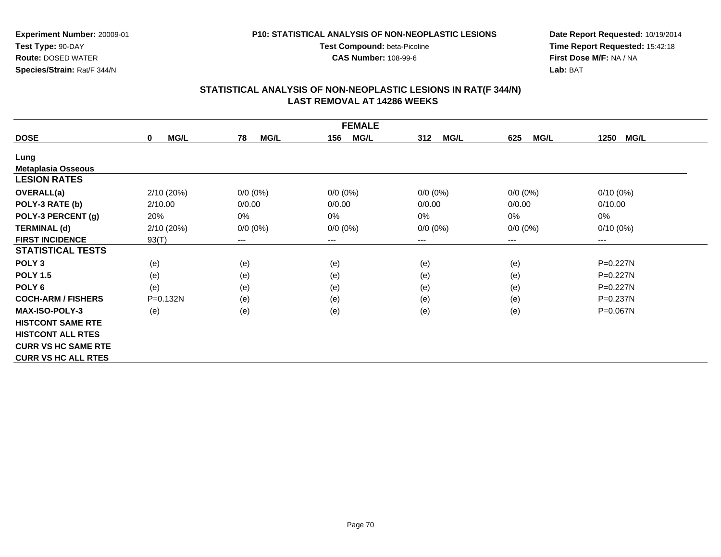**P10: STATISTICAL ANALYSIS OF NON-NEOPLASTIC LESIONS**

**Test Compound:** beta-Picoline**CAS Number:** 108-99-6

**Experiment Number:** 20009-01**Test Type:** 90-DAY **Route:** DOSED WATER**Species/Strain:** Rat/F 344/N

**Date Report Requested:** 10/19/2014 **Time Report Requested:** 15:42:18**First Dose M/F:** NA / NA**Lab:** BAT

| <b>FEMALE</b>              |                            |                        |                    |                    |                            |                        |  |
|----------------------------|----------------------------|------------------------|--------------------|--------------------|----------------------------|------------------------|--|
| <b>DOSE</b>                | <b>MG/L</b><br>$\mathbf 0$ | 78<br><b>MG/L</b>      | <b>MG/L</b><br>156 | 312<br><b>MG/L</b> | <b>MG/L</b><br>625         | 1250<br><b>MG/L</b>    |  |
| Lung                       |                            |                        |                    |                    |                            |                        |  |
| <b>Metaplasia Osseous</b>  |                            |                        |                    |                    |                            |                        |  |
| <b>LESION RATES</b>        |                            |                        |                    |                    |                            |                        |  |
| <b>OVERALL(a)</b>          | 2/10(20%)                  | $0/0 (0\%)$            | $0/0 (0\%)$        | $0/0 (0\%)$        | $0/0(0\%)$                 | $0/10(0\%)$            |  |
| POLY-3 RATE (b)            | 2/10.00                    | 0/0.00                 | 0/0.00             | 0/0.00             | 0/0.00                     | 0/10.00                |  |
| POLY-3 PERCENT (g)         | 20%                        | 0%                     | 0%                 | 0%                 | 0%                         | 0%                     |  |
| <b>TERMINAL (d)</b>        | 2/10(20%)                  | $0/0 (0\%)$            | $0/0 (0\%)$        | $0/0 (0\%)$        | $0/0 (0\%)$                | $0/10(0\%)$            |  |
| <b>FIRST INCIDENCE</b>     | 93(T)                      | $\qquad \qquad \cdots$ | $---$              | ---                | $\qquad \qquad - \qquad -$ | $\qquad \qquad \cdots$ |  |
| <b>STATISTICAL TESTS</b>   |                            |                        |                    |                    |                            |                        |  |
| POLY <sub>3</sub>          | (e)                        | (e)                    | (e)                | (e)                | (e)                        | P=0.227N               |  |
| <b>POLY 1.5</b>            | (e)                        | (e)                    | (e)                | (e)                | (e)                        | $P=0.227N$             |  |
| POLY <sub>6</sub>          | (e)                        | (e)                    | (e)                | (e)                | (e)                        | $P=0.227N$             |  |
| <b>COCH-ARM / FISHERS</b>  | $P = 0.132N$               | (e)                    | (e)                | (e)                | (e)                        | $P = 0.237N$           |  |
| <b>MAX-ISO-POLY-3</b>      | (e)                        | (e)                    | (e)                | (e)                | (e)                        | P=0.067N               |  |
| <b>HISTCONT SAME RTE</b>   |                            |                        |                    |                    |                            |                        |  |
| <b>HISTCONT ALL RTES</b>   |                            |                        |                    |                    |                            |                        |  |
| <b>CURR VS HC SAME RTE</b> |                            |                        |                    |                    |                            |                        |  |
| <b>CURR VS HC ALL RTES</b> |                            |                        |                    |                    |                            |                        |  |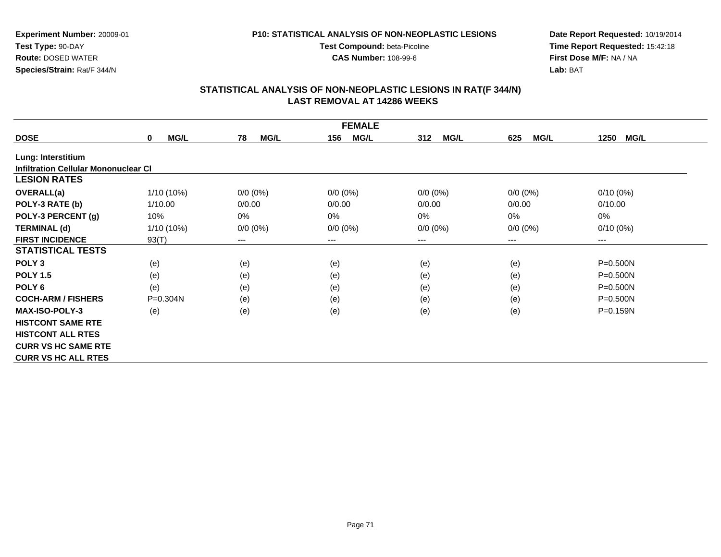#### **P10: STATISTICAL ANALYSIS OF NON-NEOPLASTIC LESIONS**

**Test Compound:** beta-Picoline**CAS Number:** 108-99-6

**Date Report Requested:** 10/19/2014 **Time Report Requested:** 15:42:18**First Dose M/F:** NA / NA**Lab:** BAT

|                                             |                            |                        | <b>FEMALE</b>      |                    |                    |                     |
|---------------------------------------------|----------------------------|------------------------|--------------------|--------------------|--------------------|---------------------|
| <b>DOSE</b>                                 | <b>MG/L</b><br>$\mathbf 0$ | 78<br><b>MG/L</b>      | <b>MG/L</b><br>156 | <b>MG/L</b><br>312 | <b>MG/L</b><br>625 | <b>MG/L</b><br>1250 |
| Lung: Interstitium                          |                            |                        |                    |                    |                    |                     |
| <b>Infiltration Cellular Mononuclear CI</b> |                            |                        |                    |                    |                    |                     |
| <b>LESION RATES</b>                         |                            |                        |                    |                    |                    |                     |
| OVERALL(a)                                  | 1/10 (10%)                 | $0/0 (0\%)$            | $0/0 (0\%)$        | $0/0 (0\%)$        | $0/0(0\%)$         | $0/10(0\%)$         |
| POLY-3 RATE (b)                             | 1/10.00                    | 0/0.00                 | 0/0.00             | 0/0.00             | 0/0.00             | 0/10.00             |
| POLY-3 PERCENT (g)                          | 10%                        | 0%                     | 0%                 | 0%                 | 0%                 | 0%                  |
| <b>TERMINAL (d)</b>                         | 1/10 (10%)                 | $0/0 (0\%)$            | $0/0 (0\%)$        | $0/0 (0\%)$        | $0/0 (0\%)$        | $0/10(0\%)$         |
| <b>FIRST INCIDENCE</b>                      | 93(T)                      | $\qquad \qquad \cdots$ | $---$              | ---                | ---                | ---                 |
| <b>STATISTICAL TESTS</b>                    |                            |                        |                    |                    |                    |                     |
| POLY <sub>3</sub>                           | (e)                        | (e)                    | (e)                | (e)                | (e)                | P=0.500N            |
| <b>POLY 1.5</b>                             | (e)                        | (e)                    | (e)                | (e)                | (e)                | $P = 0.500N$        |
| POLY <sub>6</sub>                           | (e)                        | (e)                    | (e)                | (e)                | (e)                | P=0.500N            |
| <b>COCH-ARM / FISHERS</b>                   | $P = 0.304N$               | (e)                    | (e)                | (e)                | (e)                | P=0.500N            |
| <b>MAX-ISO-POLY-3</b>                       | (e)                        | (e)                    | (e)                | (e)                | (e)                | P=0.159N            |
| <b>HISTCONT SAME RTE</b>                    |                            |                        |                    |                    |                    |                     |
| <b>HISTCONT ALL RTES</b>                    |                            |                        |                    |                    |                    |                     |
| <b>CURR VS HC SAME RTE</b>                  |                            |                        |                    |                    |                    |                     |
| <b>CURR VS HC ALL RTES</b>                  |                            |                        |                    |                    |                    |                     |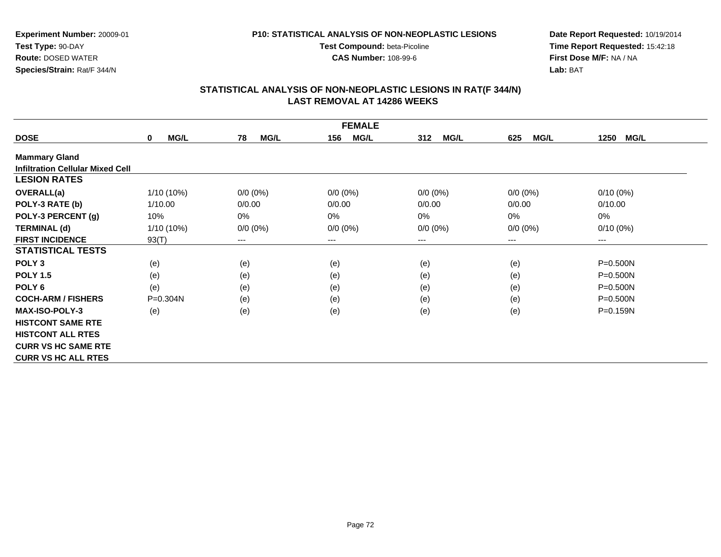#### **P10: STATISTICAL ANALYSIS OF NON-NEOPLASTIC LESIONS**

**Test Compound:** beta-Picoline**CAS Number:** 108-99-6

**Date Report Requested:** 10/19/2014 **Time Report Requested:** 15:42:18**First Dose M/F:** NA / NA**Lab:** BAT

|                                         | <b>FEMALE</b>              |                   |                    |                    |                    |                        |  |  |  |
|-----------------------------------------|----------------------------|-------------------|--------------------|--------------------|--------------------|------------------------|--|--|--|
| <b>DOSE</b>                             | <b>MG/L</b><br>$\mathbf 0$ | 78<br><b>MG/L</b> | <b>MG/L</b><br>156 | 312<br><b>MG/L</b> | 625<br><b>MG/L</b> | <b>MG/L</b><br>1250    |  |  |  |
| <b>Mammary Gland</b>                    |                            |                   |                    |                    |                    |                        |  |  |  |
| <b>Infiltration Cellular Mixed Cell</b> |                            |                   |                    |                    |                    |                        |  |  |  |
| <b>LESION RATES</b>                     |                            |                   |                    |                    |                    |                        |  |  |  |
| <b>OVERALL(a)</b>                       | 1/10 (10%)                 | $0/0 (0\%)$       | $0/0 (0\%)$        | $0/0 (0\%)$        | $0/0 (0\%)$        | $0/10(0\%)$            |  |  |  |
| POLY-3 RATE (b)                         | 1/10.00                    | 0/0.00            | 0/0.00             | 0/0.00             | 0/0.00             | 0/10.00                |  |  |  |
| POLY-3 PERCENT (g)                      | 10%                        | 0%                | 0%                 | 0%                 | 0%                 | $0\%$                  |  |  |  |
| <b>TERMINAL (d)</b>                     | 1/10 (10%)                 | $0/0 (0\%)$       | $0/0 (0\%)$        | $0/0 (0\%)$        | $0/0 (0\%)$        | $0/10(0\%)$            |  |  |  |
| <b>FIRST INCIDENCE</b>                  | 93(T)                      | $---$             | $---$              | ---                | $---$              | $\qquad \qquad \cdots$ |  |  |  |
| <b>STATISTICAL TESTS</b>                |                            |                   |                    |                    |                    |                        |  |  |  |
| POLY <sub>3</sub>                       | (e)                        | (e)               | (e)                | (e)                | (e)                | $P = 0.500N$           |  |  |  |
| <b>POLY 1.5</b>                         | (e)                        | (e)               | (e)                | (e)                | (e)                | $P = 0.500N$           |  |  |  |
| POLY <sub>6</sub>                       | (e)                        | (e)               | (e)                | (e)                | (e)                | $P = 0.500N$           |  |  |  |
| <b>COCH-ARM / FISHERS</b>               | $P = 0.304N$               | (e)               | (e)                | (e)                | (e)                | $P = 0.500N$           |  |  |  |
| <b>MAX-ISO-POLY-3</b>                   | (e)                        | (e)               | (e)                | (e)                | (e)                | P=0.159N               |  |  |  |
| <b>HISTCONT SAME RTE</b>                |                            |                   |                    |                    |                    |                        |  |  |  |
| <b>HISTCONT ALL RTES</b>                |                            |                   |                    |                    |                    |                        |  |  |  |
| <b>CURR VS HC SAME RTE</b>              |                            |                   |                    |                    |                    |                        |  |  |  |
| <b>CURR VS HC ALL RTES</b>              |                            |                   |                    |                    |                    |                        |  |  |  |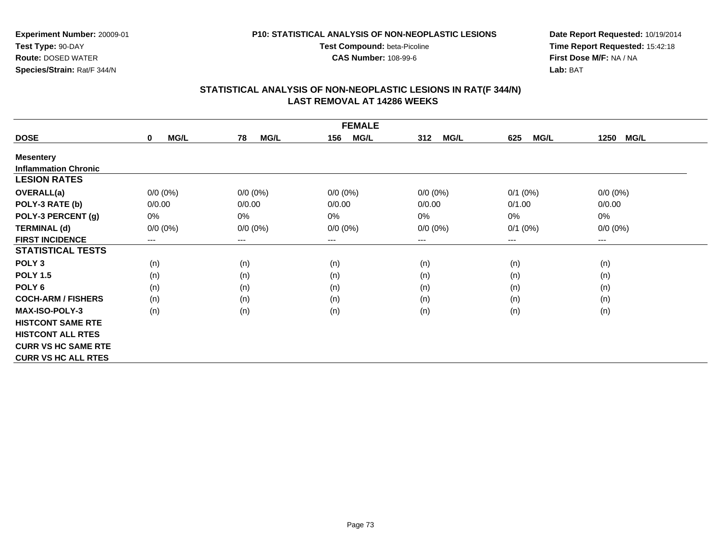**Experiment Number:** 20009-01**Test Type:** 90-DAY**Route:** DOSED WATER

**Species/Strain:** Rat/F 344/N

#### **P10: STATISTICAL ANALYSIS OF NON-NEOPLASTIC LESIONS**

**Test Compound:** beta-Picoline

**CAS Number:** 108-99-6

**Date Report Requested:** 10/19/2014 **Time Report Requested:** 15:42:18**First Dose M/F:** NA / NA**Lab:** BAT

| <b>FEMALE</b>               |                            |                   |                    |                    |                        |                        |  |  |
|-----------------------------|----------------------------|-------------------|--------------------|--------------------|------------------------|------------------------|--|--|
| <b>DOSE</b>                 | <b>MG/L</b><br>$\mathbf 0$ | 78<br><b>MG/L</b> | <b>MG/L</b><br>156 | 312<br><b>MG/L</b> | 625<br><b>MG/L</b>     | <b>MG/L</b><br>1250    |  |  |
| <b>Mesentery</b>            |                            |                   |                    |                    |                        |                        |  |  |
| <b>Inflammation Chronic</b> |                            |                   |                    |                    |                        |                        |  |  |
| <b>LESION RATES</b>         |                            |                   |                    |                    |                        |                        |  |  |
| <b>OVERALL(a)</b>           | $0/0 (0\%)$                | $0/0 (0\%)$       | $0/0 (0\%)$        | $0/0 (0\%)$        | $0/1$ (0%)             | $0/0 (0\%)$            |  |  |
| POLY-3 RATE (b)             | 0/0.00                     | 0/0.00            | 0/0.00             | 0/0.00             | 0/1.00                 | 0/0.00                 |  |  |
| POLY-3 PERCENT (g)          | 0%                         | 0%                | 0%                 | 0%                 | 0%                     | $0\%$                  |  |  |
| <b>TERMINAL (d)</b>         | $0/0 (0\%)$                | $0/0 (0\%)$       | $0/0 (0\%)$        | $0/0 (0\%)$        | $0/1$ $(0%)$           | $0/0 (0\%)$            |  |  |
| <b>FIRST INCIDENCE</b>      | ---                        | ---               | $---$              | ---                | $\qquad \qquad \cdots$ | $\qquad \qquad \cdots$ |  |  |
| <b>STATISTICAL TESTS</b>    |                            |                   |                    |                    |                        |                        |  |  |
| POLY <sub>3</sub>           | (n)                        | (n)               | (n)                | (n)                | (n)                    | (n)                    |  |  |
| <b>POLY 1.5</b>             | (n)                        | (n)               | (n)                | (n)                | (n)                    | (n)                    |  |  |
| POLY <sub>6</sub>           | (n)                        | (n)               | (n)                | (n)                | (n)                    | (n)                    |  |  |
| <b>COCH-ARM / FISHERS</b>   | (n)                        | (n)               | (n)                | (n)                | (n)                    | (n)                    |  |  |
| <b>MAX-ISO-POLY-3</b>       | (n)                        | (n)               | (n)                | (n)                | (n)                    | (n)                    |  |  |
| <b>HISTCONT SAME RTE</b>    |                            |                   |                    |                    |                        |                        |  |  |
| <b>HISTCONT ALL RTES</b>    |                            |                   |                    |                    |                        |                        |  |  |
| <b>CURR VS HC SAME RTE</b>  |                            |                   |                    |                    |                        |                        |  |  |
| <b>CURR VS HC ALL RTES</b>  |                            |                   |                    |                    |                        |                        |  |  |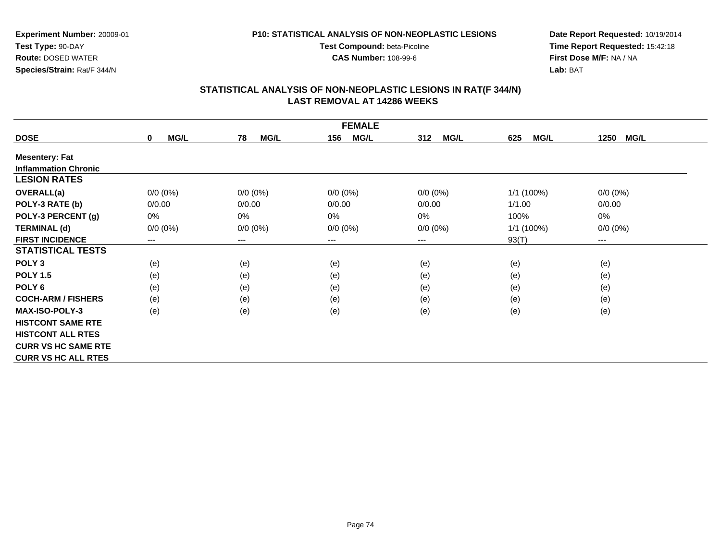**Experiment Number:** 20009-01**Test Type:** 90-DAY**Route:** DOSED WATER

**Species/Strain:** Rat/F 344/N

#### **P10: STATISTICAL ANALYSIS OF NON-NEOPLASTIC LESIONS**

**Test Compound:** beta-Picoline

**CAS Number:** 108-99-6

**Date Report Requested:** 10/19/2014 **Time Report Requested:** 15:42:18**First Dose M/F:** NA / NA**Lab:** BAT

| <b>FEMALE</b>               |                     |                        |                    |                    |                    |                     |  |  |
|-----------------------------|---------------------|------------------------|--------------------|--------------------|--------------------|---------------------|--|--|
| <b>DOSE</b>                 | MG/L<br>$\mathbf 0$ | <b>MG/L</b><br>78      | <b>MG/L</b><br>156 | 312<br><b>MG/L</b> | <b>MG/L</b><br>625 | <b>MG/L</b><br>1250 |  |  |
| <b>Mesentery: Fat</b>       |                     |                        |                    |                    |                    |                     |  |  |
| <b>Inflammation Chronic</b> |                     |                        |                    |                    |                    |                     |  |  |
| <b>LESION RATES</b>         |                     |                        |                    |                    |                    |                     |  |  |
| <b>OVERALL(a)</b>           | $0/0 (0\%)$         | $0/0 (0\%)$            | $0/0 (0\%)$        | $0/0 (0\%)$        | $1/1(100\%)$       | $0/0 (0\%)$         |  |  |
| POLY-3 RATE (b)             | 0/0.00              | 0/0.00                 | 0/0.00             | 0/0.00             | 1/1.00             | 0/0.00              |  |  |
| POLY-3 PERCENT (g)          | 0%                  | 0%                     | 0%                 | 0%                 | 100%               | 0%                  |  |  |
| <b>TERMINAL (d)</b>         | $0/0 (0\%)$         | $0/0 (0\%)$            | $0/0 (0\%)$        | $0/0 (0\%)$        | $1/1$ (100%)       | $0/0 (0\%)$         |  |  |
| <b>FIRST INCIDENCE</b>      | ---                 | $\qquad \qquad \cdots$ | $--$               | ---                | 93(T)              | ---                 |  |  |
| <b>STATISTICAL TESTS</b>    |                     |                        |                    |                    |                    |                     |  |  |
| POLY <sub>3</sub>           | (e)                 | (e)                    | (e)                | (e)                | (e)                | (e)                 |  |  |
| <b>POLY 1.5</b>             | (e)                 | (e)                    | (e)                | (e)                | (e)                | (e)                 |  |  |
| POLY 6                      | (e)                 | (e)                    | (e)                | (e)                | (e)                | (e)                 |  |  |
| <b>COCH-ARM / FISHERS</b>   | (e)                 | (e)                    | (e)                | (e)                | (e)                | (e)                 |  |  |
| <b>MAX-ISO-POLY-3</b>       | (e)                 | (e)                    | (e)                | (e)                | (e)                | (e)                 |  |  |
| <b>HISTCONT SAME RTE</b>    |                     |                        |                    |                    |                    |                     |  |  |
| <b>HISTCONT ALL RTES</b>    |                     |                        |                    |                    |                    |                     |  |  |
| <b>CURR VS HC SAME RTE</b>  |                     |                        |                    |                    |                    |                     |  |  |
| <b>CURR VS HC ALL RTES</b>  |                     |                        |                    |                    |                    |                     |  |  |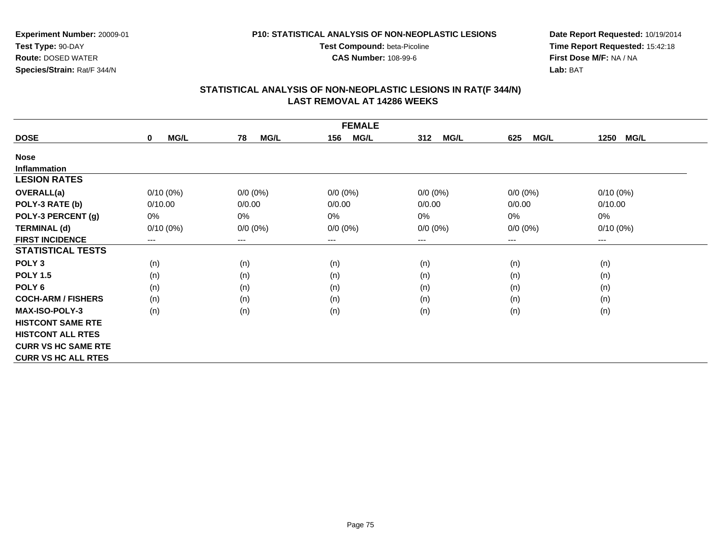**P10: STATISTICAL ANALYSIS OF NON-NEOPLASTIC LESIONSTest Compound:** beta-Picoline

**CAS Number:** 108-99-6

**Experiment Number:** 20009-01**Test Type:** 90-DAY **Route:** DOSED WATER**Species/Strain:** Rat/F 344/N

**Date Report Requested:** 10/19/2014 **Time Report Requested:** 15:42:18**First Dose M/F:** NA / NA**Lab:** BAT

| <b>FEMALE</b>              |                            |                   |                    |                    |                    |                      |  |  |
|----------------------------|----------------------------|-------------------|--------------------|--------------------|--------------------|----------------------|--|--|
| <b>DOSE</b>                | <b>MG/L</b><br>$\mathbf 0$ | <b>MG/L</b><br>78 | <b>MG/L</b><br>156 | <b>MG/L</b><br>312 | <b>MG/L</b><br>625 | <b>MG/L</b><br>1250  |  |  |
| <b>Nose</b>                |                            |                   |                    |                    |                    |                      |  |  |
| <b>Inflammation</b>        |                            |                   |                    |                    |                    |                      |  |  |
| <b>LESION RATES</b>        |                            |                   |                    |                    |                    |                      |  |  |
| <b>OVERALL(a)</b>          | $0/10(0\%)$                | $0/0 (0\%)$       | $0/0 (0\%)$        | $0/0 (0\%)$        | $0/0 (0\%)$        | $0/10(0\%)$          |  |  |
| POLY-3 RATE (b)            | 0/10.00                    | 0/0.00            | 0/0.00             | 0/0.00             | 0/0.00             | 0/10.00              |  |  |
| POLY-3 PERCENT (g)         | 0%                         | 0%                | 0%                 | 0%                 | 0%                 | 0%                   |  |  |
| <b>TERMINAL (d)</b>        | $0/10(0\%)$                | $0/0 (0\%)$       | $0/0 (0\%)$        | $0/0 (0\%)$        | $0/0 (0\%)$        | $0/10(0\%)$          |  |  |
| <b>FIRST INCIDENCE</b>     | $---$                      | ---               | $--$               | ---                | ---                | $\scriptstyle\cdots$ |  |  |
| <b>STATISTICAL TESTS</b>   |                            |                   |                    |                    |                    |                      |  |  |
| POLY <sub>3</sub>          | (n)                        | (n)               | (n)                | (n)                | (n)                | (n)                  |  |  |
| <b>POLY 1.5</b>            | (n)                        | (n)               | (n)                | (n)                | (n)                | (n)                  |  |  |
| POLY <sub>6</sub>          | (n)                        | (n)               | (n)                | (n)                | (n)                | (n)                  |  |  |
| <b>COCH-ARM / FISHERS</b>  | (n)                        | (n)               | (n)                | (n)                | (n)                | (n)                  |  |  |
| <b>MAX-ISO-POLY-3</b>      | (n)                        | (n)               | (n)                | (n)                | (n)                | (n)                  |  |  |
| <b>HISTCONT SAME RTE</b>   |                            |                   |                    |                    |                    |                      |  |  |
| <b>HISTCONT ALL RTES</b>   |                            |                   |                    |                    |                    |                      |  |  |
| <b>CURR VS HC SAME RTE</b> |                            |                   |                    |                    |                    |                      |  |  |
| <b>CURR VS HC ALL RTES</b> |                            |                   |                    |                    |                    |                      |  |  |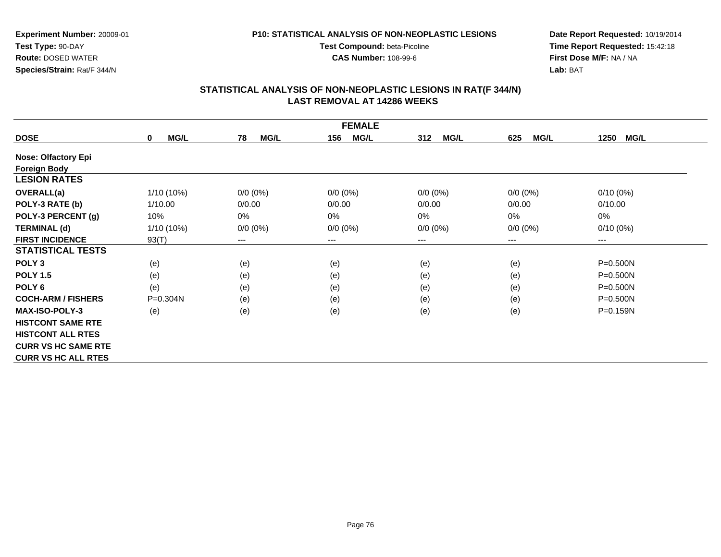**Test Compound:** beta-Picoline**CAS Number:** 108-99-6

**Experiment Number:** 20009-01**Test Type:** 90-DAY **Route:** DOSED WATER**Species/Strain:** Rat/F 344/N

**Date Report Requested:** 10/19/2014 **Time Report Requested:** 15:42:18**First Dose M/F:** NA / NA**Lab:** BAT

|                            | <b>FEMALE</b>       |                   |                    |                    |                    |                        |  |  |
|----------------------------|---------------------|-------------------|--------------------|--------------------|--------------------|------------------------|--|--|
| <b>DOSE</b>                | MG/L<br>$\mathbf 0$ | 78<br><b>MG/L</b> | 156<br><b>MG/L</b> | <b>MG/L</b><br>312 | <b>MG/L</b><br>625 | MG/L<br>1250           |  |  |
| <b>Nose: Olfactory Epi</b> |                     |                   |                    |                    |                    |                        |  |  |
| <b>Foreign Body</b>        |                     |                   |                    |                    |                    |                        |  |  |
| <b>LESION RATES</b>        |                     |                   |                    |                    |                    |                        |  |  |
| <b>OVERALL(a)</b>          | 1/10 (10%)          | $0/0 (0\%)$       | $0/0 (0\%)$        | $0/0 (0\%)$        | $0/0 (0\%)$        | $0/10(0\%)$            |  |  |
| POLY-3 RATE (b)            | 1/10.00             | 0/0.00            | 0/0.00             | 0/0.00             | 0/0.00             | 0/10.00                |  |  |
| POLY-3 PERCENT (g)         | 10%                 | 0%                | 0%                 | 0%                 | 0%                 | 0%                     |  |  |
| <b>TERMINAL (d)</b>        | 1/10 (10%)          | $0/0 (0\%)$       | $0/0 (0\%)$        | $0/0 (0\%)$        | $0/0 (0\%)$        | $0/10(0\%)$            |  |  |
| <b>FIRST INCIDENCE</b>     | 93(T)               | ---               | $--$               | ---                | ---                | $\qquad \qquad \cdots$ |  |  |
| <b>STATISTICAL TESTS</b>   |                     |                   |                    |                    |                    |                        |  |  |
| POLY <sub>3</sub>          | (e)                 | (e)               | (e)                | (e)                | (e)                | $P = 0.500N$           |  |  |
| <b>POLY 1.5</b>            | (e)                 | (e)               | (e)                | (e)                | (e)                | $P = 0.500N$           |  |  |
| POLY <sub>6</sub>          | (e)                 | (e)               | (e)                | (e)                | (e)                | $P = 0.500N$           |  |  |
| <b>COCH-ARM / FISHERS</b>  | $P = 0.304N$        | (e)               | (e)                | (e)                | (e)                | $P = 0.500N$           |  |  |
| <b>MAX-ISO-POLY-3</b>      | (e)                 | (e)               | (e)                | (e)                | (e)                | P=0.159N               |  |  |
| <b>HISTCONT SAME RTE</b>   |                     |                   |                    |                    |                    |                        |  |  |
| <b>HISTCONT ALL RTES</b>   |                     |                   |                    |                    |                    |                        |  |  |
| <b>CURR VS HC SAME RTE</b> |                     |                   |                    |                    |                    |                        |  |  |
| <b>CURR VS HC ALL RTES</b> |                     |                   |                    |                    |                    |                        |  |  |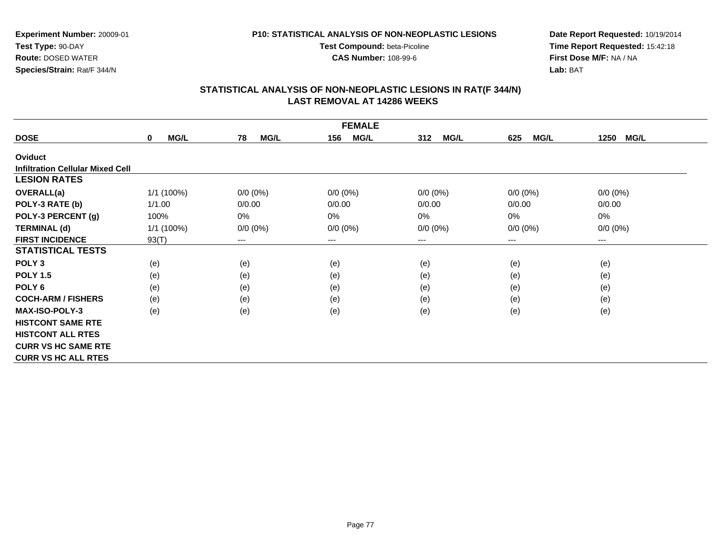**Experiment Number:** 20009-01

**Test Type:** 90-DAY**Route:** DOSED WATER

**Species/Strain:** Rat/F 344/N

#### **P10: STATISTICAL ANALYSIS OF NON-NEOPLASTIC LESIONS**

**Test Compound:** beta-Picoline

**CAS Number:** 108-99-6

**Date Report Requested:** 10/19/2014 **Time Report Requested:** 15:42:18**First Dose M/F:** NA / NA**Lab:** BAT

| <b>FEMALE</b>                           |                            |                   |                    |                    |                    |                     |  |
|-----------------------------------------|----------------------------|-------------------|--------------------|--------------------|--------------------|---------------------|--|
| <b>DOSE</b>                             | <b>MG/L</b><br>$\mathbf 0$ | 78<br><b>MG/L</b> | <b>MG/L</b><br>156 | <b>MG/L</b><br>312 | <b>MG/L</b><br>625 | <b>MG/L</b><br>1250 |  |
| Oviduct                                 |                            |                   |                    |                    |                    |                     |  |
| <b>Infiltration Cellular Mixed Cell</b> |                            |                   |                    |                    |                    |                     |  |
| <b>LESION RATES</b>                     |                            |                   |                    |                    |                    |                     |  |
| <b>OVERALL(a)</b>                       | 1/1 (100%)                 | $0/0 (0\%)$       | $0/0 (0\%)$        | $0/0 (0\%)$        | $0/0 (0\%)$        | $0/0(0\%)$          |  |
| POLY-3 RATE (b)                         | 1/1.00                     | 0/0.00            | 0/0.00             | 0/0.00             | 0/0.00             | 0/0.00              |  |
| POLY-3 PERCENT (g)                      | 100%                       | $0\%$             | 0%                 | 0%                 | 0%                 | 0%                  |  |
| <b>TERMINAL (d)</b>                     | 1/1(100%)                  | $0/0 (0\%)$       | $0/0 (0\%)$        | $0/0 (0\%)$        | $0/0 (0\%)$        | $0/0 (0\%)$         |  |
| <b>FIRST INCIDENCE</b>                  | 93(T)                      | $--$              | ---                | ---                | ---                | ---                 |  |
| <b>STATISTICAL TESTS</b>                |                            |                   |                    |                    |                    |                     |  |
| POLY <sub>3</sub>                       | (e)                        | (e)               | (e)                | (e)                | (e)                | (e)                 |  |
| <b>POLY 1.5</b>                         | (e)                        | (e)               | (e)                | (e)                | (e)                | (e)                 |  |
| POLY <sub>6</sub>                       | (e)                        | (e)               | (e)                | (e)                | (e)                | (e)                 |  |
| <b>COCH-ARM / FISHERS</b>               | (e)                        | (e)               | (e)                | (e)                | (e)                | (e)                 |  |
| <b>MAX-ISO-POLY-3</b>                   | (e)                        | (e)               | (e)                | (e)                | (e)                | (e)                 |  |
| <b>HISTCONT SAME RTE</b>                |                            |                   |                    |                    |                    |                     |  |
| <b>HISTCONT ALL RTES</b>                |                            |                   |                    |                    |                    |                     |  |
| <b>CURR VS HC SAME RTE</b>              |                            |                   |                    |                    |                    |                     |  |
| <b>CURR VS HC ALL RTES</b>              |                            |                   |                    |                    |                    |                     |  |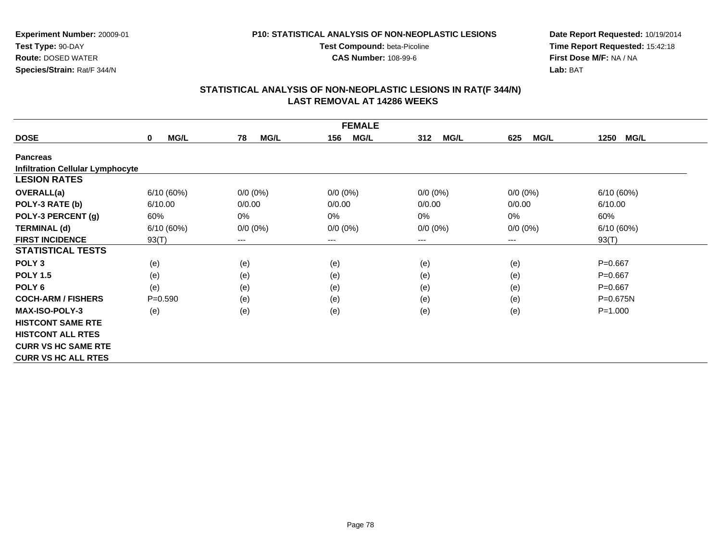**Test Compound:** beta-Picoline**CAS Number:** 108-99-6

**Experiment Number:** 20009-01**Test Type:** 90-DAY **Route:** DOSED WATER**Species/Strain:** Rat/F 344/N

**Date Report Requested:** 10/19/2014 **Time Report Requested:** 15:42:18**First Dose M/F:** NA / NA**Lab:** BAT

| <b>FEMALE</b>                           |                            |                   |                    |                    |                    |                     |  |  |
|-----------------------------------------|----------------------------|-------------------|--------------------|--------------------|--------------------|---------------------|--|--|
| <b>DOSE</b>                             | <b>MG/L</b><br>$\mathbf 0$ | 78<br><b>MG/L</b> | <b>MG/L</b><br>156 | <b>MG/L</b><br>312 | <b>MG/L</b><br>625 | 1250<br><b>MG/L</b> |  |  |
| <b>Pancreas</b>                         |                            |                   |                    |                    |                    |                     |  |  |
| <b>Infiltration Cellular Lymphocyte</b> |                            |                   |                    |                    |                    |                     |  |  |
| <b>LESION RATES</b>                     |                            |                   |                    |                    |                    |                     |  |  |
| OVERALL(a)                              | 6/10(60%)                  | $0/0 (0\%)$       | $0/0 (0\%)$        | $0/0 (0\%)$        | $0/0(0\%)$         | 6/10(60%)           |  |  |
| POLY-3 RATE (b)                         | 6/10.00                    | 0/0.00            | 0/0.00             | 0/0.00             | 0/0.00             | 6/10.00             |  |  |
| POLY-3 PERCENT (g)                      | 60%                        | 0%                | 0%                 | 0%                 | 0%                 | 60%                 |  |  |
| <b>TERMINAL (d)</b>                     | 6/10(60%)                  | $0/0 (0\%)$       | $0/0 (0\%)$        | $0/0 (0\%)$        | $0/0 (0\%)$        | 6/10(60%)           |  |  |
| <b>FIRST INCIDENCE</b>                  | 93(T)                      | $---$             | ---                | ---                | ---                | 93(T)               |  |  |
| <b>STATISTICAL TESTS</b>                |                            |                   |                    |                    |                    |                     |  |  |
| POLY <sub>3</sub>                       | (e)                        | (e)               | (e)                | (e)                | (e)                | $P = 0.667$         |  |  |
| <b>POLY 1.5</b>                         | (e)                        | (e)               | (e)                | (e)                | (e)                | $P = 0.667$         |  |  |
| POLY <sub>6</sub>                       | (e)                        | (e)               | (e)                | (e)                | (e)                | $P = 0.667$         |  |  |
| <b>COCH-ARM / FISHERS</b>               | $P = 0.590$                | (e)               | (e)                | (e)                | (e)                | $P = 0.675N$        |  |  |
| <b>MAX-ISO-POLY-3</b>                   | (e)                        | (e)               | (e)                | (e)                | (e)                | $P = 1.000$         |  |  |
| <b>HISTCONT SAME RTE</b>                |                            |                   |                    |                    |                    |                     |  |  |
| <b>HISTCONT ALL RTES</b>                |                            |                   |                    |                    |                    |                     |  |  |
| <b>CURR VS HC SAME RTE</b>              |                            |                   |                    |                    |                    |                     |  |  |
| <b>CURR VS HC ALL RTES</b>              |                            |                   |                    |                    |                    |                     |  |  |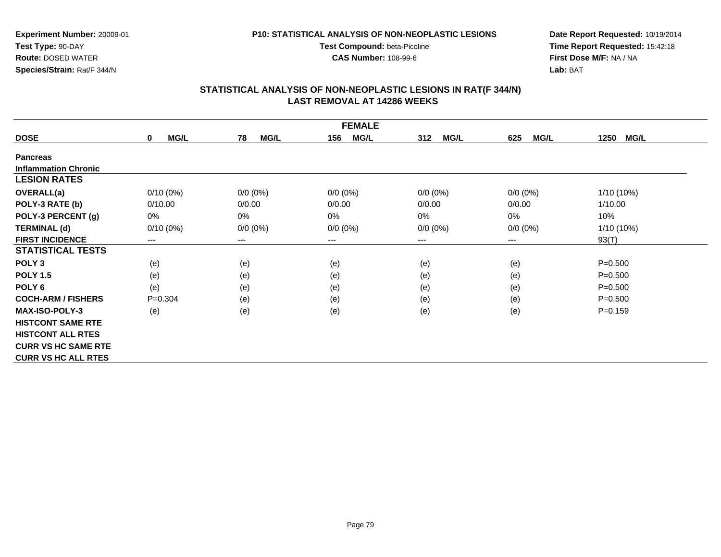**P10: STATISTICAL ANALYSIS OF NON-NEOPLASTIC LESIONSTest Compound:** beta-Picoline

**Experiment Number:** 20009-01**Test Type:** 90-DAY **Route:** DOSED WATER**Species/Strain:** Rat/F 344/N

**Date Report Requested:** 10/19/2014 **Time Report Requested:** 15:42:18**First Dose M/F:** NA / NA**Lab:** BAT

# **STATISTICAL ANALYSIS OF NON-NEOPLASTIC LESIONS IN RAT(F 344/N) LAST REMOVAL AT 14286 WEEKS**

**CAS Number:** 108-99-6

|                             | <b>FEMALE</b>              |                        |                    |                    |                    |                     |  |  |  |
|-----------------------------|----------------------------|------------------------|--------------------|--------------------|--------------------|---------------------|--|--|--|
| <b>DOSE</b>                 | <b>MG/L</b><br>$\mathbf 0$ | <b>MG/L</b><br>78      | 156<br><b>MG/L</b> | <b>MG/L</b><br>312 | <b>MG/L</b><br>625 | <b>MG/L</b><br>1250 |  |  |  |
| <b>Pancreas</b>             |                            |                        |                    |                    |                    |                     |  |  |  |
| <b>Inflammation Chronic</b> |                            |                        |                    |                    |                    |                     |  |  |  |
| <b>LESION RATES</b>         |                            |                        |                    |                    |                    |                     |  |  |  |
| <b>OVERALL(a)</b>           | $0/10(0\%)$                | $0/0 (0\%)$            | $0/0 (0\%)$        | $0/0 (0\%)$        | $0/0 (0\%)$        | 1/10 (10%)          |  |  |  |
| POLY-3 RATE (b)             | 0/10.00                    | 0/0.00                 | 0/0.00             | 0/0.00             | 0/0.00             | 1/10.00             |  |  |  |
| POLY-3 PERCENT (g)          | 0%                         | 0%                     | 0%                 | 0%                 | 0%                 | 10%                 |  |  |  |
| <b>TERMINAL (d)</b>         | $0/10(0\%)$                | $0/0 (0\%)$            | $0/0 (0\%)$        | $0/0 (0\%)$        | $0/0 (0\%)$        | 1/10 (10%)          |  |  |  |
| <b>FIRST INCIDENCE</b>      | ---                        | $\qquad \qquad \cdots$ | ---                | ---                | ---                | 93(T)               |  |  |  |
| <b>STATISTICAL TESTS</b>    |                            |                        |                    |                    |                    |                     |  |  |  |
| POLY <sub>3</sub>           | (e)                        | (e)                    | (e)                | (e)                | (e)                | $P = 0.500$         |  |  |  |
| <b>POLY 1.5</b>             | (e)                        | (e)                    | (e)                | (e)                | (e)                | $P = 0.500$         |  |  |  |
| POLY 6                      | (e)                        | (e)                    | (e)                | (e)                | (e)                | $P = 0.500$         |  |  |  |
| <b>COCH-ARM / FISHERS</b>   | $P = 0.304$                | (e)                    | (e)                | (e)                | (e)                | $P = 0.500$         |  |  |  |
| <b>MAX-ISO-POLY-3</b>       | (e)                        | (e)                    | (e)                | (e)                | (e)                | $P = 0.159$         |  |  |  |
| <b>HISTCONT SAME RTE</b>    |                            |                        |                    |                    |                    |                     |  |  |  |
| <b>HISTCONT ALL RTES</b>    |                            |                        |                    |                    |                    |                     |  |  |  |
| <b>CURR VS HC SAME RTE</b>  |                            |                        |                    |                    |                    |                     |  |  |  |
| <b>CURR VS HC ALL RTES</b>  |                            |                        |                    |                    |                    |                     |  |  |  |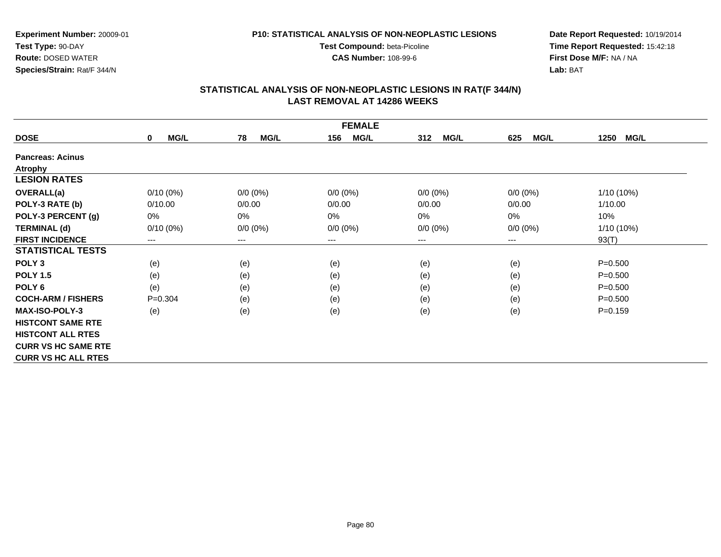**Test Compound:** beta-Picoline**CAS Number:** 108-99-6

**Experiment Number:** 20009-01**Test Type:** 90-DAY **Route:** DOSED WATER**Species/Strain:** Rat/F 344/N

**Date Report Requested:** 10/19/2014**Time Report Requested:** 15:42:18**First Dose M/F:** NA / NA**Lab:** BAT

|                            | <b>FEMALE</b>       |                   |                    |                    |                    |                     |  |  |  |
|----------------------------|---------------------|-------------------|--------------------|--------------------|--------------------|---------------------|--|--|--|
| <b>DOSE</b>                | MG/L<br>$\mathbf 0$ | 78<br><b>MG/L</b> | <b>MG/L</b><br>156 | 312<br><b>MG/L</b> | <b>MG/L</b><br>625 | 1250<br><b>MG/L</b> |  |  |  |
| <b>Pancreas: Acinus</b>    |                     |                   |                    |                    |                    |                     |  |  |  |
| <b>Atrophy</b>             |                     |                   |                    |                    |                    |                     |  |  |  |
| <b>LESION RATES</b>        |                     |                   |                    |                    |                    |                     |  |  |  |
| <b>OVERALL(a)</b>          | $0/10(0\%)$         | $0/0 (0\%)$       | $0/0 (0\%)$        | $0/0 (0\%)$        | $0/0 (0\%)$        | $1/10(10\%)$        |  |  |  |
| POLY-3 RATE (b)            | 0/10.00             | 0/0.00            | 0/0.00             | 0/0.00             | 0/0.00             | 1/10.00             |  |  |  |
| POLY-3 PERCENT (g)         | 0%                  | 0%                | 0%                 | 0%                 | 0%                 | 10%                 |  |  |  |
| <b>TERMINAL (d)</b>        | $0/10(0\%)$         | $0/0 (0\%)$       | $0/0 (0\%)$        | $0/0 (0\%)$        | $0/0 (0\%)$        | $1/10(10\%)$        |  |  |  |
| <b>FIRST INCIDENCE</b>     | ---                 | ---               | $--$               | ---                | ---                | 93(T)               |  |  |  |
| <b>STATISTICAL TESTS</b>   |                     |                   |                    |                    |                    |                     |  |  |  |
| POLY <sub>3</sub>          | (e)                 | (e)               | (e)                | (e)                | (e)                | $P = 0.500$         |  |  |  |
| <b>POLY 1.5</b>            | (e)                 | (e)               | (e)                | (e)                | (e)                | $P = 0.500$         |  |  |  |
| POLY <sub>6</sub>          | (e)                 | (e)               | (e)                | (e)                | (e)                | $P = 0.500$         |  |  |  |
| <b>COCH-ARM / FISHERS</b>  | $P=0.304$           | (e)               | (e)                | (e)                | (e)                | $P = 0.500$         |  |  |  |
| <b>MAX-ISO-POLY-3</b>      | (e)                 | (e)               | (e)                | (e)                | (e)                | $P = 0.159$         |  |  |  |
| <b>HISTCONT SAME RTE</b>   |                     |                   |                    |                    |                    |                     |  |  |  |
| <b>HISTCONT ALL RTES</b>   |                     |                   |                    |                    |                    |                     |  |  |  |
| <b>CURR VS HC SAME RTE</b> |                     |                   |                    |                    |                    |                     |  |  |  |
| <b>CURR VS HC ALL RTES</b> |                     |                   |                    |                    |                    |                     |  |  |  |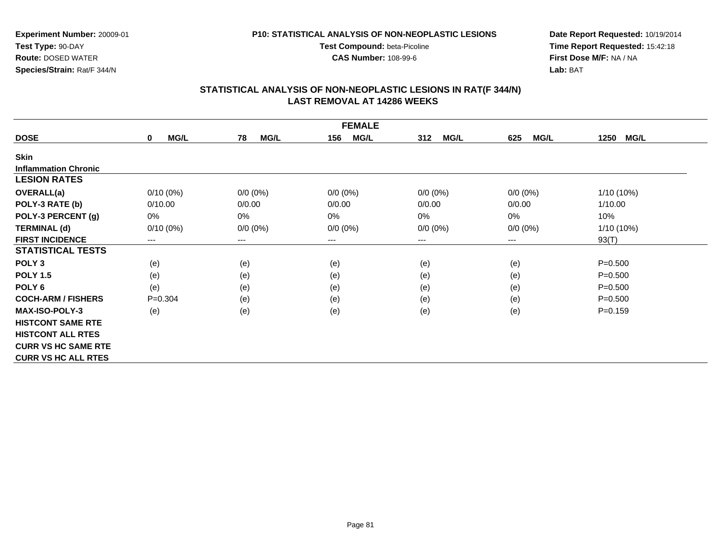**Test Compound:** beta-Picoline**CAS Number:** 108-99-6

**Experiment Number:** 20009-01**Test Type:** 90-DAY **Route:** DOSED WATER**Species/Strain:** Rat/F 344/N

**Date Report Requested:** 10/19/2014**Time Report Requested:** 15:42:18**First Dose M/F:** NA / NA**Lab:** BAT

|                             | <b>FEMALE</b>              |                        |                    |                    |                    |                     |  |  |
|-----------------------------|----------------------------|------------------------|--------------------|--------------------|--------------------|---------------------|--|--|
| <b>DOSE</b>                 | <b>MG/L</b><br>$\mathbf 0$ | <b>MG/L</b><br>78      | 156<br><b>MG/L</b> | <b>MG/L</b><br>312 | <b>MG/L</b><br>625 | <b>MG/L</b><br>1250 |  |  |
| <b>Skin</b>                 |                            |                        |                    |                    |                    |                     |  |  |
| <b>Inflammation Chronic</b> |                            |                        |                    |                    |                    |                     |  |  |
| <b>LESION RATES</b>         |                            |                        |                    |                    |                    |                     |  |  |
| <b>OVERALL(a)</b>           | $0/10(0\%)$                | $0/0 (0\%)$            | $0/0 (0\%)$        | $0/0 (0\%)$        | $0/0 (0\%)$        | 1/10 (10%)          |  |  |
| POLY-3 RATE (b)             | 0/10.00                    | 0/0.00                 | 0/0.00             | 0/0.00             | 0/0.00             | 1/10.00             |  |  |
| POLY-3 PERCENT (g)          | 0%                         | 0%                     | 0%                 | 0%                 | 0%                 | 10%                 |  |  |
| <b>TERMINAL (d)</b>         | $0/10(0\%)$                | $0/0 (0\%)$            | $0/0 (0\%)$        | $0/0 (0\%)$        | $0/0 (0\%)$        | 1/10 (10%)          |  |  |
| <b>FIRST INCIDENCE</b>      | ---                        | $\qquad \qquad \cdots$ | ---                | ---                | ---                | 93(T)               |  |  |
| <b>STATISTICAL TESTS</b>    |                            |                        |                    |                    |                    |                     |  |  |
| POLY <sub>3</sub>           | (e)                        | (e)                    | (e)                | (e)                | (e)                | $P = 0.500$         |  |  |
| <b>POLY 1.5</b>             | (e)                        | (e)                    | (e)                | (e)                | (e)                | $P = 0.500$         |  |  |
| POLY 6                      | (e)                        | (e)                    | (e)                | (e)                | (e)                | $P = 0.500$         |  |  |
| <b>COCH-ARM / FISHERS</b>   | $P = 0.304$                | (e)                    | (e)                | (e)                | (e)                | $P = 0.500$         |  |  |
| <b>MAX-ISO-POLY-3</b>       | (e)                        | (e)                    | (e)                | (e)                | (e)                | $P = 0.159$         |  |  |
| <b>HISTCONT SAME RTE</b>    |                            |                        |                    |                    |                    |                     |  |  |
| <b>HISTCONT ALL RTES</b>    |                            |                        |                    |                    |                    |                     |  |  |
| <b>CURR VS HC SAME RTE</b>  |                            |                        |                    |                    |                    |                     |  |  |
| <b>CURR VS HC ALL RTES</b>  |                            |                        |                    |                    |                    |                     |  |  |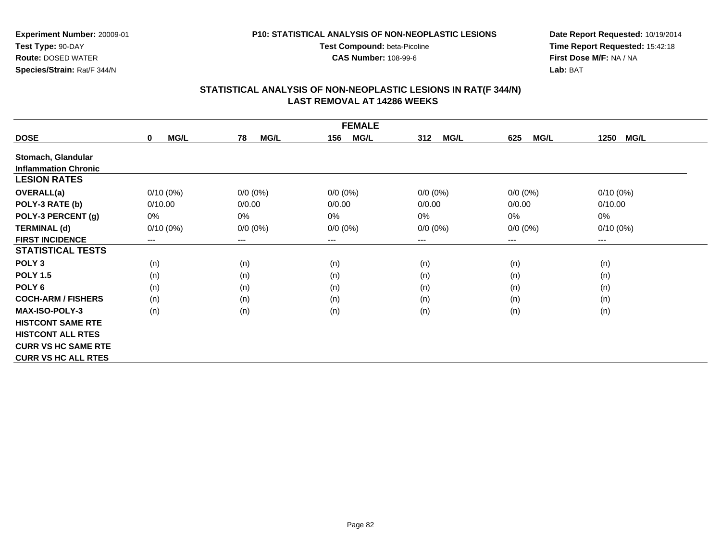#### **P10: STATISTICAL ANALYSIS OF NON-NEOPLASTIC LESIONS**

**Test Compound:** beta-Picoline**CAS Number:** 108-99-6

**Date Report Requested:** 10/19/2014**Time Report Requested:** 15:42:18**First Dose M/F:** NA / NA**Lab:** BAT

| <b>FEMALE</b>               |                     |                   |                    |                    |                    |                     |  |  |
|-----------------------------|---------------------|-------------------|--------------------|--------------------|--------------------|---------------------|--|--|
| <b>DOSE</b>                 | MG/L<br>$\mathbf 0$ | <b>MG/L</b><br>78 | 156<br><b>MG/L</b> | <b>MG/L</b><br>312 | <b>MG/L</b><br>625 | <b>MG/L</b><br>1250 |  |  |
| Stomach, Glandular          |                     |                   |                    |                    |                    |                     |  |  |
| <b>Inflammation Chronic</b> |                     |                   |                    |                    |                    |                     |  |  |
| <b>LESION RATES</b>         |                     |                   |                    |                    |                    |                     |  |  |
| <b>OVERALL(a)</b>           | $0/10(0\%)$         | $0/0 (0\%)$       | $0/0 (0\%)$        | $0/0 (0\%)$        | $0/0 (0\%)$        | $0/10(0\%)$         |  |  |
| POLY-3 RATE (b)             | 0/10.00             | 0/0.00            | 0/0.00             | 0/0.00             | 0/0.00             | 0/10.00             |  |  |
| POLY-3 PERCENT (g)          | 0%                  | 0%                | 0%                 | 0%                 | $0\%$              | $0\%$               |  |  |
| <b>TERMINAL (d)</b>         | $0/10(0\%)$         | $0/0 (0\%)$       | $0/0 (0\%)$        | $0/0 (0\%)$        | $0/0 (0\%)$        | $0/10(0\%)$         |  |  |
| <b>FIRST INCIDENCE</b>      | $---$               | ---               | $--$               | ---                | ---                | ---                 |  |  |
| <b>STATISTICAL TESTS</b>    |                     |                   |                    |                    |                    |                     |  |  |
| POLY <sub>3</sub>           | (n)                 | (n)               | (n)                | (n)                | (n)                | (n)                 |  |  |
| <b>POLY 1.5</b>             | (n)                 | (n)               | (n)                | (n)                | (n)                | (n)                 |  |  |
| POLY 6                      | (n)                 | (n)               | (n)                | (n)                | (n)                | (n)                 |  |  |
| <b>COCH-ARM / FISHERS</b>   | (n)                 | (n)               | (n)                | (n)                | (n)                | (n)                 |  |  |
| <b>MAX-ISO-POLY-3</b>       | (n)                 | (n)               | (n)                | (n)                | (n)                | (n)                 |  |  |
| <b>HISTCONT SAME RTE</b>    |                     |                   |                    |                    |                    |                     |  |  |
| <b>HISTCONT ALL RTES</b>    |                     |                   |                    |                    |                    |                     |  |  |
| <b>CURR VS HC SAME RTE</b>  |                     |                   |                    |                    |                    |                     |  |  |
| <b>CURR VS HC ALL RTES</b>  |                     |                   |                    |                    |                    |                     |  |  |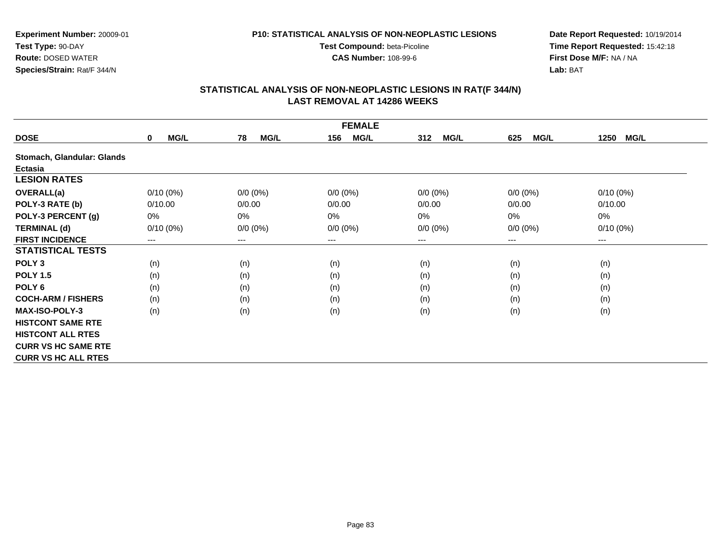#### **P10: STATISTICAL ANALYSIS OF NON-NEOPLASTIC LESIONS**

**Test Compound:** beta-Picoline**CAS Number:** 108-99-6

**Date Report Requested:** 10/19/2014**Time Report Requested:** 15:42:18**First Dose M/F:** NA / NA**Lab:** BAT

|                            |                            |                        | <b>FEMALE</b>      |                    |                    |                        |
|----------------------------|----------------------------|------------------------|--------------------|--------------------|--------------------|------------------------|
| <b>DOSE</b>                | <b>MG/L</b><br>$\mathbf 0$ | 78<br><b>MG/L</b>      | <b>MG/L</b><br>156 | 312<br><b>MG/L</b> | 625<br><b>MG/L</b> | <b>MG/L</b><br>1250    |
| Stomach, Glandular: Glands |                            |                        |                    |                    |                    |                        |
| Ectasia                    |                            |                        |                    |                    |                    |                        |
| <b>LESION RATES</b>        |                            |                        |                    |                    |                    |                        |
| <b>OVERALL(a)</b>          | $0/10(0\%)$                | $0/0 (0\%)$            | $0/0 (0\%)$        | $0/0 (0\%)$        | $0/0(0\%)$         | $0/10(0\%)$            |
| POLY-3 RATE (b)            | 0/10.00                    | 0/0.00                 | 0/0.00             | 0/0.00             | 0/0.00             | 0/10.00                |
| POLY-3 PERCENT (g)         | 0%                         | 0%                     | 0%                 | 0%                 | 0%                 | $0\%$                  |
| <b>TERMINAL (d)</b>        | $0/10(0\%)$                | $0/0 (0\%)$            | $0/0 (0\%)$        | $0/0 (0\%)$        | $0/0 (0\%)$        | $0/10(0\%)$            |
| <b>FIRST INCIDENCE</b>     | ---                        | $\qquad \qquad \cdots$ | ---                | ---                | ---                | $\qquad \qquad \cdots$ |
| <b>STATISTICAL TESTS</b>   |                            |                        |                    |                    |                    |                        |
| POLY <sub>3</sub>          | (n)                        | (n)                    | (n)                | (n)                | (n)                | (n)                    |
| <b>POLY 1.5</b>            | (n)                        | (n)                    | (n)                | (n)                | (n)                | (n)                    |
| POLY <sub>6</sub>          | (n)                        | (n)                    | (n)                | (n)                | (n)                | (n)                    |
| <b>COCH-ARM / FISHERS</b>  | (n)                        | (n)                    | (n)                | (n)                | (n)                | (n)                    |
| <b>MAX-ISO-POLY-3</b>      | (n)                        | (n)                    | (n)                | (n)                | (n)                | (n)                    |
| <b>HISTCONT SAME RTE</b>   |                            |                        |                    |                    |                    |                        |
| <b>HISTCONT ALL RTES</b>   |                            |                        |                    |                    |                    |                        |
| <b>CURR VS HC SAME RTE</b> |                            |                        |                    |                    |                    |                        |
| <b>CURR VS HC ALL RTES</b> |                            |                        |                    |                    |                    |                        |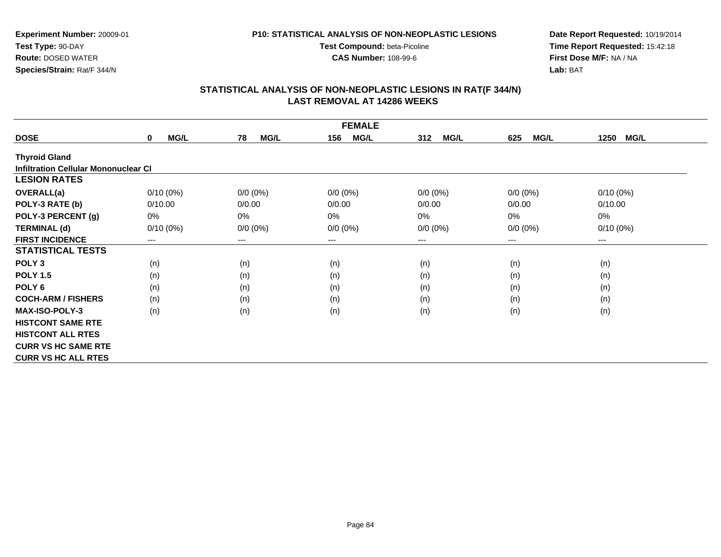#### **P10: STATISTICAL ANALYSIS OF NON-NEOPLASTIC LESIONS**

**Test Compound:** beta-Picoline**CAS Number:** 108-99-6

**Date Report Requested:** 10/19/2014**Time Report Requested:** 15:42:18**First Dose M/F:** NA / NA**Lab:** BAT

| <b>FEMALE</b>                               |                            |                   |                    |                    |                    |                     |  |
|---------------------------------------------|----------------------------|-------------------|--------------------|--------------------|--------------------|---------------------|--|
| <b>DOSE</b>                                 | <b>MG/L</b><br>$\mathbf 0$ | <b>MG/L</b><br>78 | 156<br><b>MG/L</b> | <b>MG/L</b><br>312 | <b>MG/L</b><br>625 | <b>MG/L</b><br>1250 |  |
| <b>Thyroid Gland</b>                        |                            |                   |                    |                    |                    |                     |  |
| <b>Infiltration Cellular Mononuclear CI</b> |                            |                   |                    |                    |                    |                     |  |
| <b>LESION RATES</b>                         |                            |                   |                    |                    |                    |                     |  |
| <b>OVERALL(a)</b>                           | $0/10(0\%)$                | $0/0 (0\%)$       | $0/0 (0\%)$        | $0/0 (0\%)$        | $0/0 (0\%)$        | $0/10(0\%)$         |  |
| POLY-3 RATE (b)                             | 0/10.00                    | 0/0.00            | 0/0.00             | 0/0.00             | 0/0.00             | 0/10.00             |  |
| POLY-3 PERCENT (g)                          | 0%                         | 0%                | 0%                 | 0%                 | $0\%$              | 0%                  |  |
| <b>TERMINAL (d)</b>                         | $0/10(0\%)$                | $0/0 (0\%)$       | $0/0 (0\%)$        | $0/0 (0\%)$        | $0/0 (0\%)$        | $0/10(0\%)$         |  |
| <b>FIRST INCIDENCE</b>                      | $---$                      | $---$             | $---$              | ---                | $---$              | ---                 |  |
| <b>STATISTICAL TESTS</b>                    |                            |                   |                    |                    |                    |                     |  |
| POLY <sub>3</sub>                           | (n)                        | (n)               | (n)                | (n)                | (n)                | (n)                 |  |
| <b>POLY 1.5</b>                             | (n)                        | (n)               | (n)                | (n)                | (n)                | (n)                 |  |
| POLY <sub>6</sub>                           | (n)                        | (n)               | (n)                | (n)                | (n)                | (n)                 |  |
| <b>COCH-ARM / FISHERS</b>                   | (n)                        | (n)               | (n)                | (n)                | (n)                | (n)                 |  |
| <b>MAX-ISO-POLY-3</b>                       | (n)                        | (n)               | (n)                | (n)                | (n)                | (n)                 |  |
| <b>HISTCONT SAME RTE</b>                    |                            |                   |                    |                    |                    |                     |  |
| <b>HISTCONT ALL RTES</b>                    |                            |                   |                    |                    |                    |                     |  |
| <b>CURR VS HC SAME RTE</b>                  |                            |                   |                    |                    |                    |                     |  |
| <b>CURR VS HC ALL RTES</b>                  |                            |                   |                    |                    |                    |                     |  |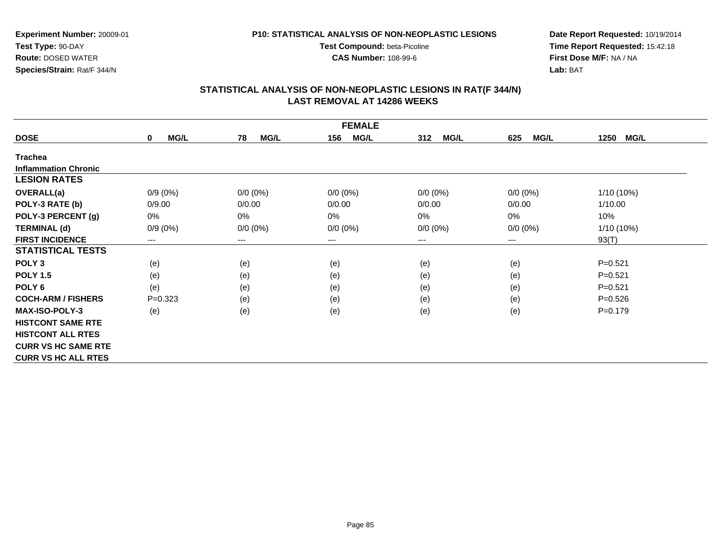**Test Compound:** beta-Picoline**CAS Number:** 108-99-6

**Experiment Number:** 20009-01**Test Type:** 90-DAY **Route:** DOSED WATER**Species/Strain:** Rat/F 344/N

**Date Report Requested:** 10/19/2014**Time Report Requested:** 15:42:18**First Dose M/F:** NA / NA**Lab:** BAT

| <b>FEMALE</b>               |                            |                        |                    |                    |                    |                     |
|-----------------------------|----------------------------|------------------------|--------------------|--------------------|--------------------|---------------------|
| <b>DOSE</b>                 | <b>MG/L</b><br>$\mathbf 0$ | <b>MG/L</b><br>78      | 156<br><b>MG/L</b> | <b>MG/L</b><br>312 | <b>MG/L</b><br>625 | <b>MG/L</b><br>1250 |
| <b>Trachea</b>              |                            |                        |                    |                    |                    |                     |
| <b>Inflammation Chronic</b> |                            |                        |                    |                    |                    |                     |
| <b>LESION RATES</b>         |                            |                        |                    |                    |                    |                     |
| <b>OVERALL(a)</b>           | $0/9(0\%)$                 | $0/0 (0\%)$            | $0/0 (0\%)$        | $0/0 (0\%)$        | $0/0 (0\%)$        | 1/10 (10%)          |
| POLY-3 RATE (b)             | 0/9.00                     | 0/0.00                 | 0/0.00             | 0/0.00             | 0/0.00             | 1/10.00             |
| POLY-3 PERCENT (g)          | 0%                         | 0%                     | 0%                 | 0%                 | 0%                 | 10%                 |
| <b>TERMINAL (d)</b>         | $0/9(0\%)$                 | $0/0 (0\%)$            | $0/0 (0\%)$        | $0/0 (0\%)$        | $0/0 (0\%)$        | 1/10 (10%)          |
| <b>FIRST INCIDENCE</b>      | ---                        | $\qquad \qquad \cdots$ | ---                | ---                | ---                | 93(T)               |
| <b>STATISTICAL TESTS</b>    |                            |                        |                    |                    |                    |                     |
| POLY <sub>3</sub>           | (e)                        | (e)                    | (e)                | (e)                | (e)                | $P = 0.521$         |
| <b>POLY 1.5</b>             | (e)                        | (e)                    | (e)                | (e)                | (e)                | $P = 0.521$         |
| POLY 6                      | (e)                        | (e)                    | (e)                | (e)                | (e)                | $P = 0.521$         |
| <b>COCH-ARM / FISHERS</b>   | $P = 0.323$                | (e)                    | (e)                | (e)                | (e)                | $P=0.526$           |
| <b>MAX-ISO-POLY-3</b>       | (e)                        | (e)                    | (e)                | (e)                | (e)                | $P = 0.179$         |
| <b>HISTCONT SAME RTE</b>    |                            |                        |                    |                    |                    |                     |
| <b>HISTCONT ALL RTES</b>    |                            |                        |                    |                    |                    |                     |
| <b>CURR VS HC SAME RTE</b>  |                            |                        |                    |                    |                    |                     |
| <b>CURR VS HC ALL RTES</b>  |                            |                        |                    |                    |                    |                     |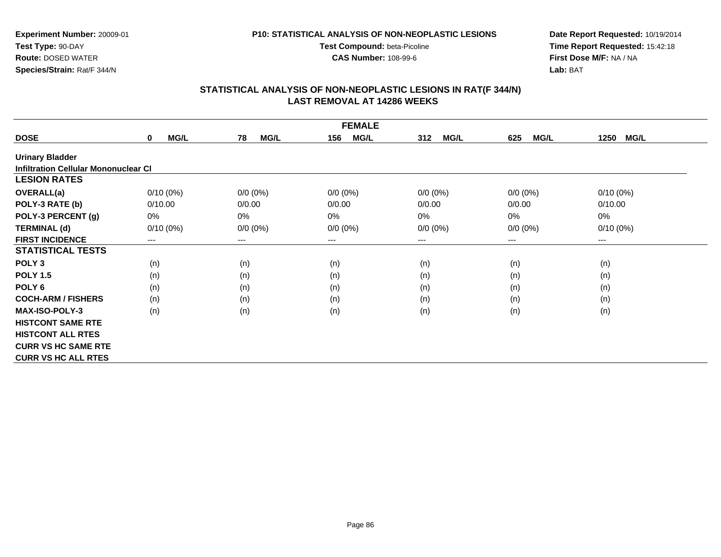#### **P10: STATISTICAL ANALYSIS OF NON-NEOPLASTIC LESIONS**

**Test Compound:** beta-Picoline

**CAS Number:** 108-99-6

**Date Report Requested:** 10/19/2014**Time Report Requested:** 15:42:18**First Dose M/F:** NA / NA**Lab:** BAT

| <b>FEMALE</b>                        |                            |                   |                    |                    |                    |                     |
|--------------------------------------|----------------------------|-------------------|--------------------|--------------------|--------------------|---------------------|
| <b>DOSE</b>                          | <b>MG/L</b><br>$\mathbf 0$ | <b>MG/L</b><br>78 | 156<br><b>MG/L</b> | <b>MG/L</b><br>312 | <b>MG/L</b><br>625 | <b>MG/L</b><br>1250 |
| <b>Urinary Bladder</b>               |                            |                   |                    |                    |                    |                     |
| Infiltration Cellular Mononuclear CI |                            |                   |                    |                    |                    |                     |
| <b>LESION RATES</b>                  |                            |                   |                    |                    |                    |                     |
| <b>OVERALL(a)</b>                    | $0/10(0\%)$                | $0/0 (0\%)$       | $0/0 (0\%)$        | $0/0 (0\%)$        | $0/0 (0\%)$        | $0/10(0\%)$         |
| POLY-3 RATE (b)                      | 0/10.00                    | 0/0.00            | 0/0.00             | 0/0.00             | 0/0.00             | 0/10.00             |
| POLY-3 PERCENT (g)                   | 0%                         | 0%                | 0%                 | 0%                 | $0\%$              | 0%                  |
| <b>TERMINAL (d)</b>                  | $0/10(0\%)$                | $0/0 (0\%)$       | $0/0 (0\%)$        | $0/0 (0\%)$        | $0/0 (0\%)$        | $0/10(0\%)$         |
| <b>FIRST INCIDENCE</b>               | $\qquad \qquad - \qquad -$ | $---$             | $---$              | ---                | $---$              | ---                 |
| <b>STATISTICAL TESTS</b>             |                            |                   |                    |                    |                    |                     |
| POLY <sub>3</sub>                    | (n)                        | (n)               | (n)                | (n)                | (n)                | (n)                 |
| <b>POLY 1.5</b>                      | (n)                        | (n)               | (n)                | (n)                | (n)                | (n)                 |
| POLY <sub>6</sub>                    | (n)                        | (n)               | (n)                | (n)                | (n)                | (n)                 |
| <b>COCH-ARM / FISHERS</b>            | (n)                        | (n)               | (n)                | (n)                | (n)                | (n)                 |
| <b>MAX-ISO-POLY-3</b>                | (n)                        | (n)               | (n)                | (n)                | (n)                | (n)                 |
| <b>HISTCONT SAME RTE</b>             |                            |                   |                    |                    |                    |                     |
| <b>HISTCONT ALL RTES</b>             |                            |                   |                    |                    |                    |                     |
| <b>CURR VS HC SAME RTE</b>           |                            |                   |                    |                    |                    |                     |
| <b>CURR VS HC ALL RTES</b>           |                            |                   |                    |                    |                    |                     |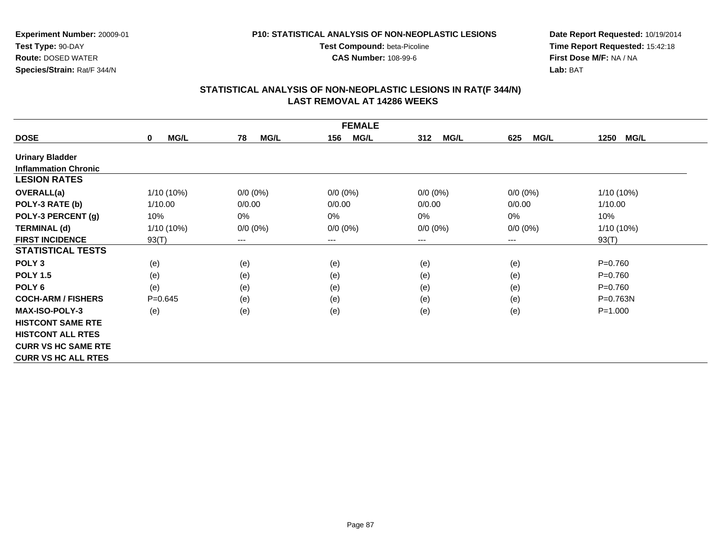#### **P10: STATISTICAL ANALYSIS OF NON-NEOPLASTIC LESIONS**

**Test Compound:** beta-Picoline**CAS Number:** 108-99-6

**Date Report Requested:** 10/19/2014 **Time Report Requested:** 15:42:18**First Dose M/F:** NA / NA**Lab:** BAT

| <b>FEMALE</b>               |                     |                        |                    |                    |                    |                     |
|-----------------------------|---------------------|------------------------|--------------------|--------------------|--------------------|---------------------|
| <b>DOSE</b>                 | MG/L<br>$\mathbf 0$ | 78<br><b>MG/L</b>      | <b>MG/L</b><br>156 | 312<br><b>MG/L</b> | <b>MG/L</b><br>625 | <b>MG/L</b><br>1250 |
| <b>Urinary Bladder</b>      |                     |                        |                    |                    |                    |                     |
| <b>Inflammation Chronic</b> |                     |                        |                    |                    |                    |                     |
| <b>LESION RATES</b>         |                     |                        |                    |                    |                    |                     |
| <b>OVERALL(a)</b>           | 1/10 (10%)          | $0/0 (0\%)$            | $0/0 (0\%)$        | $0/0 (0\%)$        | $0/0 (0\%)$        | 1/10 (10%)          |
| POLY-3 RATE (b)             | 1/10.00             | 0/0.00                 | 0/0.00             | 0/0.00             | 0/0.00             | 1/10.00             |
| POLY-3 PERCENT (g)          | 10%                 | 0%                     | 0%                 | 0%                 | $0\%$              | 10%                 |
| <b>TERMINAL (d)</b>         | 1/10 (10%)          | $0/0 (0\%)$            | $0/0 (0\%)$        | $0/0 (0\%)$        | $0/0 (0\%)$        | 1/10 (10%)          |
| <b>FIRST INCIDENCE</b>      | 93(T)               | $\qquad \qquad \cdots$ | $---$              | ---                | ---                | 93(T)               |
| <b>STATISTICAL TESTS</b>    |                     |                        |                    |                    |                    |                     |
| POLY <sub>3</sub>           | (e)                 | (e)                    | (e)                | (e)                | (e)                | $P = 0.760$         |
| <b>POLY 1.5</b>             | (e)                 | (e)                    | (e)                | (e)                | (e)                | $P = 0.760$         |
| POLY <sub>6</sub>           | (e)                 | (e)                    | (e)                | (e)                | (e)                | $P = 0.760$         |
| <b>COCH-ARM / FISHERS</b>   | $P = 0.645$         | (e)                    | (e)                | (e)                | (e)                | $P = 0.763N$        |
| <b>MAX-ISO-POLY-3</b>       | (e)                 | (e)                    | (e)                | (e)                | (e)                | $P = 1.000$         |
| <b>HISTCONT SAME RTE</b>    |                     |                        |                    |                    |                    |                     |
| <b>HISTCONT ALL RTES</b>    |                     |                        |                    |                    |                    |                     |
| <b>CURR VS HC SAME RTE</b>  |                     |                        |                    |                    |                    |                     |
| <b>CURR VS HC ALL RTES</b>  |                     |                        |                    |                    |                    |                     |